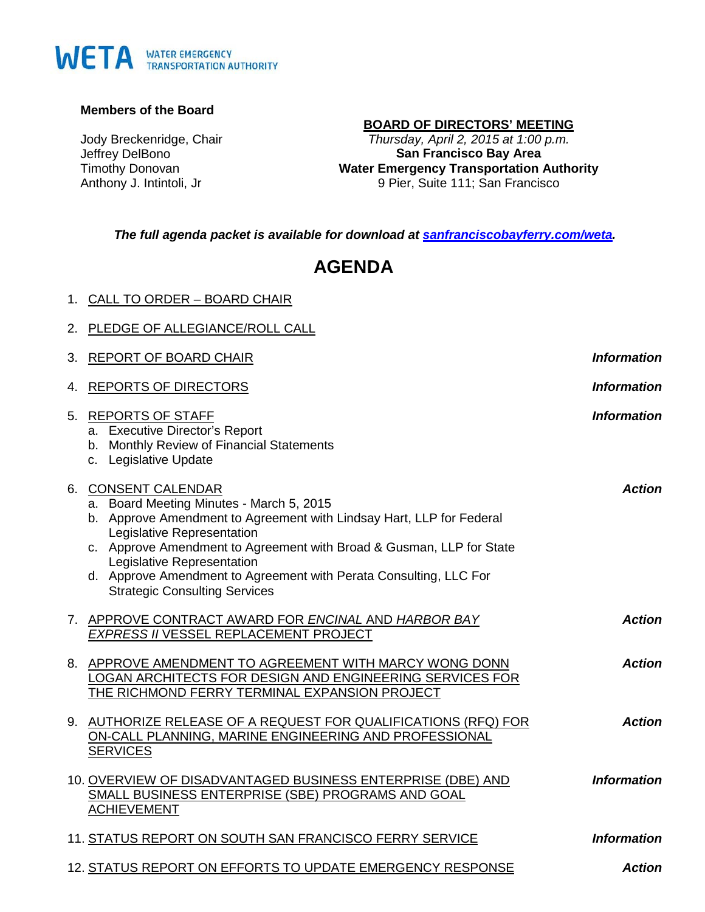# WETA WATER EMERGENCY

#### **Members of the Board**

Jody Breckenridge, Chair Jeffrey DelBono Timothy Donovan Anthony J. Intintoli, Jr

1. CALL TO ORDER – BOARD CHAIR

# **BOARD OF DIRECTORS' MEETING**

*Thursday, April 2, 2015 at 1:00 p.m.* **San Francisco Bay Area Water Emergency Transportation Authority** 9 Pier, Suite 111; San Francisco

*The full agenda packet is available for download at [sanfranciscobayferry.com/weta.](http://www.sanfranciscobayferry.com/weta/next-board-meeting)*

# **AGENDA**

| 2. PLEDGE OF ALLEGIANCE/ROLL CALL                                                                                                                                                                                                                                                                                                                                                        |                    |
|------------------------------------------------------------------------------------------------------------------------------------------------------------------------------------------------------------------------------------------------------------------------------------------------------------------------------------------------------------------------------------------|--------------------|
| 3. REPORT OF BOARD CHAIR                                                                                                                                                                                                                                                                                                                                                                 | <b>Information</b> |
| 4. REPORTS OF DIRECTORS                                                                                                                                                                                                                                                                                                                                                                  | <b>Information</b> |
| 5. REPORTS OF STAFF<br>a. Executive Director's Report<br>b. Monthly Review of Financial Statements<br>c. Legislative Update                                                                                                                                                                                                                                                              | <b>Information</b> |
| 6. CONSENT CALENDAR<br>a. Board Meeting Minutes - March 5, 2015<br>b. Approve Amendment to Agreement with Lindsay Hart, LLP for Federal<br>Legislative Representation<br>c. Approve Amendment to Agreement with Broad & Gusman, LLP for State<br>Legislative Representation<br>d. Approve Amendment to Agreement with Perata Consulting, LLC For<br><b>Strategic Consulting Services</b> | <b>Action</b>      |
| 7. APPROVE CONTRACT AWARD FOR ENCINAL AND HARBOR BAY<br>EXPRESS II VESSEL REPLACEMENT PROJECT                                                                                                                                                                                                                                                                                            | <b>Action</b>      |
| 8. APPROVE AMENDMENT TO AGREEMENT WITH MARCY WONG DONN<br>LOGAN ARCHITECTS FOR DESIGN AND ENGINEERING SERVICES FOR<br>THE RICHMOND FERRY TERMINAL EXPANSION PROJECT                                                                                                                                                                                                                      | <b>Action</b>      |
| 9. AUTHORIZE RELEASE OF A REQUEST FOR QUALIFICATIONS (RFQ) FOR<br>ON-CALL PLANNING, MARINE ENGINEERING AND PROFESSIONAL<br><b>SERVICES</b>                                                                                                                                                                                                                                               | <b>Action</b>      |
| 10. OVERVIEW OF DISADVANTAGED BUSINESS ENTERPRISE (DBE) AND<br>SMALL BUSINESS ENTERPRISE (SBE) PROGRAMS AND GOAL<br><b>ACHIEVEMENT</b>                                                                                                                                                                                                                                                   | <b>Information</b> |
| 11. STATUS REPORT ON SOUTH SAN FRANCISCO FERRY SERVICE                                                                                                                                                                                                                                                                                                                                   | <b>Information</b> |
| 12. STATUS REPORT ON EFFORTS TO UPDATE EMERGENCY RESPONSE                                                                                                                                                                                                                                                                                                                                | <b>Action</b>      |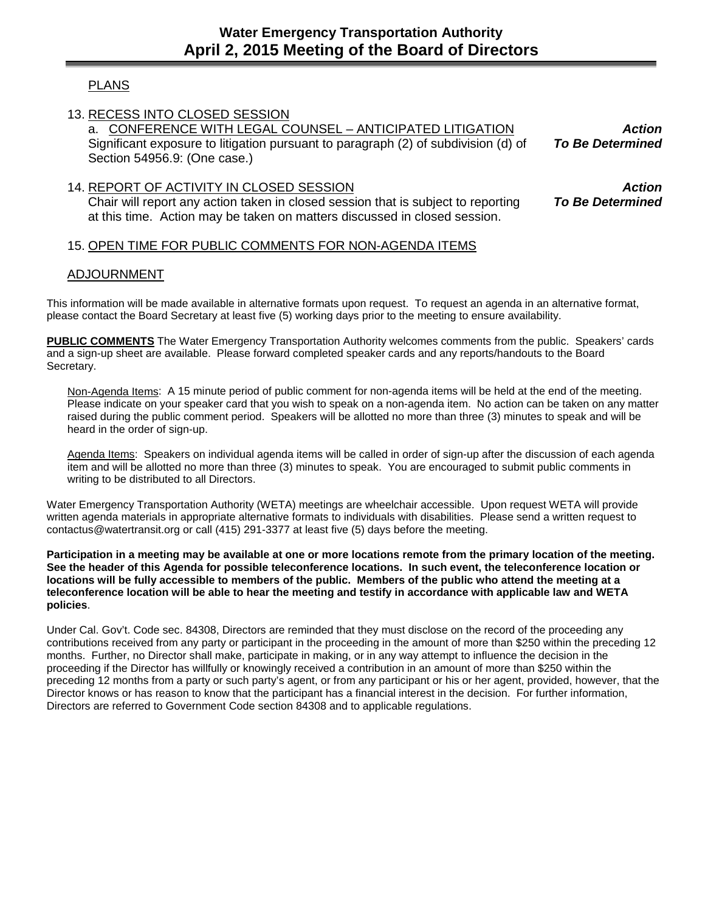# PLANS

13. RECESS INTO CLOSED SESSION

a. CONFERENCE WITH LEGAL COUNSEL – ANTICIPATED LITIGATION Significant exposure to litigation pursuant to paragraph (2) of subdivision (d) of Section 54956.9: (One case.)

# 14. REPORT OF ACTIVITY IN CLOSED SESSION Chair will report any action taken in closed session that is subject to reporting at this time. Action may be taken on matters discussed in closed session.

#### 15. OPEN TIME FOR PUBLIC COMMENTS FOR NON-AGENDA ITEMS

# ADJOURNMENT

This information will be made available in alternative formats upon request. To request an agenda in an alternative format, please contact the Board Secretary at least five (5) working days prior to the meeting to ensure availability.

**PUBLIC COMMENTS** The Water Emergency Transportation Authority welcomes comments from the public. Speakers' cards and a sign-up sheet are available. Please forward completed speaker cards and any reports/handouts to the Board Secretary.

Non-Agenda Items: A 15 minute period of public comment for non-agenda items will be held at the end of the meeting. Please indicate on your speaker card that you wish to speak on a non-agenda item. No action can be taken on any matter raised during the public comment period. Speakers will be allotted no more than three (3) minutes to speak and will be heard in the order of sign-up.

Agenda Items: Speakers on individual agenda items will be called in order of sign-up after the discussion of each agenda item and will be allotted no more than three (3) minutes to speak. You are encouraged to submit public comments in writing to be distributed to all Directors.

Water Emergency Transportation Authority (WETA) meetings are wheelchair accessible. Upon request WETA will provide written agenda materials in appropriate alternative formats to individuals with disabilities. Please send a written request to contactus@watertransit.org or call (415) 291-3377 at least five (5) days before the meeting.

**Participation in a meeting may be available at one or more locations remote from the primary location of the meeting. See the header of this Agenda for possible teleconference locations. In such event, the teleconference location or locations will be fully accessible to members of the public. Members of the public who attend the meeting at a teleconference location will be able to hear the meeting and testify in accordance with applicable law and WETA policies**.

Under Cal. Gov't. Code sec. 84308, Directors are reminded that they must disclose on the record of the proceeding any contributions received from any party or participant in the proceeding in the amount of more than \$250 within the preceding 12 months. Further, no Director shall make, participate in making, or in any way attempt to influence the decision in the proceeding if the Director has willfully or knowingly received a contribution in an amount of more than \$250 within the preceding 12 months from a party or such party's agent, or from any participant or his or her agent, provided, however, that the Director knows or has reason to know that the participant has a financial interest in the decision. For further information, Directors are referred to Government Code section 84308 and to applicable regulations.

*Action To Be Determined*

*Action To Be Determined*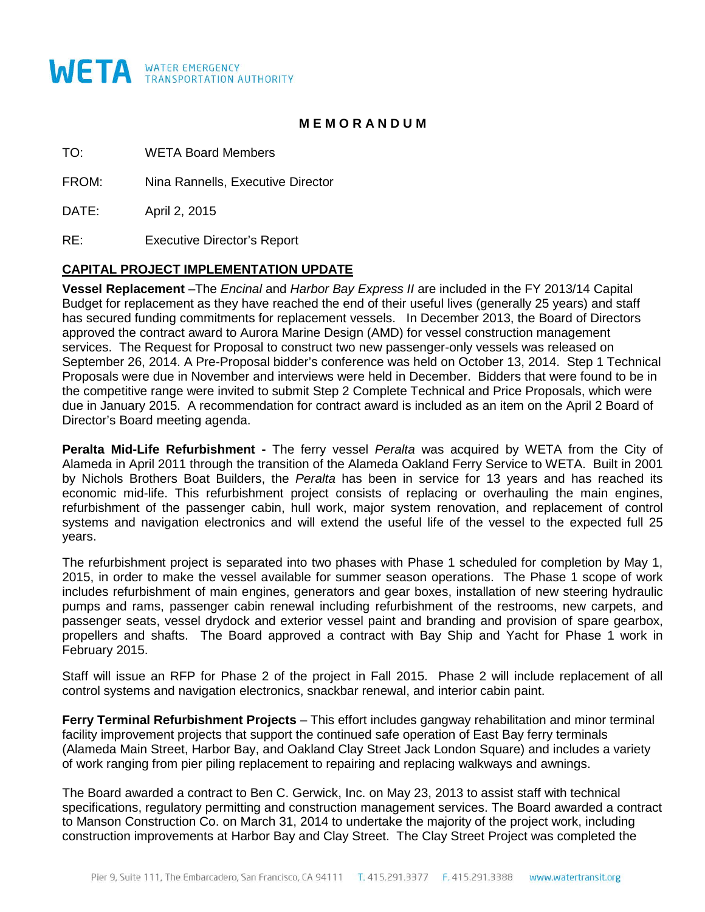

#### **M E M O R A N D U M**

TO: WETA Board Members

FROM: Nina Rannells, Executive Director

DATE: April 2, 2015

RE: Executive Director's Report

#### **CAPITAL PROJECT IMPLEMENTATION UPDATE**

**Vessel Replacement** –The *Encinal* and *Harbor Bay Express II* are included in the FY 2013/14 Capital Budget for replacement as they have reached the end of their useful lives (generally 25 years) and staff has secured funding commitments for replacement vessels. In December 2013, the Board of Directors approved the contract award to Aurora Marine Design (AMD) for vessel construction management services. The Request for Proposal to construct two new passenger-only vessels was released on September 26, 2014. A Pre-Proposal bidder's conference was held on October 13, 2014. Step 1 Technical Proposals were due in November and interviews were held in December. Bidders that were found to be in the competitive range were invited to submit Step 2 Complete Technical and Price Proposals, which were due in January 2015. A recommendation for contract award is included as an item on the April 2 Board of Director's Board meeting agenda.

**Peralta Mid-Life Refurbishment -** The ferry vessel *Peralta* was acquired by WETA from the City of Alameda in April 2011 through the transition of the Alameda Oakland Ferry Service to WETA. Built in 2001 by Nichols Brothers Boat Builders, the *Peralta* has been in service for 13 years and has reached its economic mid-life. This refurbishment project consists of replacing or overhauling the main engines, refurbishment of the passenger cabin, hull work, major system renovation, and replacement of control systems and navigation electronics and will extend the useful life of the vessel to the expected full 25 years.

The refurbishment project is separated into two phases with Phase 1 scheduled for completion by May 1, 2015, in order to make the vessel available for summer season operations. The Phase 1 scope of work includes refurbishment of main engines, generators and gear boxes, installation of new steering hydraulic pumps and rams, passenger cabin renewal including refurbishment of the restrooms, new carpets, and passenger seats, vessel drydock and exterior vessel paint and branding and provision of spare gearbox, propellers and shafts. The Board approved a contract with Bay Ship and Yacht for Phase 1 work in February 2015.

Staff will issue an RFP for Phase 2 of the project in Fall 2015. Phase 2 will include replacement of all control systems and navigation electronics, snackbar renewal, and interior cabin paint.

**Ferry Terminal Refurbishment Projects** – This effort includes gangway rehabilitation and minor terminal facility improvement projects that support the continued safe operation of East Bay ferry terminals (Alameda Main Street, Harbor Bay, and Oakland Clay Street Jack London Square) and includes a variety of work ranging from pier piling replacement to repairing and replacing walkways and awnings.

The Board awarded a contract to Ben C. Gerwick, Inc. on May 23, 2013 to assist staff with technical specifications, regulatory permitting and construction management services. The Board awarded a contract to Manson Construction Co. on March 31, 2014 to undertake the majority of the project work, including construction improvements at Harbor Bay and Clay Street. The Clay Street Project was completed the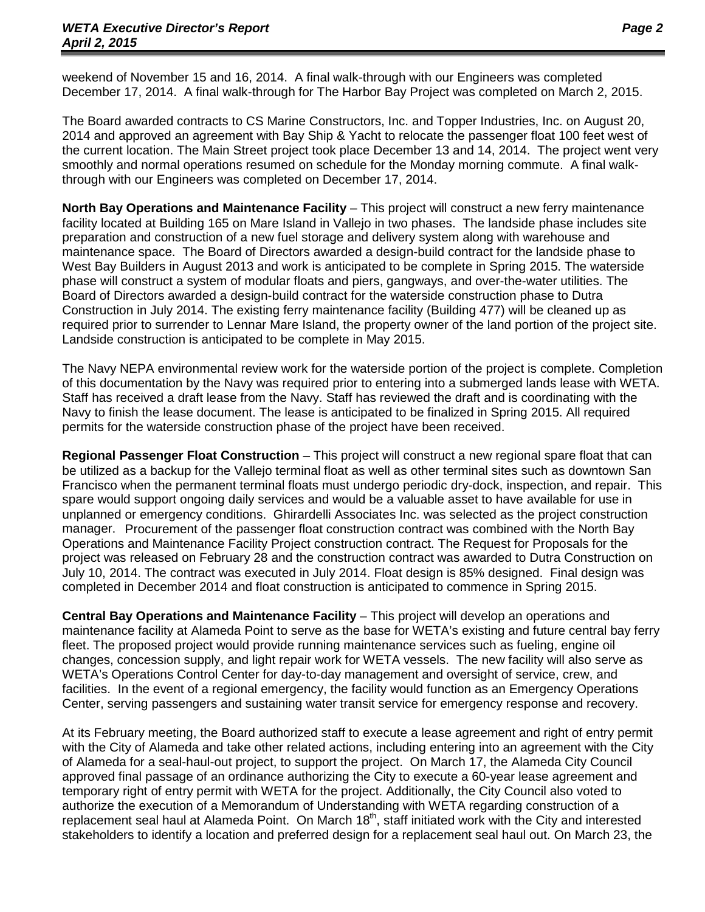weekend of November 15 and 16, 2014. A final walk-through with our Engineers was completed December 17, 2014. A final walk-through for The Harbor Bay Project was completed on March 2, 2015.

The Board awarded contracts to CS Marine Constructors, Inc. and Topper Industries, Inc. on August 20, 2014 and approved an agreement with Bay Ship & Yacht to relocate the passenger float 100 feet west of the current location. The Main Street project took place December 13 and 14, 2014. The project went very smoothly and normal operations resumed on schedule for the Monday morning commute. A final walkthrough with our Engineers was completed on December 17, 2014.

**North Bay Operations and Maintenance Facility** – This project will construct a new ferry maintenance facility located at Building 165 on Mare Island in Vallejo in two phases. The landside phase includes site preparation and construction of a new fuel storage and delivery system along with warehouse and maintenance space. The Board of Directors awarded a design-build contract for the landside phase to West Bay Builders in August 2013 and work is anticipated to be complete in Spring 2015. The waterside phase will construct a system of modular floats and piers, gangways, and over-the-water utilities. The Board of Directors awarded a design-build contract for the waterside construction phase to Dutra Construction in July 2014. The existing ferry maintenance facility (Building 477) will be cleaned up as required prior to surrender to Lennar Mare Island, the property owner of the land portion of the project site. Landside construction is anticipated to be complete in May 2015.

The Navy NEPA environmental review work for the waterside portion of the project is complete. Completion of this documentation by the Navy was required prior to entering into a submerged lands lease with WETA. Staff has received a draft lease from the Navy. Staff has reviewed the draft and is coordinating with the Navy to finish the lease document. The lease is anticipated to be finalized in Spring 2015. All required permits for the waterside construction phase of the project have been received.

**Regional Passenger Float Construction** – This project will construct a new regional spare float that can be utilized as a backup for the Vallejo terminal float as well as other terminal sites such as downtown San Francisco when the permanent terminal floats must undergo periodic dry-dock, inspection, and repair. This spare would support ongoing daily services and would be a valuable asset to have available for use in unplanned or emergency conditions. Ghirardelli Associates Inc. was selected as the project construction manager. Procurement of the passenger float construction contract was combined with the North Bay Operations and Maintenance Facility Project construction contract. The Request for Proposals for the project was released on February 28 and the construction contract was awarded to Dutra Construction on July 10, 2014. The contract was executed in July 2014. Float design is 85% designed. Final design was completed in December 2014 and float construction is anticipated to commence in Spring 2015.

**Central Bay Operations and Maintenance Facility** – This project will develop an operations and maintenance facility at Alameda Point to serve as the base for WETA's existing and future central bay ferry fleet. The proposed project would provide running maintenance services such as fueling, engine oil changes, concession supply, and light repair work for WETA vessels. The new facility will also serve as WETA's Operations Control Center for day-to-day management and oversight of service, crew, and facilities. In the event of a regional emergency, the facility would function as an Emergency Operations Center, serving passengers and sustaining water transit service for emergency response and recovery.

At its February meeting, the Board authorized staff to execute a lease agreement and right of entry permit with the City of Alameda and take other related actions, including entering into an agreement with the City of Alameda for a seal-haul-out project, to support the project. On March 17, the Alameda City Council approved final passage of an ordinance authorizing the City to execute a 60-year lease agreement and temporary right of entry permit with WETA for the project. Additionally, the City Council also voted to authorize the execution of a Memorandum of Understanding with WETA regarding construction of a replacement seal haul at Alameda Point. On March 18<sup>th</sup>, staff initiated work with the City and interested stakeholders to identify a location and preferred design for a replacement seal haul out. On March 23, the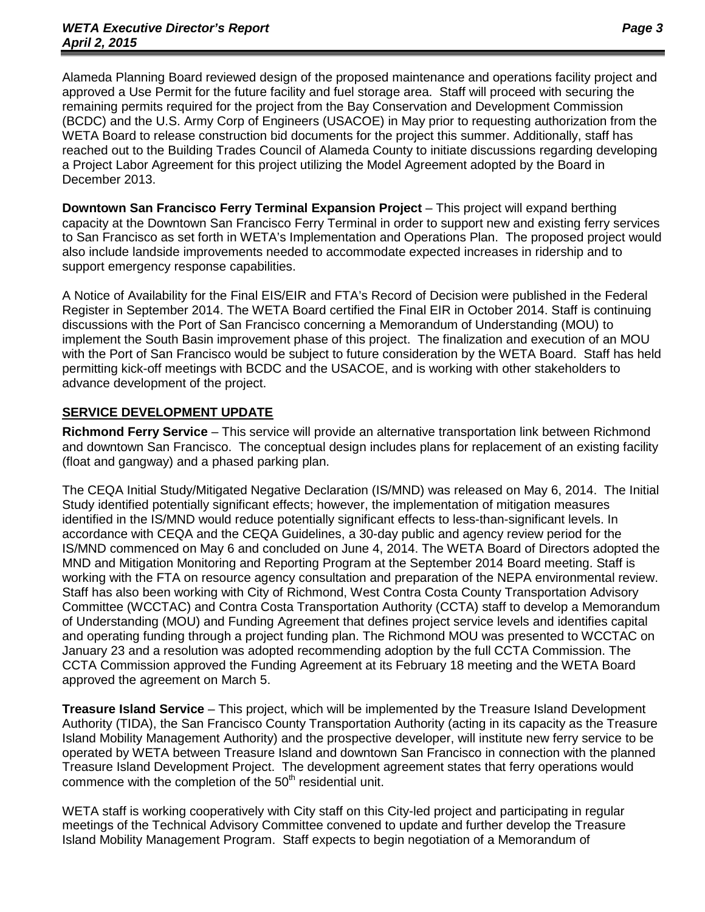Alameda Planning Board reviewed design of the proposed maintenance and operations facility project and approved a Use Permit for the future facility and fuel storage area. Staff will proceed with securing the remaining permits required for the project from the Bay Conservation and Development Commission (BCDC) and the U.S. Army Corp of Engineers (USACOE) in May prior to requesting authorization from the WETA Board to release construction bid documents for the project this summer. Additionally, staff has reached out to the Building Trades Council of Alameda County to initiate discussions regarding developing a Project Labor Agreement for this project utilizing the Model Agreement adopted by the Board in December 2013.

**Downtown San Francisco Ferry Terminal Expansion Project** – This project will expand berthing capacity at the Downtown San Francisco Ferry Terminal in order to support new and existing ferry services to San Francisco as set forth in WETA's Implementation and Operations Plan. The proposed project would also include landside improvements needed to accommodate expected increases in ridership and to support emergency response capabilities.

A Notice of Availability for the Final EIS/EIR and FTA's Record of Decision were published in the Federal Register in September 2014. The WETA Board certified the Final EIR in October 2014. Staff is continuing discussions with the Port of San Francisco concerning a Memorandum of Understanding (MOU) to implement the South Basin improvement phase of this project. The finalization and execution of an MOU with the Port of San Francisco would be subject to future consideration by the WETA Board. Staff has held permitting kick-off meetings with BCDC and the USACOE, and is working with other stakeholders to advance development of the project.

# **SERVICE DEVELOPMENT UPDATE**

**Richmond Ferry Service** – This service will provide an alternative transportation link between Richmond and downtown San Francisco. The conceptual design includes plans for replacement of an existing facility (float and gangway) and a phased parking plan.

The CEQA Initial Study/Mitigated Negative Declaration (IS/MND) was released on May 6, 2014. The Initial Study identified potentially significant effects; however, the implementation of mitigation measures identified in the IS/MND would reduce potentially significant effects to less-than-significant levels. In accordance with CEQA and the CEQA Guidelines, a 30-day public and agency review period for the IS/MND commenced on May 6 and concluded on June 4, 2014. The WETA Board of Directors adopted the MND and Mitigation Monitoring and Reporting Program at the September 2014 Board meeting. Staff is working with the FTA on resource agency consultation and preparation of the NEPA environmental review. Staff has also been working with City of Richmond, West Contra Costa County Transportation Advisory Committee (WCCTAC) and Contra Costa Transportation Authority (CCTA) staff to develop a Memorandum of Understanding (MOU) and Funding Agreement that defines project service levels and identifies capital and operating funding through a project funding plan. The Richmond MOU was presented to WCCTAC on January 23 and a resolution was adopted recommending adoption by the full CCTA Commission. The CCTA Commission approved the Funding Agreement at its February 18 meeting and the WETA Board approved the agreement on March 5.

**Treasure Island Service** – This project, which will be implemented by the Treasure Island Development Authority (TIDA), the San Francisco County Transportation Authority (acting in its capacity as the Treasure Island Mobility Management Authority) and the prospective developer, will institute new ferry service to be operated by WETA between Treasure Island and downtown San Francisco in connection with the planned Treasure Island Development Project. The development agreement states that ferry operations would commence with the completion of the  $50<sup>th</sup>$  residential unit.

WETA staff is working cooperatively with City staff on this City-led project and participating in regular meetings of the Technical Advisory Committee convened to update and further develop the Treasure Island Mobility Management Program. Staff expects to begin negotiation of a Memorandum of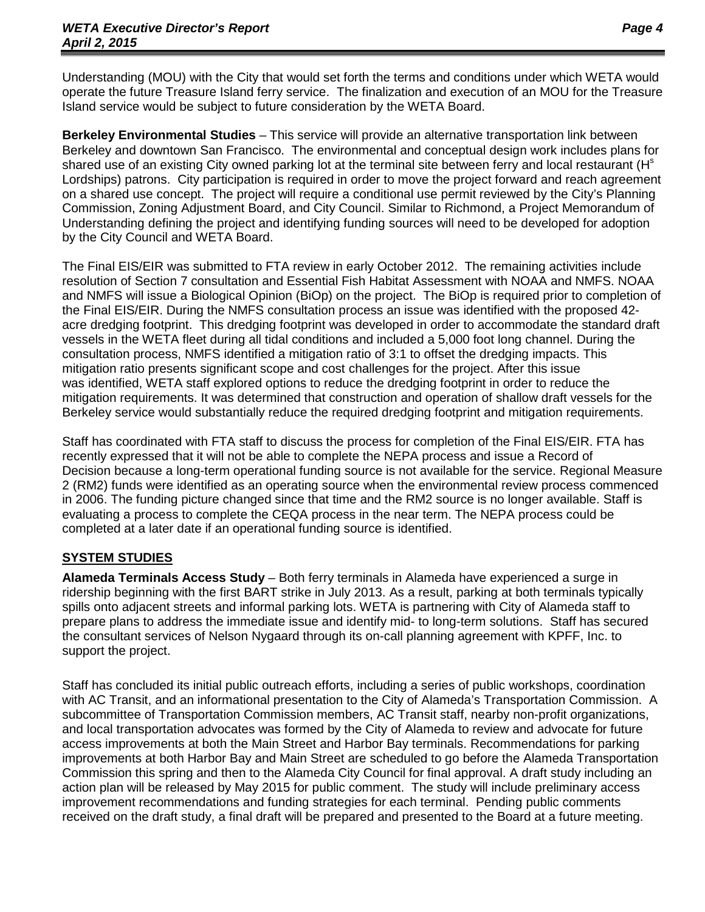Understanding (MOU) with the City that would set forth the terms and conditions under which WETA would operate the future Treasure Island ferry service. The finalization and execution of an MOU for the Treasure Island service would be subject to future consideration by the WETA Board.

**Berkeley Environmental Studies** – This service will provide an alternative transportation link between Berkeley and downtown San Francisco. The environmental and conceptual design work includes plans for shared use of an existing City owned parking lot at the terminal site between ferry and local restaurant (H<sup>s</sup> Lordships) patrons. City participation is required in order to move the project forward and reach agreement on a shared use concept. The project will require a conditional use permit reviewed by the City's Planning Commission, Zoning Adjustment Board, and City Council. Similar to Richmond, a Project Memorandum of Understanding defining the project and identifying funding sources will need to be developed for adoption by the City Council and WETA Board.

The Final EIS/EIR was submitted to FTA review in early October 2012. The remaining activities include resolution of Section 7 consultation and Essential Fish Habitat Assessment with NOAA and NMFS. NOAA and NMFS will issue a Biological Opinion (BiOp) on the project. The BiOp is required prior to completion of the Final EIS/EIR. During the NMFS consultation process an issue was identified with the proposed 42 acre dredging footprint. This dredging footprint was developed in order to accommodate the standard draft vessels in the WETA fleet during all tidal conditions and included a 5,000 foot long channel. During the consultation process, NMFS identified a mitigation ratio of 3:1 to offset the dredging impacts. This mitigation ratio presents significant scope and cost challenges for the project. After this issue was identified, WETA staff explored options to reduce the dredging footprint in order to reduce the mitigation requirements. It was determined that construction and operation of shallow draft vessels for the Berkeley service would substantially reduce the required dredging footprint and mitigation requirements.

Staff has coordinated with FTA staff to discuss the process for completion of the Final EIS/EIR. FTA has recently expressed that it will not be able to complete the NEPA process and issue a Record of Decision because a long-term operational funding source is not available for the service. Regional Measure 2 (RM2) funds were identified as an operating source when the environmental review process commenced in 2006. The funding picture changed since that time and the RM2 source is no longer available. Staff is evaluating a process to complete the CEQA process in the near term. The NEPA process could be completed at a later date if an operational funding source is identified.

# **SYSTEM STUDIES**

**Alameda Terminals Access Study** – Both ferry terminals in Alameda have experienced a surge in ridership beginning with the first BART strike in July 2013. As a result, parking at both terminals typically spills onto adjacent streets and informal parking lots. WETA is partnering with City of Alameda staff to prepare plans to address the immediate issue and identify mid- to long-term solutions. Staff has secured the consultant services of Nelson Nygaard through its on-call planning agreement with KPFF, Inc. to support the project.

Staff has concluded its initial public outreach efforts, including a series of public workshops, coordination with AC Transit, and an informational presentation to the City of Alameda's Transportation Commission. A subcommittee of Transportation Commission members, AC Transit staff, nearby non-profit organizations, and local transportation advocates was formed by the City of Alameda to review and advocate for future access improvements at both the Main Street and Harbor Bay terminals. Recommendations for parking improvements at both Harbor Bay and Main Street are scheduled to go before the Alameda Transportation Commission this spring and then to the Alameda City Council for final approval. A draft study including an action plan will be released by May 2015 for public comment. The study will include preliminary access improvement recommendations and funding strategies for each terminal. Pending public comments received on the draft study, a final draft will be prepared and presented to the Board at a future meeting.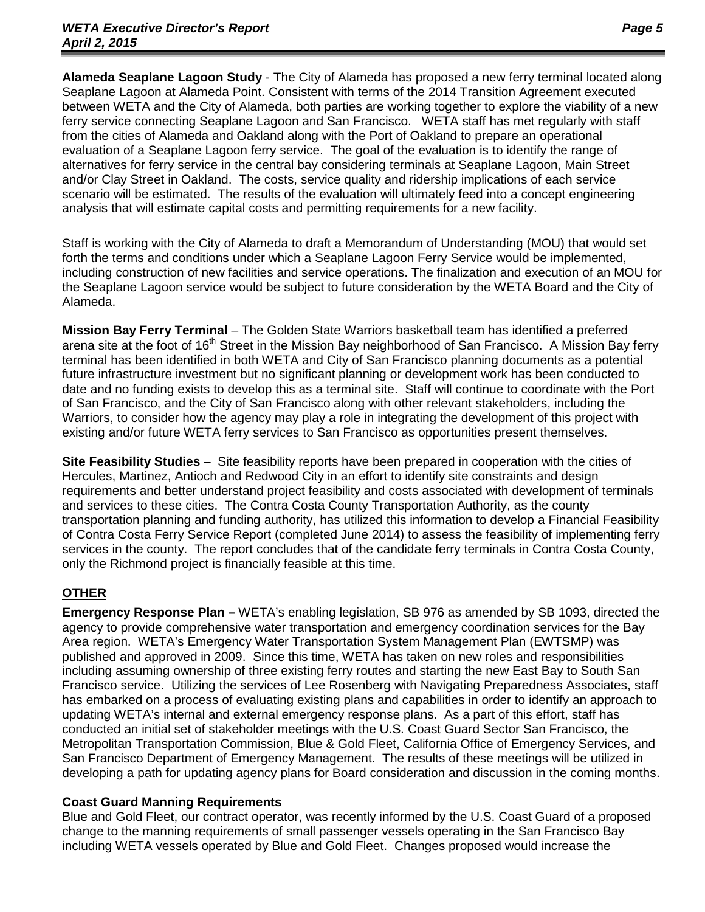**Alameda Seaplane Lagoon Study** - The City of Alameda has proposed a new ferry terminal located along Seaplane Lagoon at Alameda Point. Consistent with terms of the 2014 Transition Agreement executed between WETA and the City of Alameda, both parties are working together to explore the viability of a new ferry service connecting Seaplane Lagoon and San Francisco. WETA staff has met regularly with staff from the cities of Alameda and Oakland along with the Port of Oakland to prepare an operational evaluation of a Seaplane Lagoon ferry service. The goal of the evaluation is to identify the range of alternatives for ferry service in the central bay considering terminals at Seaplane Lagoon, Main Street and/or Clay Street in Oakland. The costs, service quality and ridership implications of each service scenario will be estimated. The results of the evaluation will ultimately feed into a concept engineering analysis that will estimate capital costs and permitting requirements for a new facility.

Staff is working with the City of Alameda to draft a Memorandum of Understanding (MOU) that would set forth the terms and conditions under which a Seaplane Lagoon Ferry Service would be implemented, including construction of new facilities and service operations. The finalization and execution of an MOU for the Seaplane Lagoon service would be subject to future consideration by the WETA Board and the City of Alameda.

**Mission Bay Ferry Terminal** – The Golden State Warriors basketball team has identified a preferred arena site at the foot of 16<sup>th</sup> Street in the Mission Bay neighborhood of San Francisco. A Mission Bay ferry terminal has been identified in both WETA and City of San Francisco planning documents as a potential future infrastructure investment but no significant planning or development work has been conducted to date and no funding exists to develop this as a terminal site. Staff will continue to coordinate with the Port of San Francisco, and the City of San Francisco along with other relevant stakeholders, including the Warriors, to consider how the agency may play a role in integrating the development of this project with existing and/or future WETA ferry services to San Francisco as opportunities present themselves.

**Site Feasibility Studies** – Site feasibility reports have been prepared in cooperation with the cities of Hercules, Martinez, Antioch and Redwood City in an effort to identify site constraints and design requirements and better understand project feasibility and costs associated with development of terminals and services to these cities. The Contra Costa County Transportation Authority, as the county transportation planning and funding authority, has utilized this information to develop a Financial Feasibility of Contra Costa Ferry Service Report (completed June 2014) to assess the feasibility of implementing ferry services in the county. The report concludes that of the candidate ferry terminals in Contra Costa County, only the Richmond project is financially feasible at this time.

# **OTHER**

**Emergency Response Plan –** WETA's enabling legislation, SB 976 as amended by SB 1093, directed the agency to provide comprehensive water transportation and emergency coordination services for the Bay Area region. WETA's Emergency Water Transportation System Management Plan (EWTSMP) was published and approved in 2009. Since this time, WETA has taken on new roles and responsibilities including assuming ownership of three existing ferry routes and starting the new East Bay to South San Francisco service. Utilizing the services of Lee Rosenberg with Navigating Preparedness Associates, staff has embarked on a process of evaluating existing plans and capabilities in order to identify an approach to updating WETA's internal and external emergency response plans. As a part of this effort, staff has conducted an initial set of stakeholder meetings with the U.S. Coast Guard Sector San Francisco, the Metropolitan Transportation Commission, Blue & Gold Fleet, California Office of Emergency Services, and San Francisco Department of Emergency Management. The results of these meetings will be utilized in developing a path for updating agency plans for Board consideration and discussion in the coming months.

# **Coast Guard Manning Requirements**

Blue and Gold Fleet, our contract operator, was recently informed by the U.S. Coast Guard of a proposed change to the manning requirements of small passenger vessels operating in the San Francisco Bay including WETA vessels operated by Blue and Gold Fleet. Changes proposed would increase the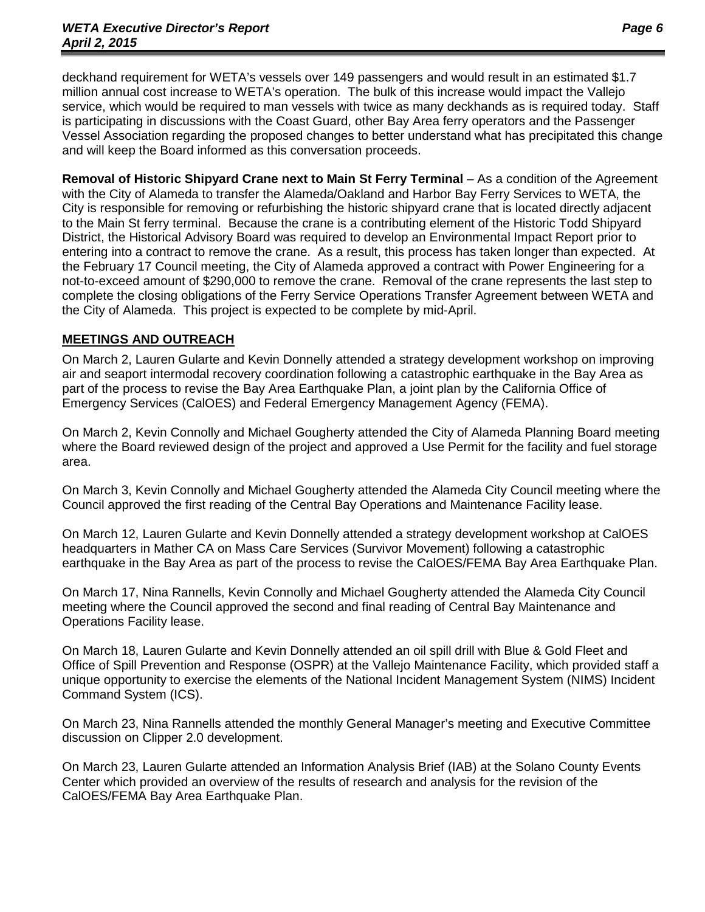deckhand requirement for WETA's vessels over 149 passengers and would result in an estimated \$1.7 million annual cost increase to WETA's operation. The bulk of this increase would impact the Vallejo service, which would be required to man vessels with twice as many deckhands as is required today. Staff is participating in discussions with the Coast Guard, other Bay Area ferry operators and the Passenger Vessel Association regarding the proposed changes to better understand what has precipitated this change and will keep the Board informed as this conversation proceeds.

**Removal of Historic Shipyard Crane next to Main St Ferry Terminal** – As a condition of the Agreement with the City of Alameda to transfer the Alameda/Oakland and Harbor Bay Ferry Services to WETA, the City is responsible for removing or refurbishing the historic shipyard crane that is located directly adjacent to the Main St ferry terminal. Because the crane is a contributing element of the Historic Todd Shipyard District, the Historical Advisory Board was required to develop an Environmental Impact Report prior to entering into a contract to remove the crane. As a result, this process has taken longer than expected. At the February 17 Council meeting, the City of Alameda approved a contract with Power Engineering for a not-to-exceed amount of \$290,000 to remove the crane. Removal of the crane represents the last step to complete the closing obligations of the Ferry Service Operations Transfer Agreement between WETA and the City of Alameda. This project is expected to be complete by mid-April.

# **MEETINGS AND OUTREACH**

On March 2, Lauren Gularte and Kevin Donnelly attended a strategy development workshop on improving air and seaport intermodal recovery coordination following a catastrophic earthquake in the Bay Area as part of the process to revise the Bay Area Earthquake Plan, a joint plan by the California Office of Emergency Services (CalOES) and Federal Emergency Management Agency (FEMA).

On March 2, Kevin Connolly and Michael Gougherty attended the City of Alameda Planning Board meeting where the Board reviewed design of the project and approved a Use Permit for the facility and fuel storage area.

On March 3, Kevin Connolly and Michael Gougherty attended the Alameda City Council meeting where the Council approved the first reading of the Central Bay Operations and Maintenance Facility lease.

On March 12, Lauren Gularte and Kevin Donnelly attended a strategy development workshop at CalOES headquarters in Mather CA on Mass Care Services (Survivor Movement) following a catastrophic earthquake in the Bay Area as part of the process to revise the CalOES/FEMA Bay Area Earthquake Plan.

On March 17, Nina Rannells, Kevin Connolly and Michael Gougherty attended the Alameda City Council meeting where the Council approved the second and final reading of Central Bay Maintenance and Operations Facility lease.

On March 18, Lauren Gularte and Kevin Donnelly attended an oil spill drill with Blue & Gold Fleet and Office of Spill Prevention and Response (OSPR) at the Vallejo Maintenance Facility, which provided staff a unique opportunity to exercise the elements of the National Incident Management System (NIMS) Incident Command System (ICS).

On March 23, Nina Rannells attended the monthly General Manager's meeting and Executive Committee discussion on Clipper 2.0 development.

On March 23, Lauren Gularte attended an Information Analysis Brief (IAB) at the Solano County Events Center which provided an overview of the results of research and analysis for the revision of the CalOES/FEMA Bay Area Earthquake Plan.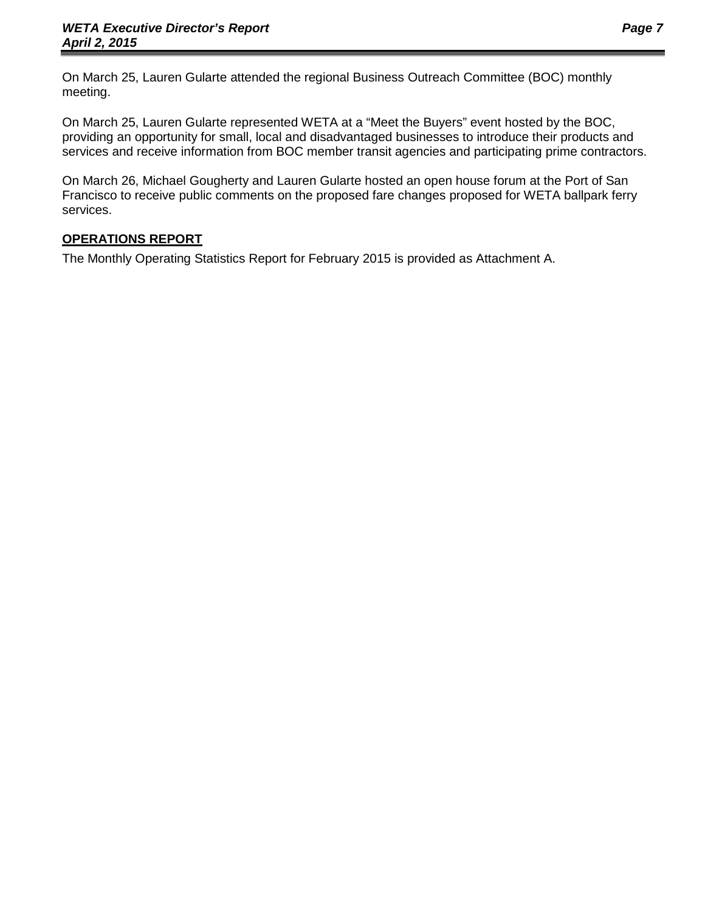On March 25, Lauren Gularte attended the regional Business Outreach Committee (BOC) monthly meeting.

On March 25, Lauren Gularte represented WETA at a "Meet the Buyers" event hosted by the BOC, providing an opportunity for small, local and disadvantaged businesses to introduce their products and services and receive information from BOC member transit agencies and participating prime contractors.

On March 26, Michael Gougherty and Lauren Gularte hosted an open house forum at the Port of San Francisco to receive public comments on the proposed fare changes proposed for WETA ballpark ferry services.

# **OPERATIONS REPORT**

The Monthly Operating Statistics Report for February 2015 is provided as Attachment A.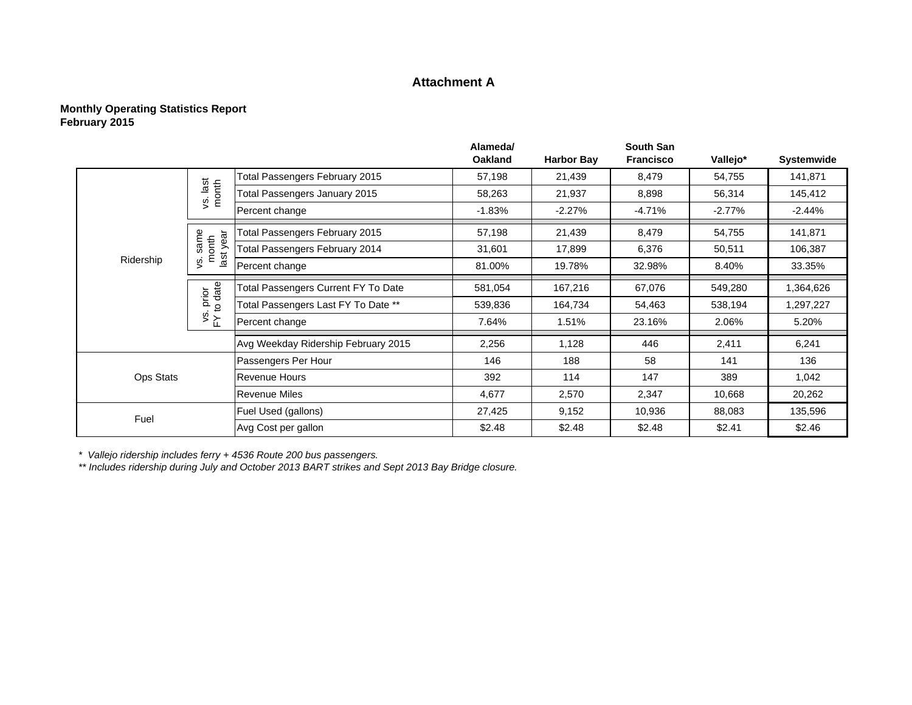# **Attachment A**

#### **Monthly Operating Statistics Report February 2015**

|           |                                   |                                            | Alameda/<br><b>Oakland</b> | <b>Harbor Bay</b> | <b>South San</b><br><b>Francisco</b> | Vallejo*  |                                                                                                                                                               |
|-----------|-----------------------------------|--------------------------------------------|----------------------------|-------------------|--------------------------------------|-----------|---------------------------------------------------------------------------------------------------------------------------------------------------------------|
|           |                                   |                                            |                            |                   |                                      |           |                                                                                                                                                               |
|           |                                   | Total Passengers February 2015             | 57,198                     | 21,439            | 8,479                                | 54,755    |                                                                                                                                                               |
|           | vs. last<br>month                 | Total Passengers January 2015              | 58,263                     | 21,937            | 8,898                                | 56,314    | Systemwide<br>141,871<br>145,412<br>$-2.44%$<br>141,871<br>106,387<br>33.35%<br>1,364,626<br>1,297,227<br>5.20%<br>6,241<br>136<br>1,042<br>20,262<br>135,596 |
|           |                                   | Percent change                             | $-1.83%$                   | $-2.27%$          | $-4.71%$                             | $-2.77\%$ |                                                                                                                                                               |
|           | ā                                 | Total Passengers February 2015             | 57,198                     | 21,439            | 8,479                                | 54,755    |                                                                                                                                                               |
|           | s. same<br>month<br>last ye       | Total Passengers February 2014             | 31,601                     | 17,899            | 6,376                                | 50,511    |                                                                                                                                                               |
| Ridership | Š                                 | Percent change                             | 81.00%                     | 19.78%            | 32.98%                               | 8.40%     |                                                                                                                                                               |
|           | prior<br>to date<br>$\frac{1}{2}$ | <b>Total Passengers Current FY To Date</b> | 581,054                    | 167,216           | 67,076                               | 549,280   |                                                                                                                                                               |
|           |                                   | Total Passengers Last FY To Date **        | 539,836                    | 164,734           | 54,463                               | 538,194   |                                                                                                                                                               |
|           |                                   | Percent change                             | 7.64%                      | 1.51%             | 23.16%                               | 2.06%     |                                                                                                                                                               |
|           |                                   | Avg Weekday Ridership February 2015        | 2,256                      | 1,128             | 446                                  | 2,411     |                                                                                                                                                               |
|           |                                   | Passengers Per Hour                        | 146                        | 188               | 58                                   | 141       |                                                                                                                                                               |
| Ops Stats |                                   | <b>Revenue Hours</b>                       | 392                        | 114               | 147                                  | 389       |                                                                                                                                                               |
|           |                                   | <b>Revenue Miles</b>                       | 4,677                      | 2,570             | 2,347                                | 10,668    |                                                                                                                                                               |
| Fuel      |                                   | Fuel Used (gallons)                        | 27,425                     | 9,152             | 10,936                               | 88,083    |                                                                                                                                                               |
|           |                                   | Avg Cost per gallon                        | \$2.48                     | \$2.48            | \$2.48                               | \$2.41    | \$2.46                                                                                                                                                        |

*\* Vallejo ridership includes ferry + 4536 Route 200 bus passengers.*

*\*\* Includes ridership during July and October 2013 BART strikes and Sept 2013 Bay Bridge closure.*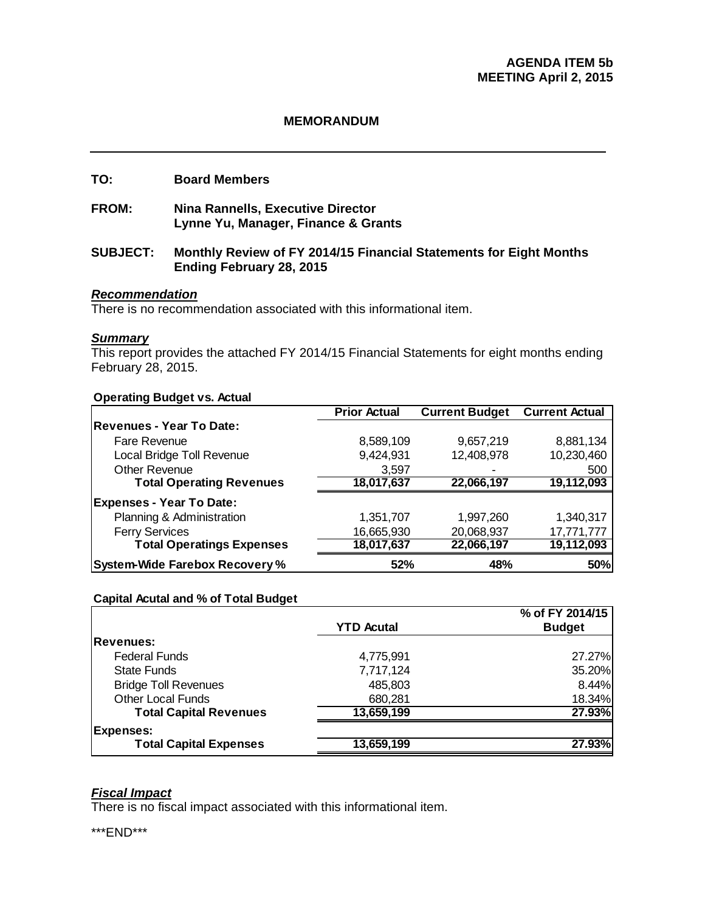#### **MEMORANDUM**

#### **TO: Board Members**

**FROM: Nina Rannells, Executive Director Lynne Yu, Manager, Finance & Grants** 

#### **SUBJECT: Monthly Review of FY 2014/15 Financial Statements for Eight Months Ending February 28, 2015**

#### *Recommendation*

There is no recommendation associated with this informational item.

#### *Summary*

This report provides the attached FY 2014/15 Financial Statements for eight months ending February 28, 2015.

#### **Operating Budget vs. Actual**

|                                       | <b>Prior Actual</b> | <b>Current Budget</b> | <b>Current Actual</b> |
|---------------------------------------|---------------------|-----------------------|-----------------------|
| Revenues - Year To Date:              |                     |                       |                       |
| Fare Revenue                          | 8,589,109           | 9,657,219             | 8,881,134             |
| Local Bridge Toll Revenue             | 9,424,931           | 12,408,978            | 10,230,460            |
| <b>Other Revenue</b>                  | 3,597               |                       | 500                   |
| <b>Total Operating Revenues</b>       | 18,017,637          | 22,066,197            | 19,112,093            |
| <b>Expenses - Year To Date:</b>       |                     |                       |                       |
| Planning & Administration             | 1,351,707           | 1,997,260             | 1,340,317             |
| <b>Ferry Services</b>                 | 16,665,930          | 20,068,937            | 17,771,777            |
| <b>Total Operatings Expenses</b>      | 18,017,637          | 22,066,197            | 19,112,093            |
| <b>System-Wide Farebox Recovery %</b> | 52%                 | 48%                   | 50%                   |

#### **Capital Acutal and % of Total Budget**

|                               |                   | % of FY 2014/15 |
|-------------------------------|-------------------|-----------------|
|                               | <b>YTD Acutal</b> | <b>Budget</b>   |
| <b>Revenues:</b>              |                   |                 |
| <b>Federal Funds</b>          | 4,775,991         | 27.27%          |
| <b>State Funds</b>            | 7,717,124         | 35.20%          |
| <b>Bridge Toll Revenues</b>   | 485,803           | 8.44%           |
| <b>Other Local Funds</b>      | 680,281           | 18.34%          |
| <b>Total Capital Revenues</b> | 13,659,199        | 27.93%          |
| <b>Expenses:</b>              |                   |                 |
| <b>Total Capital Expenses</b> | 13,659,199        | 27.93%          |

#### *Fiscal Impact*

There is no fiscal impact associated with this informational item.

\*\*\*END\*\*\*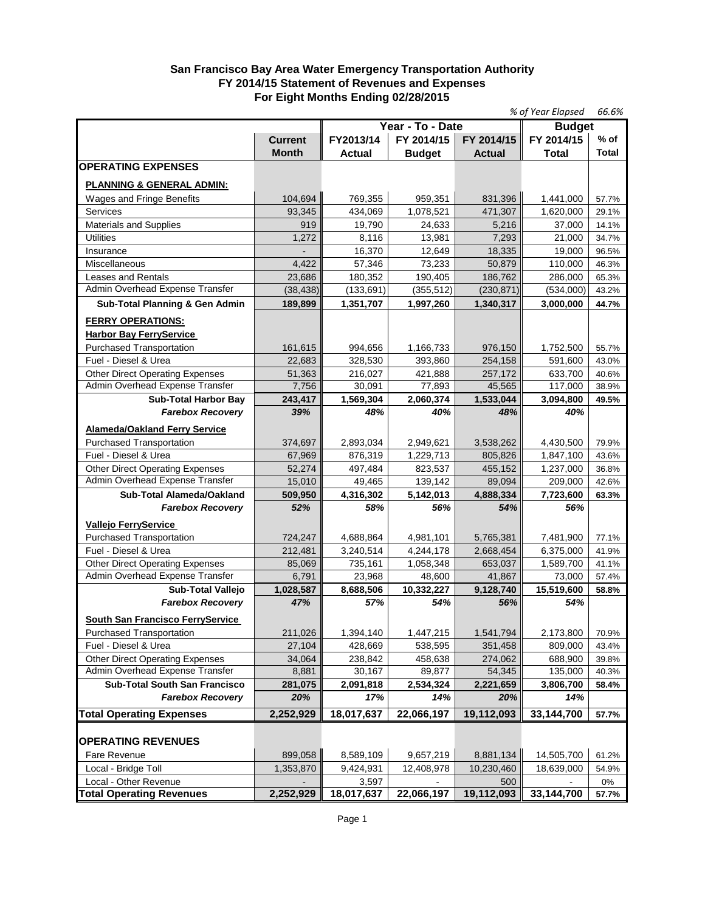#### **San Francisco Bay Area Water Emergency Transportation Authority FY 2014/15 Statement of Revenues and Expenses For Eight Months Ending 02/28/2015**

|                                         |                |               | % of Year Elapsed | 66.6%         |               |              |
|-----------------------------------------|----------------|---------------|-------------------|---------------|---------------|--------------|
|                                         |                |               | Year - To - Date  |               | <b>Budget</b> |              |
|                                         | <b>Current</b> | FY2013/14     | FY 2014/15        | FY 2014/15    | FY 2014/15    | $%$ of       |
|                                         | <b>Month</b>   | <b>Actual</b> | <b>Budget</b>     | <b>Actual</b> | Total         | <b>Total</b> |
| <b>OPERATING EXPENSES</b>               |                |               |                   |               |               |              |
| <b>PLANNING &amp; GENERAL ADMIN:</b>    |                |               |                   |               |               |              |
| Wages and Fringe Benefits               | 104,694        | 769,355       | 959,351           | 831,396       | 1,441,000     | 57.7%        |
| Services                                | 93,345         | 434,069       | 1,078,521         | 471,307       | 1,620,000     | 29.1%        |
| <b>Materials and Supplies</b>           | 919            | 19,790        | 24,633            | 5,216         | 37,000        | 14.1%        |
| <b>Utilities</b>                        | 1,272          | 8,116         | 13,981            | 7,293         | 21,000        | 34.7%        |
| Insurance                               |                | 16,370        | 12,649            | 18,335        | 19,000        | 96.5%        |
| Miscellaneous                           | 4,422          | 57,346        | 73,233            | 50.879        | 110,000       | 46.3%        |
| <b>Leases and Rentals</b>               | 23,686         | 180,352       | 190,405           | 186,762       | 286,000       | 65.3%        |
| Admin Overhead Expense Transfer         | (38, 438)      | (133, 691)    | (355, 512)        | (230, 871)    | (534,000)     | 43.2%        |
|                                         |                |               |                   |               |               |              |
| Sub-Total Planning & Gen Admin          | 189,899        | 1,351,707     | 1,997,260         | 1,340,317     | 3,000,000     | 44.7%        |
| <b>FERRY OPERATIONS:</b>                |                |               |                   |               |               |              |
| <b>Harbor Bay FerryService</b>          |                |               |                   |               |               |              |
| <b>Purchased Transportation</b>         | 161,615        | 994,656       | 1,166,733         | 976,150       | 1,752,500     | 55.7%        |
| Fuel - Diesel & Urea                    | 22,683         | 328,530       | 393,860           | 254,158       | 591,600       | 43.0%        |
| <b>Other Direct Operating Expenses</b>  | 51,363         | 216.027       | 421,888           | 257,172       | 633,700       | 40.6%        |
| Admin Overhead Expense Transfer         | 7,756          | 30,091        | 77,893            | 45,565        | 117,000       | 38.9%        |
| <b>Sub-Total Harbor Bay</b>             | 243,417        | 1,569,304     | 2,060,374         | 1,533,044     | 3,094,800     | 49.5%        |
| <b>Farebox Recovery</b>                 | 39%            | 48%           | 40%               | 48%           | 40%           |              |
| <b>Alameda/Oakland Ferry Service</b>    |                |               |                   |               |               |              |
| Purchased Transportation                | 374,697        | 2,893,034     | 2,949,621         | 3,538,262     | 4,430,500     | 79.9%        |
| Fuel - Diesel & Urea                    | 67,969         | 876,319       | 1,229,713         | 805,826       | 1,847,100     | 43.6%        |
| <b>Other Direct Operating Expenses</b>  | 52,274         | 497,484       | 823,537           | 455,152       | 1,237,000     | 36.8%        |
| Admin Overhead Expense Transfer         | 15,010         | 49,465        | 139,142           | 89,094        | 209,000       | 42.6%        |
| Sub-Total Alameda/Oakland               | 509,950        | 4,316,302     | 5,142,013         | 4,888,334     | 7,723,600     | 63.3%        |
| <b>Farebox Recovery</b>                 | 52%            | 58%           | 56%               | 54%           | 56%           |              |
| Vallejo FerryService                    |                |               |                   |               |               |              |
| <b>Purchased Transportation</b>         | 724,247        | 4,688,864     | 4,981,101         | 5,765,381     | 7,481,900     | 77.1%        |
| Fuel - Diesel & Urea                    | 212,481        | 3,240,514     | 4,244,178         | 2,668,454     | 6,375,000     | 41.9%        |
| <b>Other Direct Operating Expenses</b>  | 85,069         | 735,161       | 1,058,348         | 653,037       | 1,589,700     | 41.1%        |
| Admin Overhead Expense Transfer         | 6,791          | 23,968        | 48,600            | 41,867        | 73,000        | 57.4%        |
| Sub-Total Vallejo                       | 1,028,587      | 8,688,506     | 10,332,227        | 9,128,740     | 15,519,600    | 58.8%        |
| <b>Farebox Recovery</b>                 | 47%            | 57%           | 54%               | 56%           | 54%           |              |
|                                         |                |               |                   |               |               |              |
| <b>South San Francisco FerryService</b> |                |               |                   |               |               |              |
| <b>Purchased Transportation</b>         | 211,026        | 1,394,140     | 1,447,215         | 1,541,794     | 2,173,800     | 70.9%        |
| Fuel - Diesel & Urea                    | 27,104         | 428,669       | 538,595           | 351,458       | 809,000       | 43.4%        |
| <b>Other Direct Operating Expenses</b>  | 34,064         | 238,842       | 458,638           | 274,062       | 688,900       | 39.8%        |
| Admin Overhead Expense Transfer         | 8,881          | 30,167        | 89,877            | 54,345        | 135,000       | 40.3%        |
| <b>Sub-Total South San Francisco</b>    | 281,075        | 2,091,818     | 2,534,324         | 2,221,659     | 3,806,700     | 58.4%        |
| <b>Farebox Recovery</b>                 | 20%            | 17%           | 14%               | 20%           | 14%           |              |
| <b>Total Operating Expenses</b>         | 2,252,929      | 18,017,637    | 22,066,197        | 19,112,093    | 33,144,700    | 57.7%        |
|                                         |                |               |                   |               |               |              |
| <b>OPERATING REVENUES</b>               |                |               |                   |               |               |              |
| Fare Revenue                            | 899,058        | 8,589,109     | 9,657,219         | 8,881,134     | 14,505,700    | 61.2%        |
| Local - Bridge Toll                     | 1,353,870      | 9,424,931     | 12,408,978        | 10,230,460    | 18,639,000    | 54.9%        |
| Local - Other Revenue                   |                | 3,597         |                   | 500           |               | 0%           |
| <b>Total Operating Revenues</b>         | 2,252,929      | 18,017,637    | 22,066,197        | 19,112,093    | 33,144,700    | 57.7%        |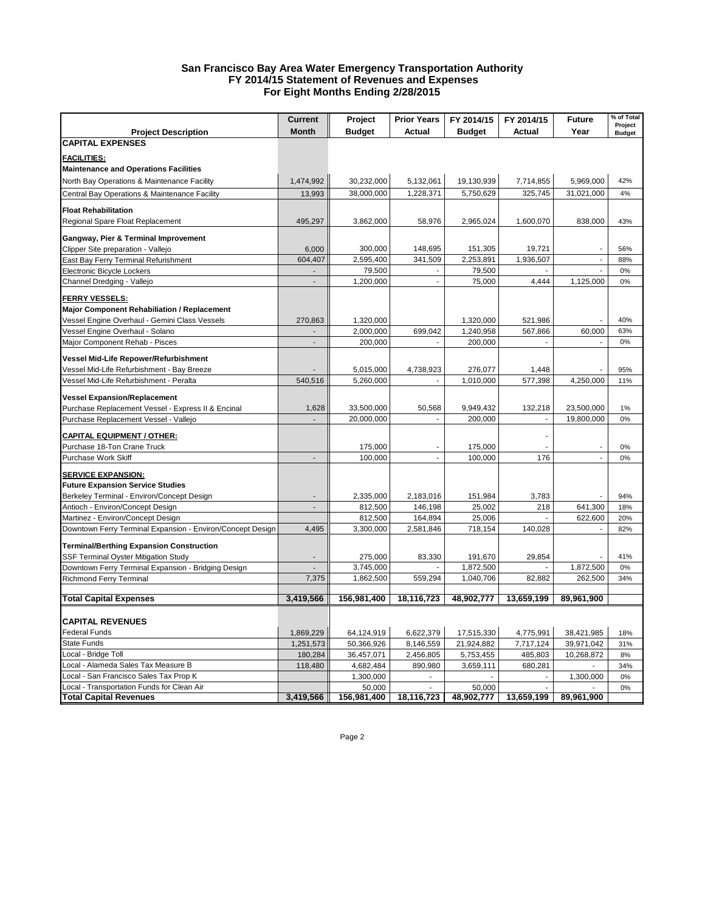#### **San Francisco Bay Area Water Emergency Transportation Authority FY 2014/15 Statement of Revenues and Expenses For Eight Months Ending 2/28/2015**

|                                                                       | <b>Current</b> | Project                | <b>Prior Years</b>   | FY 2014/15        | FY 2014/15               | <b>Future</b> | % of Total    |
|-----------------------------------------------------------------------|----------------|------------------------|----------------------|-------------------|--------------------------|---------------|---------------|
| <b>Project Description</b>                                            | <b>Month</b>   | <b>Budget</b>          | <b>Actual</b>        | <b>Budget</b>     | <b>Actual</b>            | Year          | Project       |
| <b>CAPITAL EXPENSES</b>                                               |                |                        |                      |                   |                          |               | <b>Budget</b> |
|                                                                       |                |                        |                      |                   |                          |               |               |
| <b>FACILITIES:</b>                                                    |                |                        |                      |                   |                          |               |               |
| <b>Maintenance and Operations Facilities</b>                          |                |                        |                      |                   |                          |               |               |
| North Bay Operations & Maintenance Facility                           | 1,474,992      | 30,232,000             | 5,132,061            | 19,130,939        | 7,714,855                | 5,969,000     | 42%           |
| Central Bay Operations & Maintenance Facility                         | 13,993         | 38,000,000             | 1,228,371            | 5,750,629         | 325,745                  | 31,021,000    | 4%            |
| <b>Float Rehabilitation</b>                                           |                |                        |                      |                   |                          |               |               |
| Regional Spare Float Replacement                                      | 495,297        | 3,862,000              | 58,976               | 2,965,024         | 1,600,070                | 838,000       | 43%           |
|                                                                       |                |                        |                      |                   |                          |               |               |
| Gangway, Pier & Terminal Improvement                                  |                |                        |                      |                   |                          |               |               |
| Clipper Site preparation - Vallejo                                    | 6,000          | 300,000                | 148,695              | 151,305           | 19,721                   | $\mathbf{r}$  | 56%           |
| East Bay Ferry Terminal Refurishment                                  | 604,407        | 2,595,400              | 341,509              | 2,253,891         | 1,936,507                |               | 88%           |
| Electronic Bicycle Lockers                                            |                | 79,500                 | ä,                   | 79,500            |                          |               | 0%            |
| Channel Dredging - Vallejo                                            |                | 1,200,000              |                      | 75,000            | 4,444                    | 1,125,000     | 0%            |
| <u>FERRY VESSELS:</u>                                                 |                |                        |                      |                   |                          |               |               |
| <b>Major Component Rehabiliation / Replacement</b>                    |                |                        |                      |                   |                          |               |               |
| Vessel Engine Overhaul - Gemini Class Vessels                         | 270,863        | 1,320,000              |                      | 1,320,000         | 521,986                  |               | 40%           |
| Vessel Engine Overhaul - Solano                                       |                | 2,000,000              | 699,042              | 1,240,958         | 567,866                  | 60,000        | 63%           |
| Major Component Rehab - Pisces                                        | $\overline{a}$ | 200,000                |                      | 200,000           |                          |               | 0%            |
| Vessel Mid-Life Repower/Refurbishment                                 |                |                        |                      |                   |                          |               |               |
| Vessel Mid-Life Refurbishment - Bay Breeze                            |                | 5,015,000              | 4,738,923            | 276,077           | 1,448                    |               | 95%           |
| Vessel Mid-Life Refurbishment - Peralta                               | 540,516        | 5,260,000              |                      | 1,010,000         | 577,398                  | 4,250,000     | 11%           |
|                                                                       |                |                        |                      |                   |                          |               |               |
| <b>Vessel Expansion/Replacement</b>                                   |                |                        |                      |                   |                          |               |               |
| Purchase Replacement Vessel - Express II & Encinal                    | 1,628          | 33,500,000             | 50,568               | 9,949,432         | 132,218                  | 23,500,000    | 1%            |
| Purchase Replacement Vessel - Vallejo                                 |                | 20,000,000             |                      | 200,000           | $\overline{\phantom{a}}$ | 19,800,000    | 0%            |
| <b>CAPITAL EQUIPMENT / OTHER:</b>                                     |                |                        |                      |                   |                          |               |               |
| Purchase 18-Ton Crane Truck                                           |                | 175,000                | $\blacksquare$       | 175,000           |                          |               | 0%            |
| Purchase Work Skiff                                                   | ÷.             | 100,000                | $\mathcal{L}$        | 100,000           | 176                      | ä,            | 0%            |
|                                                                       |                |                        |                      |                   |                          |               |               |
| <b>SERVICE EXPANSION:</b>                                             |                |                        |                      |                   |                          |               |               |
| <b>Future Expansion Service Studies</b>                               |                |                        |                      |                   |                          |               | 94%           |
| Berkeley Terminal - Environ/Concept Design                            |                | 2,335,000              | 2,183,016<br>146,198 | 151,984<br>25,002 | 3,783<br>218             | 641,300       | 18%           |
| Antioch - Environ/Concept Design<br>Martinez - Environ/Concept Design |                | 812,500<br>812,500     | 164,894              | 25,006            |                          | 622,600       | 20%           |
| Downtown Ferry Terminal Expansion - Environ/Concept Design            | 4,495          | 3,300,000              | 2,581,846            | 718,154           | 140,028                  |               | 82%           |
|                                                                       |                |                        |                      |                   |                          |               |               |
| <b>Terminal/Berthing Expansion Construction</b>                       |                |                        |                      |                   |                          |               |               |
| SSF Terminal Oyster Mitigation Study                                  |                | 275,000                | 83,330               | 191,670           | 29,854                   |               | 41%           |
| Downtown Ferry Terminal Expansion - Bridging Design                   |                | 3,745,000              |                      | 1,872,500         |                          | 1,872,500     | 0%            |
| <b>Richmond Ferry Terminal</b>                                        | 7,375          | 1,862,500              | 559,294              | 1,040,706         | 82,882                   | 262,500       | 34%           |
|                                                                       |                |                        |                      |                   |                          |               |               |
| <b>Total Capital Expenses</b>                                         | 3,419,566      | 156,981,400            | 18,116,723           | 48,902,777        | 13,659,199               | 89,961,900    |               |
|                                                                       |                |                        |                      |                   |                          |               |               |
| <b>CAPITAL REVENUES</b><br>Federal Funds                              |                |                        |                      |                   |                          |               |               |
|                                                                       | 1,869,229      | 64,124,919             | 6,622,379            | 17,515,330        | 4,775,991                | 38,421,985    | 18%           |
| <b>State Funds</b><br>Local - Bridge Toll                             | 1,251,573      | 50,366,926             | 8,146,559            | 21,924,882        | 7,717,124                | 39,971,042    | 31%           |
| Local - Alameda Sales Tax Measure B                                   | 180,284        | 36,457,071             | 2,456,805<br>890,980 | 5,753,455         | 485,803<br>680,281       | 10,268,872    | 8%<br>34%     |
| Local - San Francisco Sales Tax Prop K                                | 118,480        | 4,682,484<br>1,300,000 | ÷.                   | 3,659,111         | ÷                        | 1,300,000     | 0%            |
| Local - Transportation Funds for Clean Air                            |                | 50,000                 |                      | 50,000            |                          |               | 0%            |
| <b>Total Capital Revenues</b>                                         | 3,419,566      | 156,981,400            | 18,116,723           | 48,902,777        | 13,659,199               | 89,961,900    |               |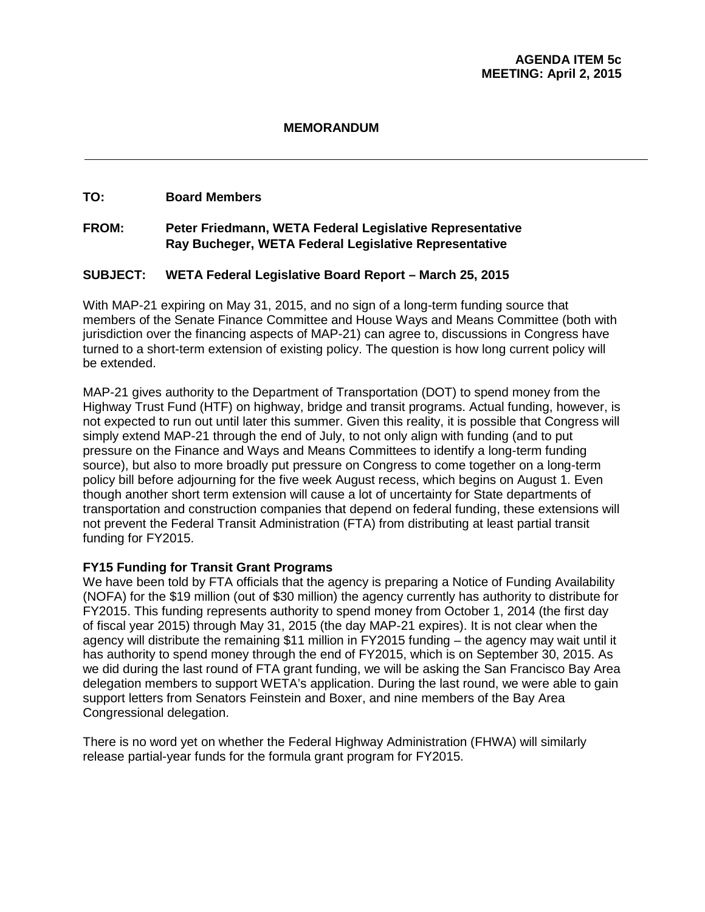#### **MEMORANDUM**

#### **TO: Board Members**

#### **FROM: Peter Friedmann, WETA Federal Legislative Representative Ray Bucheger, WETA Federal Legislative Representative**

#### **SUBJECT: WETA Federal Legislative Board Report – March 25, 2015**

With MAP-21 expiring on May 31, 2015, and no sign of a long-term funding source that members of the Senate Finance Committee and House Ways and Means Committee (both with jurisdiction over the financing aspects of MAP-21) can agree to, discussions in Congress have turned to a short-term extension of existing policy. The question is how long current policy will be extended.

MAP-21 gives authority to the Department of Transportation (DOT) to spend money from the Highway Trust Fund (HTF) on highway, bridge and transit programs. Actual funding, however, is not expected to run out until later this summer. Given this reality, it is possible that Congress will simply extend MAP-21 through the end of July, to not only align with funding (and to put pressure on the Finance and Ways and Means Committees to identify a long-term funding source), but also to more broadly put pressure on Congress to come together on a long-term policy bill before adjourning for the five week August recess, which begins on August 1. Even though another short term extension will cause a lot of uncertainty for State departments of transportation and construction companies that depend on federal funding, these extensions will not prevent the Federal Transit Administration (FTA) from distributing at least partial transit funding for FY2015.

#### **FY15 Funding for Transit Grant Programs**

We have been told by FTA officials that the agency is preparing a Notice of Funding Availability (NOFA) for the \$19 million (out of \$30 million) the agency currently has authority to distribute for FY2015. This funding represents authority to spend money from October 1, 2014 (the first day of fiscal year 2015) through May 31, 2015 (the day MAP-21 expires). It is not clear when the agency will distribute the remaining \$11 million in FY2015 funding – the agency may wait until it has authority to spend money through the end of FY2015, which is on September 30, 2015. As we did during the last round of FTA grant funding, we will be asking the San Francisco Bay Area delegation members to support WETA's application. During the last round, we were able to gain support letters from Senators Feinstein and Boxer, and nine members of the Bay Area Congressional delegation.

There is no word yet on whether the Federal Highway Administration (FHWA) will similarly release partial-year funds for the formula grant program for FY2015.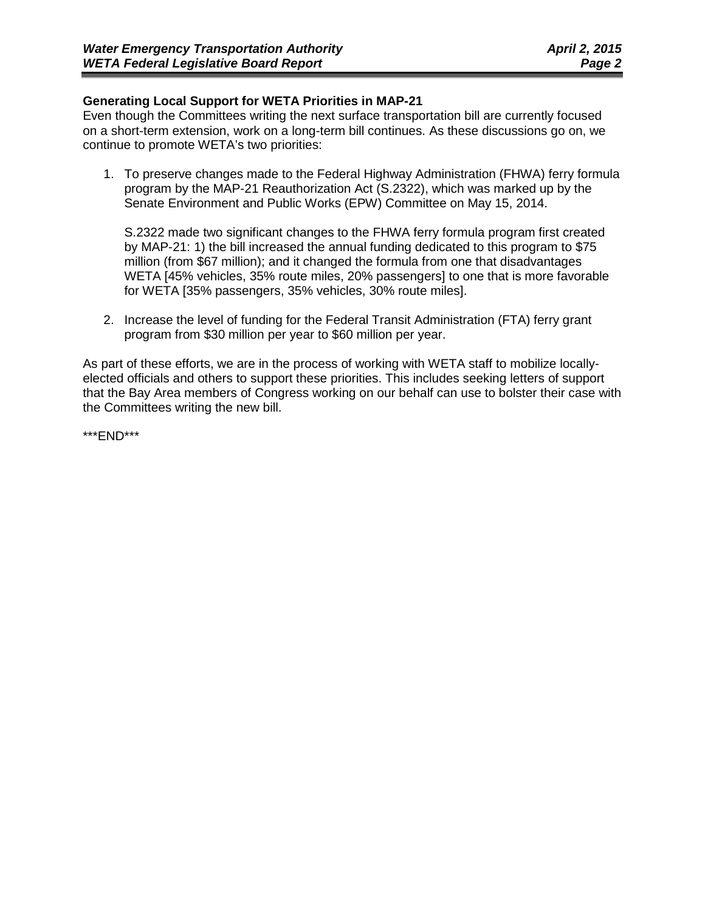#### **Generating Local Support for WETA Priorities in MAP-21**

Even though the Committees writing the next surface transportation bill are currently focused on a short-term extension, work on a long-term bill continues. As these discussions go on, we continue to promote WETA's two priorities:

1. To preserve changes made to the Federal Highway Administration (FHWA) ferry formula program by the MAP-21 Reauthorization Act (S.2322), which was marked up by the Senate Environment and Public Works (EPW) Committee on May 15, 2014.

S.2322 made two significant changes to the FHWA ferry formula program first created by MAP-21: 1) the bill increased the annual funding dedicated to this program to \$75 million (from \$67 million); and it changed the formula from one that disadvantages WETA [45% vehicles, 35% route miles, 20% passengers] to one that is more favorable for WETA [35% passengers, 35% vehicles, 30% route miles].

2. Increase the level of funding for the Federal Transit Administration (FTA) ferry grant program from \$30 million per year to \$60 million per year.

As part of these efforts, we are in the process of working with WETA staff to mobilize locallyelected officials and others to support these priorities. This includes seeking letters of support that the Bay Area members of Congress working on our behalf can use to bolster their case with the Committees writing the new bill.

\*\*\*END\*\*\*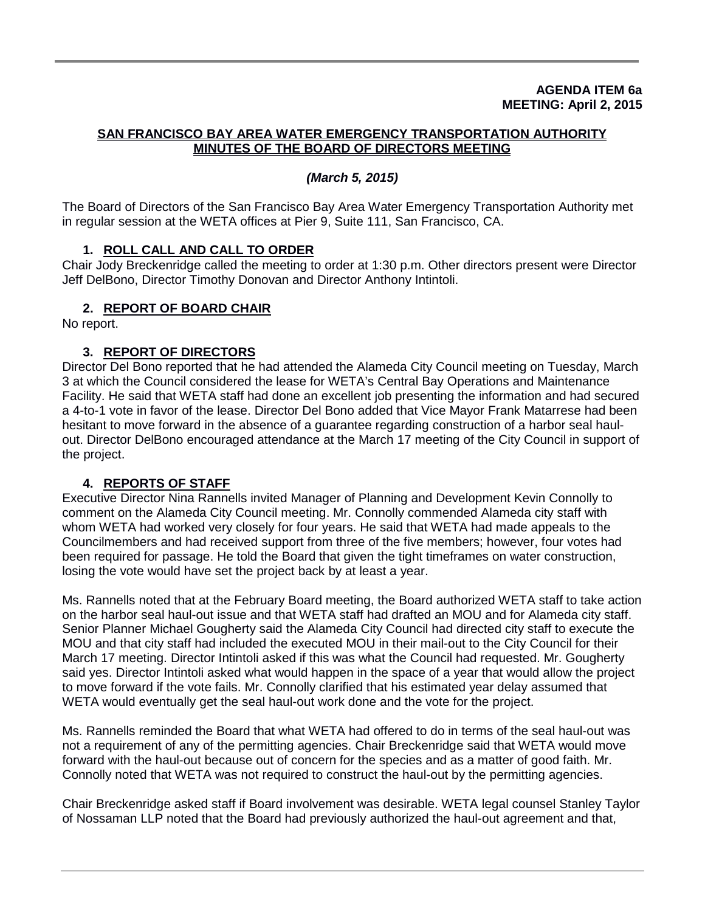#### **AGENDA ITEM 6a MEETING: April 2, 2015**

#### **SAN FRANCISCO BAY AREA WATER EMERGENCY TRANSPORTATION AUTHORITY MINUTES OF THE BOARD OF DIRECTORS MEETING**

# *(March 5, 2015)*

The Board of Directors of the San Francisco Bay Area Water Emergency Transportation Authority met in regular session at the WETA offices at Pier 9, Suite 111, San Francisco, CA.

# **1. ROLL CALL AND CALL TO ORDER**

Chair Jody Breckenridge called the meeting to order at 1:30 p.m. Other directors present were Director Jeff DelBono, Director Timothy Donovan and Director Anthony Intintoli.

# **2. REPORT OF BOARD CHAIR**

No report.

# **3. REPORT OF DIRECTORS**

Director Del Bono reported that he had attended the Alameda City Council meeting on Tuesday, March 3 at which the Council considered the lease for WETA's Central Bay Operations and Maintenance Facility. He said that WETA staff had done an excellent job presenting the information and had secured a 4-to-1 vote in favor of the lease. Director Del Bono added that Vice Mayor Frank Matarrese had been hesitant to move forward in the absence of a guarantee regarding construction of a harbor seal haulout. Director DelBono encouraged attendance at the March 17 meeting of the City Council in support of the project.

#### **4. REPORTS OF STAFF**

Executive Director Nina Rannells invited Manager of Planning and Development Kevin Connolly to comment on the Alameda City Council meeting. Mr. Connolly commended Alameda city staff with whom WETA had worked very closely for four years. He said that WETA had made appeals to the Councilmembers and had received support from three of the five members; however, four votes had been required for passage. He told the Board that given the tight timeframes on water construction, losing the vote would have set the project back by at least a year.

Ms. Rannells noted that at the February Board meeting, the Board authorized WETA staff to take action on the harbor seal haul-out issue and that WETA staff had drafted an MOU and for Alameda city staff. Senior Planner Michael Gougherty said the Alameda City Council had directed city staff to execute the MOU and that city staff had included the executed MOU in their mail-out to the City Council for their March 17 meeting. Director Intintoli asked if this was what the Council had requested. Mr. Gougherty said yes. Director Intintoli asked what would happen in the space of a year that would allow the project to move forward if the vote fails. Mr. Connolly clarified that his estimated year delay assumed that WETA would eventually get the seal haul-out work done and the vote for the project.

Ms. Rannells reminded the Board that what WETA had offered to do in terms of the seal haul-out was not a requirement of any of the permitting agencies. Chair Breckenridge said that WETA would move forward with the haul-out because out of concern for the species and as a matter of good faith. Mr. Connolly noted that WETA was not required to construct the haul-out by the permitting agencies.

Chair Breckenridge asked staff if Board involvement was desirable. WETA legal counsel Stanley Taylor of Nossaman LLP noted that the Board had previously authorized the haul-out agreement and that,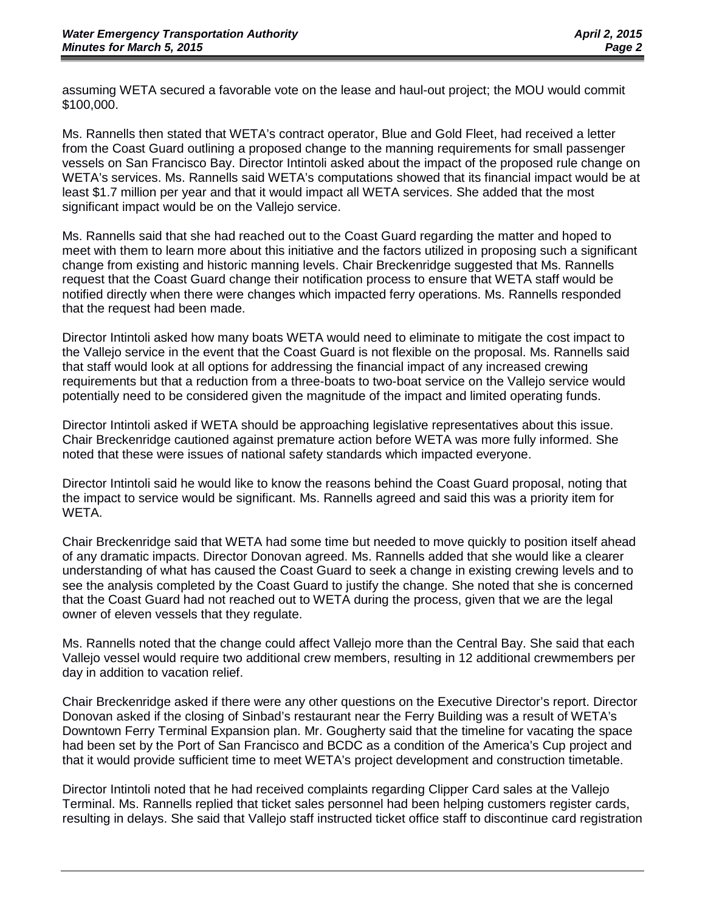assuming WETA secured a favorable vote on the lease and haul-out project; the MOU would commit \$100,000.

Ms. Rannells then stated that WETA's contract operator, Blue and Gold Fleet, had received a letter from the Coast Guard outlining a proposed change to the manning requirements for small passenger vessels on San Francisco Bay. Director Intintoli asked about the impact of the proposed rule change on WETA's services. Ms. Rannells said WETA's computations showed that its financial impact would be at least \$1.7 million per year and that it would impact all WETA services. She added that the most significant impact would be on the Vallejo service.

Ms. Rannells said that she had reached out to the Coast Guard regarding the matter and hoped to meet with them to learn more about this initiative and the factors utilized in proposing such a significant change from existing and historic manning levels. Chair Breckenridge suggested that Ms. Rannells request that the Coast Guard change their notification process to ensure that WETA staff would be notified directly when there were changes which impacted ferry operations. Ms. Rannells responded that the request had been made.

Director Intintoli asked how many boats WETA would need to eliminate to mitigate the cost impact to the Vallejo service in the event that the Coast Guard is not flexible on the proposal. Ms. Rannells said that staff would look at all options for addressing the financial impact of any increased crewing requirements but that a reduction from a three-boats to two-boat service on the Vallejo service would potentially need to be considered given the magnitude of the impact and limited operating funds.

Director Intintoli asked if WETA should be approaching legislative representatives about this issue. Chair Breckenridge cautioned against premature action before WETA was more fully informed. She noted that these were issues of national safety standards which impacted everyone.

Director Intintoli said he would like to know the reasons behind the Coast Guard proposal, noting that the impact to service would be significant. Ms. Rannells agreed and said this was a priority item for WETA.

Chair Breckenridge said that WETA had some time but needed to move quickly to position itself ahead of any dramatic impacts. Director Donovan agreed. Ms. Rannells added that she would like a clearer understanding of what has caused the Coast Guard to seek a change in existing crewing levels and to see the analysis completed by the Coast Guard to justify the change. She noted that she is concerned that the Coast Guard had not reached out to WETA during the process, given that we are the legal owner of eleven vessels that they regulate.

Ms. Rannells noted that the change could affect Vallejo more than the Central Bay. She said that each Vallejo vessel would require two additional crew members, resulting in 12 additional crewmembers per day in addition to vacation relief.

Chair Breckenridge asked if there were any other questions on the Executive Director's report. Director Donovan asked if the closing of Sinbad's restaurant near the Ferry Building was a result of WETA's Downtown Ferry Terminal Expansion plan. Mr. Gougherty said that the timeline for vacating the space had been set by the Port of San Francisco and BCDC as a condition of the America's Cup project and that it would provide sufficient time to meet WETA's project development and construction timetable.

Director Intintoli noted that he had received complaints regarding Clipper Card sales at the Vallejo Terminal. Ms. Rannells replied that ticket sales personnel had been helping customers register cards, resulting in delays. She said that Vallejo staff instructed ticket office staff to discontinue card registration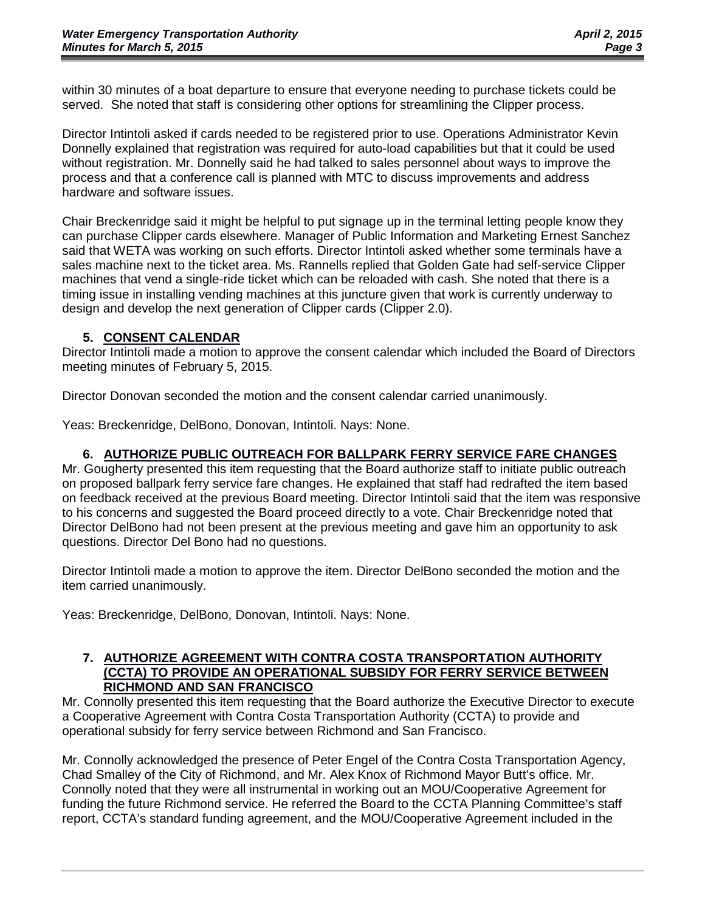within 30 minutes of a boat departure to ensure that everyone needing to purchase tickets could be served. She noted that staff is considering other options for streamlining the Clipper process.

Director Intintoli asked if cards needed to be registered prior to use. Operations Administrator Kevin Donnelly explained that registration was required for auto-load capabilities but that it could be used without registration. Mr. Donnelly said he had talked to sales personnel about ways to improve the process and that a conference call is planned with MTC to discuss improvements and address hardware and software issues.

Chair Breckenridge said it might be helpful to put signage up in the terminal letting people know they can purchase Clipper cards elsewhere. Manager of Public Information and Marketing Ernest Sanchez said that WETA was working on such efforts. Director Intintoli asked whether some terminals have a sales machine next to the ticket area. Ms. Rannells replied that Golden Gate had self-service Clipper machines that vend a single-ride ticket which can be reloaded with cash. She noted that there is a timing issue in installing vending machines at this juncture given that work is currently underway to design and develop the next generation of Clipper cards (Clipper 2.0).

#### **5. CONSENT CALENDAR**

Director Intintoli made a motion to approve the consent calendar which included the Board of Directors meeting minutes of February 5, 2015.

Director Donovan seconded the motion and the consent calendar carried unanimously.

Yeas: Breckenridge, DelBono, Donovan, Intintoli. Nays: None.

#### **6. AUTHORIZE PUBLIC OUTREACH FOR BALLPARK FERRY SERVICE FARE CHANGES**

Mr. Gougherty presented this item requesting that the Board authorize staff to initiate public outreach on proposed ballpark ferry service fare changes. He explained that staff had redrafted the item based on feedback received at the previous Board meeting. Director Intintoli said that the item was responsive to his concerns and suggested the Board proceed directly to a vote. Chair Breckenridge noted that Director DelBono had not been present at the previous meeting and gave him an opportunity to ask questions. Director Del Bono had no questions.

Director Intintoli made a motion to approve the item. Director DelBono seconded the motion and the item carried unanimously.

Yeas: Breckenridge, DelBono, Donovan, Intintoli. Nays: None.

#### **7. AUTHORIZE AGREEMENT WITH CONTRA COSTA TRANSPORTATION AUTHORITY (CCTA) TO PROVIDE AN OPERATIONAL SUBSIDY FOR FERRY SERVICE BETWEEN RICHMOND AND SAN FRANCISCO**

Mr. Connolly presented this item requesting that the Board authorize the Executive Director to execute a Cooperative Agreement with Contra Costa Transportation Authority (CCTA) to provide and operational subsidy for ferry service between Richmond and San Francisco.

Mr. Connolly acknowledged the presence of Peter Engel of the Contra Costa Transportation Agency, Chad Smalley of the City of Richmond, and Mr. Alex Knox of Richmond Mayor Butt's office. Mr. Connolly noted that they were all instrumental in working out an MOU/Cooperative Agreement for funding the future Richmond service. He referred the Board to the CCTA Planning Committee's staff report, CCTA's standard funding agreement, and the MOU/Cooperative Agreement included in the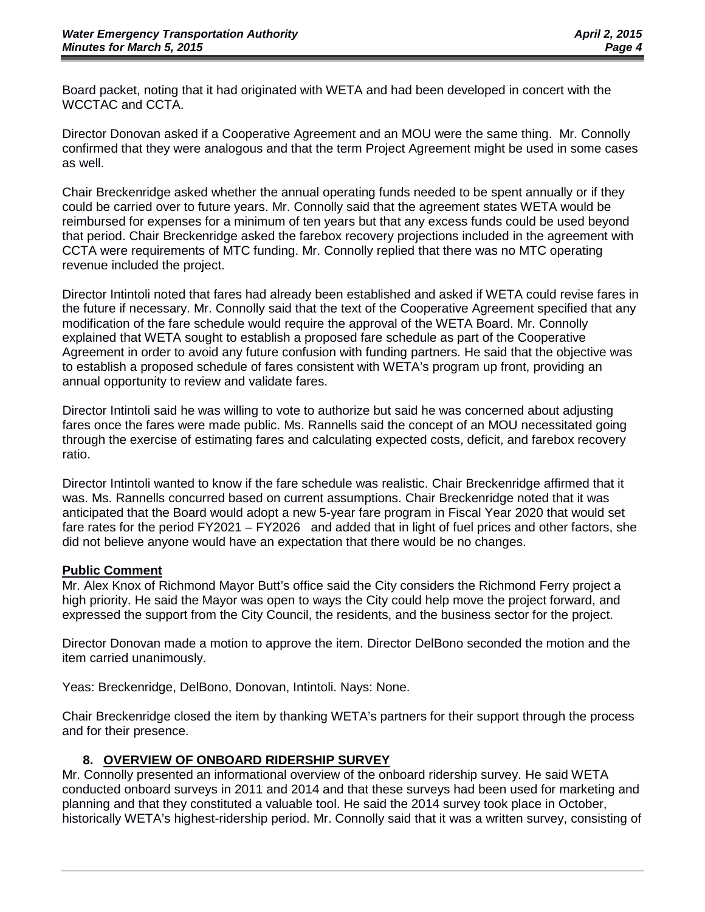Board packet, noting that it had originated with WETA and had been developed in concert with the WCCTAC and CCTA.

Director Donovan asked if a Cooperative Agreement and an MOU were the same thing. Mr. Connolly confirmed that they were analogous and that the term Project Agreement might be used in some cases as well.

Chair Breckenridge asked whether the annual operating funds needed to be spent annually or if they could be carried over to future years. Mr. Connolly said that the agreement states WETA would be reimbursed for expenses for a minimum of ten years but that any excess funds could be used beyond that period. Chair Breckenridge asked the farebox recovery projections included in the agreement with CCTA were requirements of MTC funding. Mr. Connolly replied that there was no MTC operating revenue included the project.

Director Intintoli noted that fares had already been established and asked if WETA could revise fares in the future if necessary. Mr. Connolly said that the text of the Cooperative Agreement specified that any modification of the fare schedule would require the approval of the WETA Board. Mr. Connolly explained that WETA sought to establish a proposed fare schedule as part of the Cooperative Agreement in order to avoid any future confusion with funding partners. He said that the objective was to establish a proposed schedule of fares consistent with WETA's program up front, providing an annual opportunity to review and validate fares.

Director Intintoli said he was willing to vote to authorize but said he was concerned about adjusting fares once the fares were made public. Ms. Rannells said the concept of an MOU necessitated going through the exercise of estimating fares and calculating expected costs, deficit, and farebox recovery ratio.

Director Intintoli wanted to know if the fare schedule was realistic. Chair Breckenridge affirmed that it was. Ms. Rannells concurred based on current assumptions. Chair Breckenridge noted that it was anticipated that the Board would adopt a new 5-year fare program in Fiscal Year 2020 that would set fare rates for the period FY2021 – FY2026 and added that in light of fuel prices and other factors, she did not believe anyone would have an expectation that there would be no changes.

#### **Public Comment**

Mr. Alex Knox of Richmond Mayor Butt's office said the City considers the Richmond Ferry project a high priority. He said the Mayor was open to ways the City could help move the project forward, and expressed the support from the City Council, the residents, and the business sector for the project.

Director Donovan made a motion to approve the item. Director DelBono seconded the motion and the item carried unanimously.

Yeas: Breckenridge, DelBono, Donovan, Intintoli. Nays: None.

Chair Breckenridge closed the item by thanking WETA's partners for their support through the process and for their presence.

#### **8. OVERVIEW OF ONBOARD RIDERSHIP SURVEY**

Mr. Connolly presented an informational overview of the onboard ridership survey. He said WETA conducted onboard surveys in 2011 and 2014 and that these surveys had been used for marketing and planning and that they constituted a valuable tool. He said the 2014 survey took place in October, historically WETA's highest-ridership period. Mr. Connolly said that it was a written survey, consisting of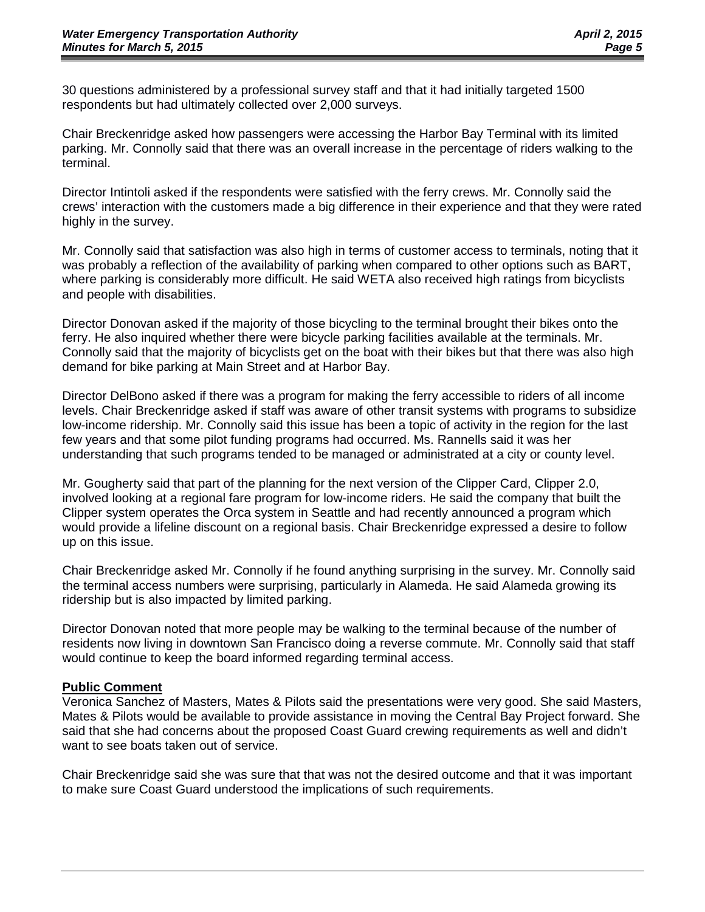30 questions administered by a professional survey staff and that it had initially targeted 1500 respondents but had ultimately collected over 2,000 surveys.

Chair Breckenridge asked how passengers were accessing the Harbor Bay Terminal with its limited parking. Mr. Connolly said that there was an overall increase in the percentage of riders walking to the terminal.

Director Intintoli asked if the respondents were satisfied with the ferry crews. Mr. Connolly said the crews' interaction with the customers made a big difference in their experience and that they were rated highly in the survey.

Mr. Connolly said that satisfaction was also high in terms of customer access to terminals, noting that it was probably a reflection of the availability of parking when compared to other options such as BART, where parking is considerably more difficult. He said WETA also received high ratings from bicyclists and people with disabilities.

Director Donovan asked if the majority of those bicycling to the terminal brought their bikes onto the ferry. He also inquired whether there were bicycle parking facilities available at the terminals. Mr. Connolly said that the majority of bicyclists get on the boat with their bikes but that there was also high demand for bike parking at Main Street and at Harbor Bay.

Director DelBono asked if there was a program for making the ferry accessible to riders of all income levels. Chair Breckenridge asked if staff was aware of other transit systems with programs to subsidize low-income ridership. Mr. Connolly said this issue has been a topic of activity in the region for the last few years and that some pilot funding programs had occurred. Ms. Rannells said it was her understanding that such programs tended to be managed or administrated at a city or county level.

Mr. Gougherty said that part of the planning for the next version of the Clipper Card, Clipper 2.0, involved looking at a regional fare program for low-income riders. He said the company that built the Clipper system operates the Orca system in Seattle and had recently announced a program which would provide a lifeline discount on a regional basis. Chair Breckenridge expressed a desire to follow up on this issue.

Chair Breckenridge asked Mr. Connolly if he found anything surprising in the survey. Mr. Connolly said the terminal access numbers were surprising, particularly in Alameda. He said Alameda growing its ridership but is also impacted by limited parking.

Director Donovan noted that more people may be walking to the terminal because of the number of residents now living in downtown San Francisco doing a reverse commute. Mr. Connolly said that staff would continue to keep the board informed regarding terminal access.

#### **Public Comment**

Veronica Sanchez of Masters, Mates & Pilots said the presentations were very good. She said Masters, Mates & Pilots would be available to provide assistance in moving the Central Bay Project forward. She said that she had concerns about the proposed Coast Guard crewing requirements as well and didn't want to see boats taken out of service.

Chair Breckenridge said she was sure that that was not the desired outcome and that it was important to make sure Coast Guard understood the implications of such requirements.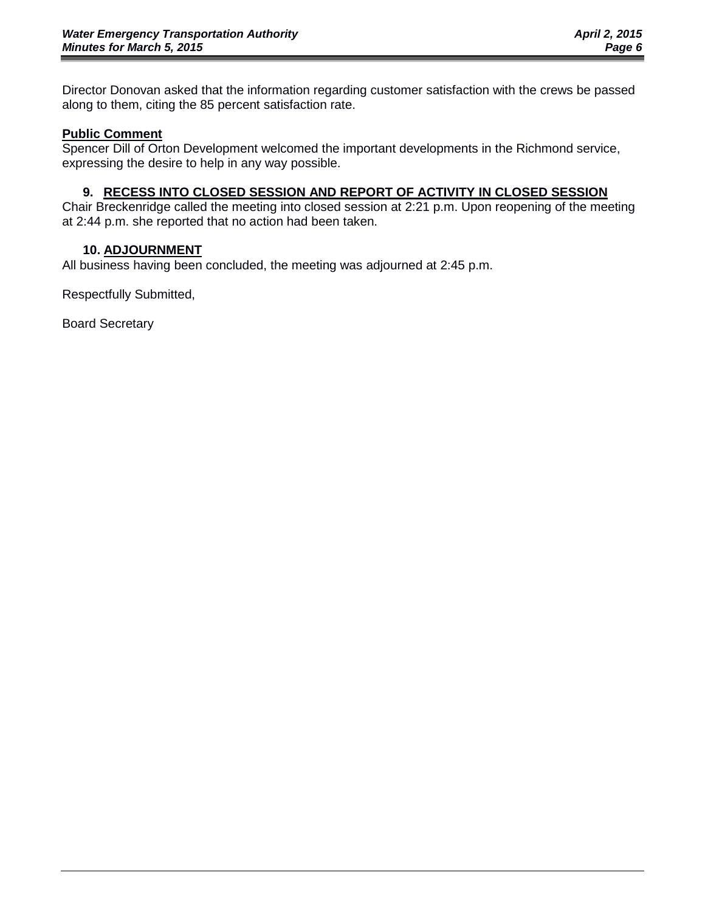Director Donovan asked that the information regarding customer satisfaction with the crews be passed along to them, citing the 85 percent satisfaction rate.

#### **Public Comment**

Spencer Dill of Orton Development welcomed the important developments in the Richmond service, expressing the desire to help in any way possible.

#### **9. RECESS INTO CLOSED SESSION AND REPORT OF ACTIVITY IN CLOSED SESSION**

Chair Breckenridge called the meeting into closed session at 2:21 p.m. Upon reopening of the meeting at 2:44 p.m. she reported that no action had been taken.

#### **10. ADJOURNMENT**

All business having been concluded, the meeting was adjourned at 2:45 p.m.

Respectfully Submitted,

Board Secretary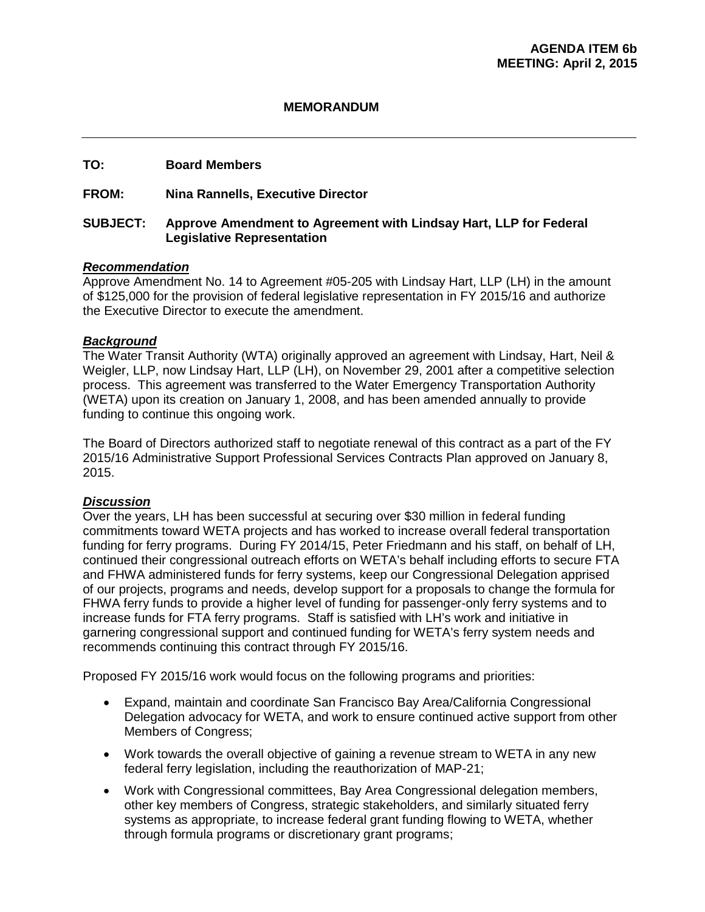#### **MEMORANDUM**

#### **TO: Board Members**

#### **FROM: Nina Rannells, Executive Director**

#### **SUBJECT: Approve Amendment to Agreement with Lindsay Hart, LLP for Federal Legislative Representation**

#### *Recommendation*

Approve Amendment No. 14 to Agreement #05-205 with Lindsay Hart, LLP (LH) in the amount of \$125,000 for the provision of federal legislative representation in FY 2015/16 and authorize the Executive Director to execute the amendment.

#### *Background*

The Water Transit Authority (WTA) originally approved an agreement with Lindsay, Hart, Neil & Weigler, LLP, now Lindsay Hart, LLP (LH), on November 29, 2001 after a competitive selection process. This agreement was transferred to the Water Emergency Transportation Authority (WETA) upon its creation on January 1, 2008, and has been amended annually to provide funding to continue this ongoing work.

The Board of Directors authorized staff to negotiate renewal of this contract as a part of the FY 2015/16 Administrative Support Professional Services Contracts Plan approved on January 8, 2015.

#### *Discussion*

Over the years, LH has been successful at securing over \$30 million in federal funding commitments toward WETA projects and has worked to increase overall federal transportation funding for ferry programs. During FY 2014/15, Peter Friedmann and his staff, on behalf of LH, continued their congressional outreach efforts on WETA's behalf including efforts to secure FTA and FHWA administered funds for ferry systems, keep our Congressional Delegation apprised of our projects, programs and needs, develop support for a proposals to change the formula for FHWA ferry funds to provide a higher level of funding for passenger-only ferry systems and to increase funds for FTA ferry programs. Staff is satisfied with LH's work and initiative in garnering congressional support and continued funding for WETA's ferry system needs and recommends continuing this contract through FY 2015/16.

Proposed FY 2015/16 work would focus on the following programs and priorities:

- Expand, maintain and coordinate San Francisco Bay Area/California Congressional Delegation advocacy for WETA, and work to ensure continued active support from other Members of Congress;
- Work towards the overall objective of gaining a revenue stream to WETA in any new federal ferry legislation, including the reauthorization of MAP-21;
- Work with Congressional committees, Bay Area Congressional delegation members, other key members of Congress, strategic stakeholders, and similarly situated ferry systems as appropriate, to increase federal grant funding flowing to WETA, whether through formula programs or discretionary grant programs;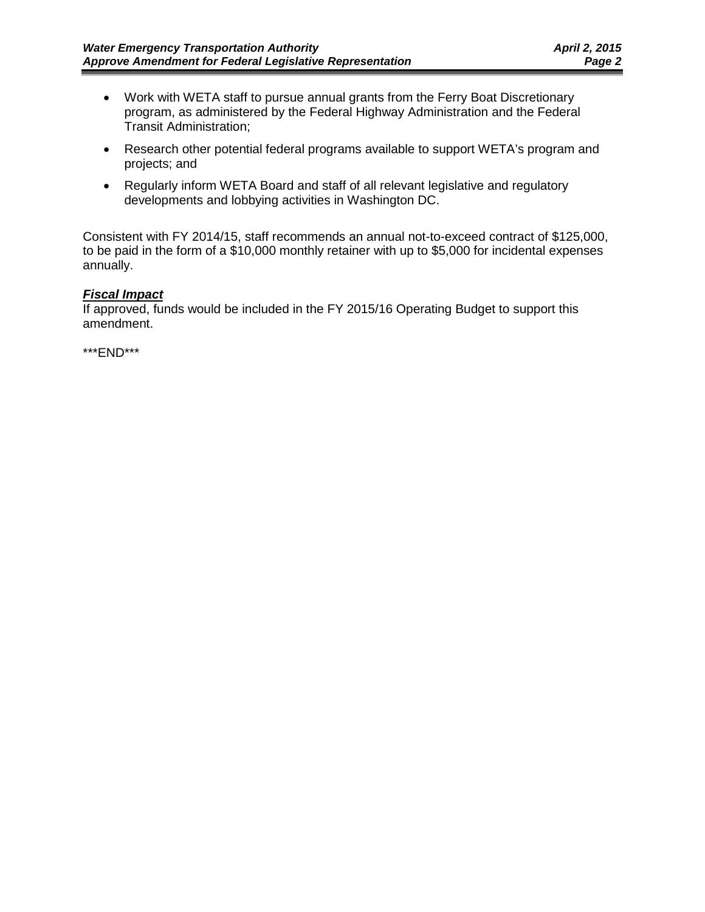- Work with WETA staff to pursue annual grants from the Ferry Boat Discretionary program, as administered by the Federal Highway Administration and the Federal Transit Administration;
- Research other potential federal programs available to support WETA's program and projects; and
- Regularly inform WETA Board and staff of all relevant legislative and regulatory developments and lobbying activities in Washington DC.

Consistent with FY 2014/15, staff recommends an annual not-to-exceed contract of \$125,000, to be paid in the form of a \$10,000 monthly retainer with up to \$5,000 for incidental expenses annually.

#### *Fiscal Impact*

If approved, funds would be included in the FY 2015/16 Operating Budget to support this amendment.

\*\*\*END\*\*\*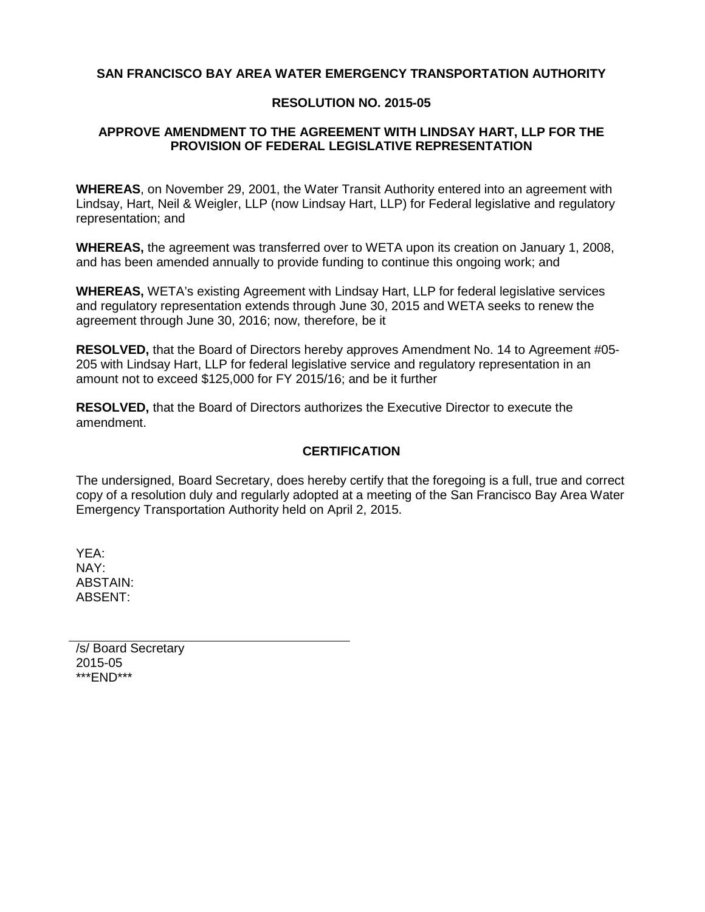#### **SAN FRANCISCO BAY AREA WATER EMERGENCY TRANSPORTATION AUTHORITY**

#### **RESOLUTION NO. 2015-05**

#### **APPROVE AMENDMENT TO THE AGREEMENT WITH LINDSAY HART, LLP FOR THE PROVISION OF FEDERAL LEGISLATIVE REPRESENTATION**

**WHEREAS**, on November 29, 2001, the Water Transit Authority entered into an agreement with Lindsay, Hart, Neil & Weigler, LLP (now Lindsay Hart, LLP) for Federal legislative and regulatory representation; and

**WHEREAS,** the agreement was transferred over to WETA upon its creation on January 1, 2008, and has been amended annually to provide funding to continue this ongoing work; and

**WHEREAS,** WETA's existing Agreement with Lindsay Hart, LLP for federal legislative services and regulatory representation extends through June 30, 2015 and WETA seeks to renew the agreement through June 30, 2016; now, therefore, be it

**RESOLVED,** that the Board of Directors hereby approves Amendment No. 14 to Agreement #05- 205 with Lindsay Hart, LLP for federal legislative service and regulatory representation in an amount not to exceed \$125,000 for FY 2015/16; and be it further

**RESOLVED,** that the Board of Directors authorizes the Executive Director to execute the amendment.

#### **CERTIFICATION**

The undersigned, Board Secretary, does hereby certify that the foregoing is a full, true and correct copy of a resolution duly and regularly adopted at a meeting of the San Francisco Bay Area Water Emergency Transportation Authority held on April 2, 2015.

YEA: NAY: ABSTAIN: ABSENT:

/s/ Board Secretary 2015-05 \*\*\*END\*\*\*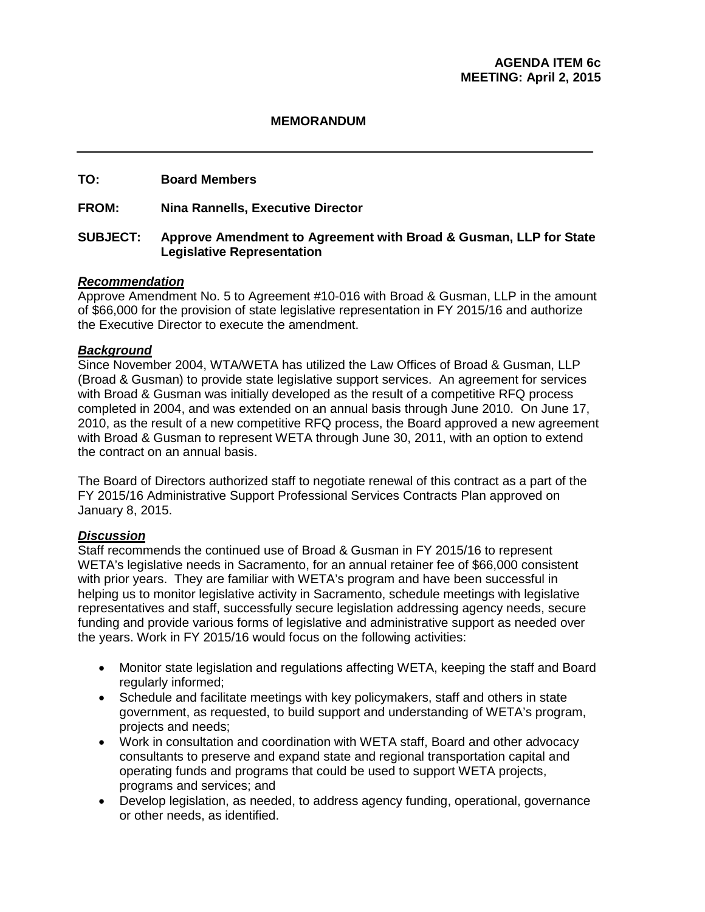#### **MEMORANDUM**

#### **TO: Board Members**

**FROM: Nina Rannells, Executive Director**

#### **SUBJECT: Approve Amendment to Agreement with Broad & Gusman, LLP for State Legislative Representation**

#### *Recommendation*

Approve Amendment No. 5 to Agreement #10-016 with Broad & Gusman, LLP in the amount of \$66,000 for the provision of state legislative representation in FY 2015/16 and authorize the Executive Director to execute the amendment.

#### *Background*

Since November 2004, WTA/WETA has utilized the Law Offices of Broad & Gusman, LLP (Broad & Gusman) to provide state legislative support services. An agreement for services with Broad & Gusman was initially developed as the result of a competitive RFQ process completed in 2004, and was extended on an annual basis through June 2010. On June 17, 2010, as the result of a new competitive RFQ process, the Board approved a new agreement with Broad & Gusman to represent WETA through June 30, 2011, with an option to extend the contract on an annual basis.

The Board of Directors authorized staff to negotiate renewal of this contract as a part of the FY 2015/16 Administrative Support Professional Services Contracts Plan approved on January 8, 2015.

#### *Discussion*

Staff recommends the continued use of Broad & Gusman in FY 2015/16 to represent WETA's legislative needs in Sacramento, for an annual retainer fee of \$66,000 consistent with prior years. They are familiar with WETA's program and have been successful in helping us to monitor legislative activity in Sacramento, schedule meetings with legislative representatives and staff, successfully secure legislation addressing agency needs, secure funding and provide various forms of legislative and administrative support as needed over the years. Work in FY 2015/16 would focus on the following activities:

- Monitor state legislation and regulations affecting WETA, keeping the staff and Board regularly informed;
- Schedule and facilitate meetings with key policymakers, staff and others in state government, as requested, to build support and understanding of WETA's program, projects and needs;
- Work in consultation and coordination with WETA staff, Board and other advocacy consultants to preserve and expand state and regional transportation capital and operating funds and programs that could be used to support WETA projects, programs and services; and
- Develop legislation, as needed, to address agency funding, operational, governance or other needs, as identified.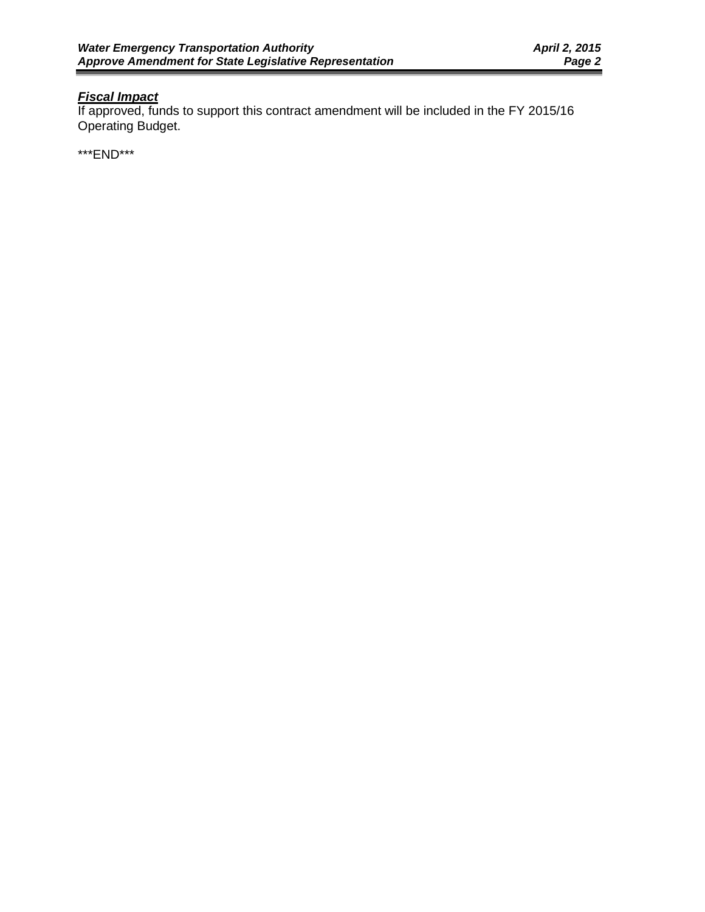# *Fiscal Impact*

If approved, funds to support this contract amendment will be included in the FY 2015/16 Operating Budget.

\*\*\*END\*\*\*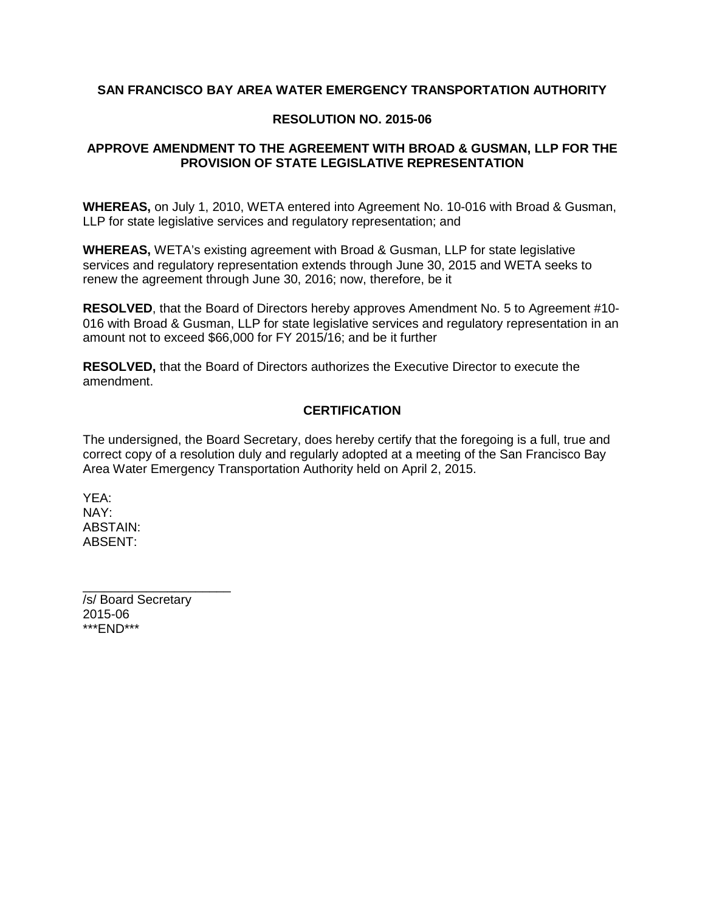#### **SAN FRANCISCO BAY AREA WATER EMERGENCY TRANSPORTATION AUTHORITY**

#### **RESOLUTION NO. 2015-06**

#### **APPROVE AMENDMENT TO THE AGREEMENT WITH BROAD & GUSMAN, LLP FOR THE PROVISION OF STATE LEGISLATIVE REPRESENTATION**

**WHEREAS,** on July 1, 2010, WETA entered into Agreement No. 10-016 with Broad & Gusman, LLP for state legislative services and regulatory representation; and

**WHEREAS,** WETA's existing agreement with Broad & Gusman, LLP for state legislative services and regulatory representation extends through June 30, 2015 and WETA seeks to renew the agreement through June 30, 2016; now, therefore, be it

**RESOLVED**, that the Board of Directors hereby approves Amendment No. 5 to Agreement #10- 016 with Broad & Gusman, LLP for state legislative services and regulatory representation in an amount not to exceed \$66,000 for FY 2015/16; and be it further

**RESOLVED,** that the Board of Directors authorizes the Executive Director to execute the amendment.

#### **CERTIFICATION**

The undersigned, the Board Secretary, does hereby certify that the foregoing is a full, true and correct copy of a resolution duly and regularly adopted at a meeting of the San Francisco Bay Area Water Emergency Transportation Authority held on April 2, 2015.

YEA: NAY: ABSTAIN: ABSENT:

/s/ Board Secretary 2015-06 \*\*\*END\*\*\*

\_\_\_\_\_\_\_\_\_\_\_\_\_\_\_\_\_\_\_\_\_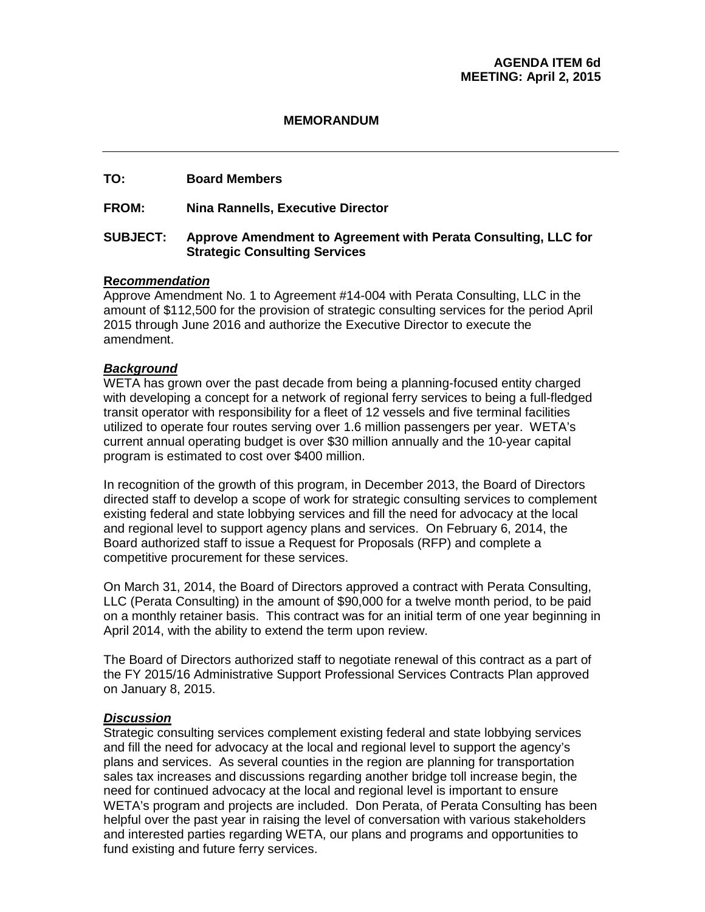#### **MEMORANDUM**

#### **TO: Board Members**

#### **FROM: Nina Rannells, Executive Director**

#### **SUBJECT: Approve Amendment to Agreement with Perata Consulting, LLC for Strategic Consulting Services**

#### **R***ecommendation*

Approve Amendment No. 1 to Agreement #14-004 with Perata Consulting, LLC in the amount of \$112,500 for the provision of strategic consulting services for the period April 2015 through June 2016 and authorize the Executive Director to execute the amendment.

#### *Background*

WETA has grown over the past decade from being a planning-focused entity charged with developing a concept for a network of regional ferry services to being a full-fledged transit operator with responsibility for a fleet of 12 vessels and five terminal facilities utilized to operate four routes serving over 1.6 million passengers per year. WETA's current annual operating budget is over \$30 million annually and the 10-year capital program is estimated to cost over \$400 million.

In recognition of the growth of this program, in December 2013, the Board of Directors directed staff to develop a scope of work for strategic consulting services to complement existing federal and state lobbying services and fill the need for advocacy at the local and regional level to support agency plans and services. On February 6, 2014, the Board authorized staff to issue a Request for Proposals (RFP) and complete a competitive procurement for these services.

On March 31, 2014, the Board of Directors approved a contract with Perata Consulting, LLC (Perata Consulting) in the amount of \$90,000 for a twelve month period, to be paid on a monthly retainer basis. This contract was for an initial term of one year beginning in April 2014, with the ability to extend the term upon review.

The Board of Directors authorized staff to negotiate renewal of this contract as a part of the FY 2015/16 Administrative Support Professional Services Contracts Plan approved on January 8, 2015.

#### *Discussion*

Strategic consulting services complement existing federal and state lobbying services and fill the need for advocacy at the local and regional level to support the agency's plans and services. As several counties in the region are planning for transportation sales tax increases and discussions regarding another bridge toll increase begin, the need for continued advocacy at the local and regional level is important to ensure WETA's program and projects are included. Don Perata, of Perata Consulting has been helpful over the past year in raising the level of conversation with various stakeholders and interested parties regarding WETA, our plans and programs and opportunities to fund existing and future ferry services.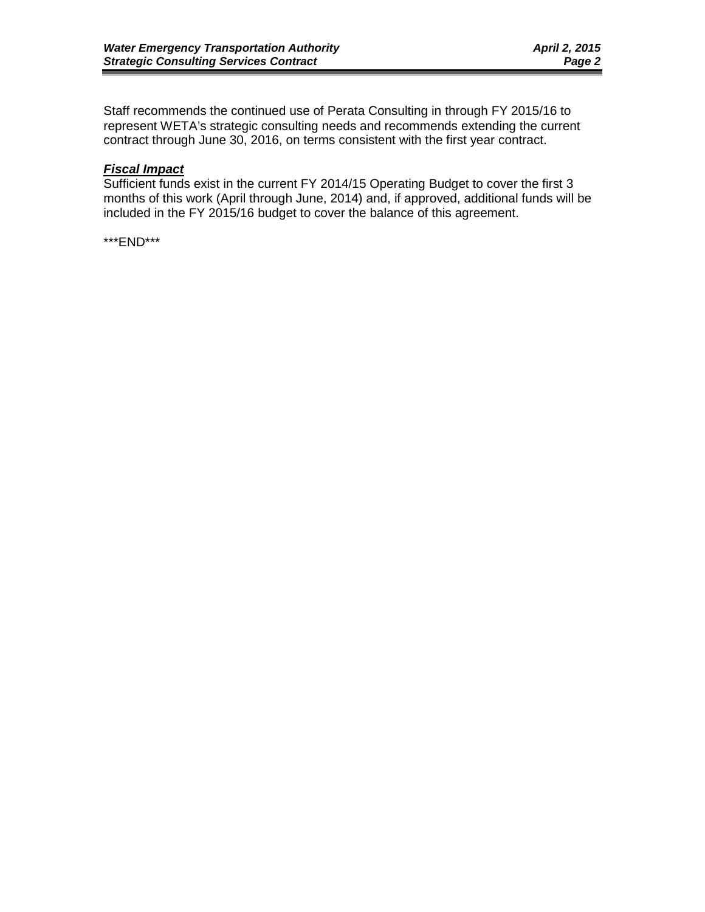Staff recommends the continued use of Perata Consulting in through FY 2015/16 to represent WETA's strategic consulting needs and recommends extending the current contract through June 30, 2016, on terms consistent with the first year contract.

# *Fiscal Impact*

Sufficient funds exist in the current FY 2014/15 Operating Budget to cover the first 3 months of this work (April through June, 2014) and, if approved, additional funds will be included in the FY 2015/16 budget to cover the balance of this agreement.

\*\*\*END\*\*\*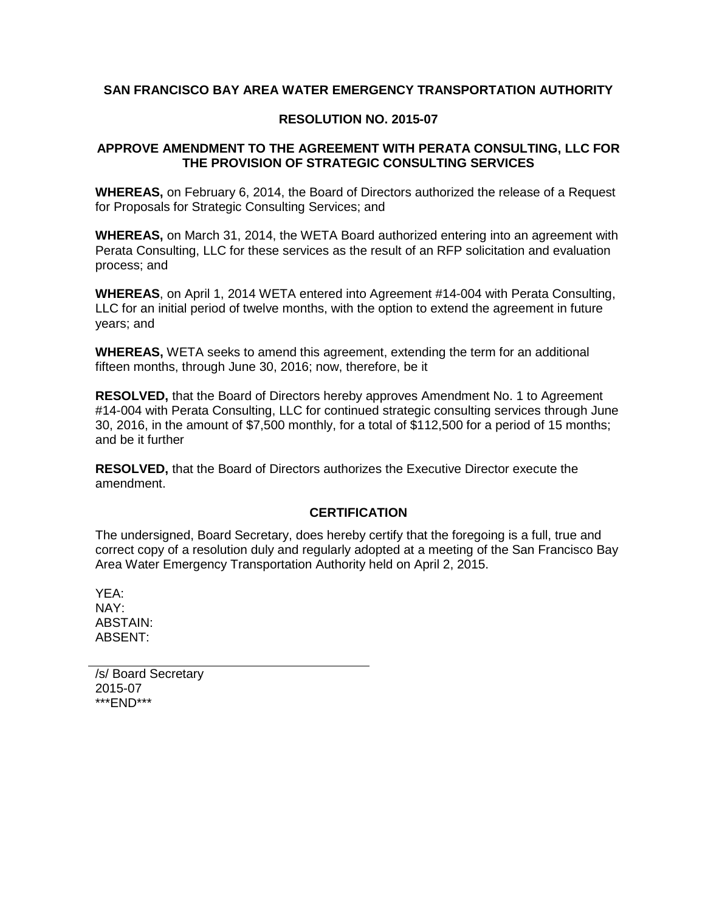### **SAN FRANCISCO BAY AREA WATER EMERGENCY TRANSPORTATION AUTHORITY**

#### **RESOLUTION NO. 2015-07**

#### **APPROVE AMENDMENT TO THE AGREEMENT WITH PERATA CONSULTING, LLC FOR THE PROVISION OF STRATEGIC CONSULTING SERVICES**

**WHEREAS,** on February 6, 2014, the Board of Directors authorized the release of a Request for Proposals for Strategic Consulting Services; and

**WHEREAS,** on March 31, 2014, the WETA Board authorized entering into an agreement with Perata Consulting, LLC for these services as the result of an RFP solicitation and evaluation process; and

**WHEREAS**, on April 1, 2014 WETA entered into Agreement #14-004 with Perata Consulting, LLC for an initial period of twelve months, with the option to extend the agreement in future years; and

**WHEREAS,** WETA seeks to amend this agreement, extending the term for an additional fifteen months, through June 30, 2016; now, therefore, be it

**RESOLVED,** that the Board of Directors hereby approves Amendment No. 1 to Agreement #14-004 with Perata Consulting, LLC for continued strategic consulting services through June 30, 2016, in the amount of \$7,500 monthly, for a total of \$112,500 for a period of 15 months; and be it further

**RESOLVED,** that the Board of Directors authorizes the Executive Director execute the amendment.

#### **CERTIFICATION**

The undersigned, Board Secretary, does hereby certify that the foregoing is a full, true and correct copy of a resolution duly and regularly adopted at a meeting of the San Francisco Bay Area Water Emergency Transportation Authority held on April 2, 2015.

YEA: NAY: ABSTAIN: ABSENT:

/s/ Board Secretary 2015-07 \*\*\*END\*\*\*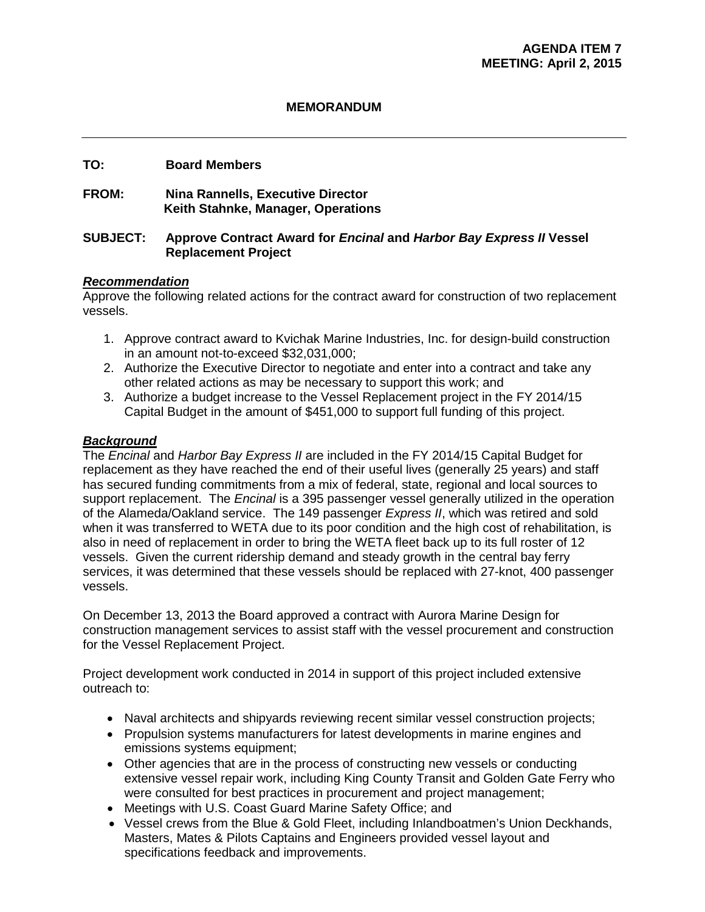#### **MEMORANDUM**

#### **TO: Board Members**

# **FROM: Nina Rannells, Executive Director Keith Stahnke, Manager, Operations**

#### **SUBJECT: Approve Contract Award for** *Encinal* **and** *Harbor Bay Express II* **Vessel Replacement Project**

#### *Recommendation*

Approve the following related actions for the contract award for construction of two replacement vessels.

- 1. Approve contract award to Kvichak Marine Industries, Inc. for design-build construction in an amount not-to-exceed \$32,031,000;
- 2. Authorize the Executive Director to negotiate and enter into a contract and take any other related actions as may be necessary to support this work; and
- 3. Authorize a budget increase to the Vessel Replacement project in the FY 2014/15 Capital Budget in the amount of \$451,000 to support full funding of this project.

#### *Background*

The *Encinal* and *Harbor Bay Express II* are included in the FY 2014/15 Capital Budget for replacement as they have reached the end of their useful lives (generally 25 years) and staff has secured funding commitments from a mix of federal, state, regional and local sources to support replacement. The *Encinal* is a 395 passenger vessel generally utilized in the operation of the Alameda/Oakland service. The 149 passenger *Express II*, which was retired and sold when it was transferred to WETA due to its poor condition and the high cost of rehabilitation, is also in need of replacement in order to bring the WETA fleet back up to its full roster of 12 vessels. Given the current ridership demand and steady growth in the central bay ferry services, it was determined that these vessels should be replaced with 27-knot, 400 passenger vessels.

On December 13, 2013 the Board approved a contract with Aurora Marine Design for construction management services to assist staff with the vessel procurement and construction for the Vessel Replacement Project.

Project development work conducted in 2014 in support of this project included extensive outreach to:

- Naval architects and shipyards reviewing recent similar vessel construction projects;
- Propulsion systems manufacturers for latest developments in marine engines and emissions systems equipment;
- Other agencies that are in the process of constructing new vessels or conducting extensive vessel repair work, including King County Transit and Golden Gate Ferry who were consulted for best practices in procurement and project management;
- Meetings with U.S. Coast Guard Marine Safety Office; and
- Vessel crews from the Blue & Gold Fleet, including Inlandboatmen's Union Deckhands, Masters, Mates & Pilots Captains and Engineers provided vessel layout and specifications feedback and improvements.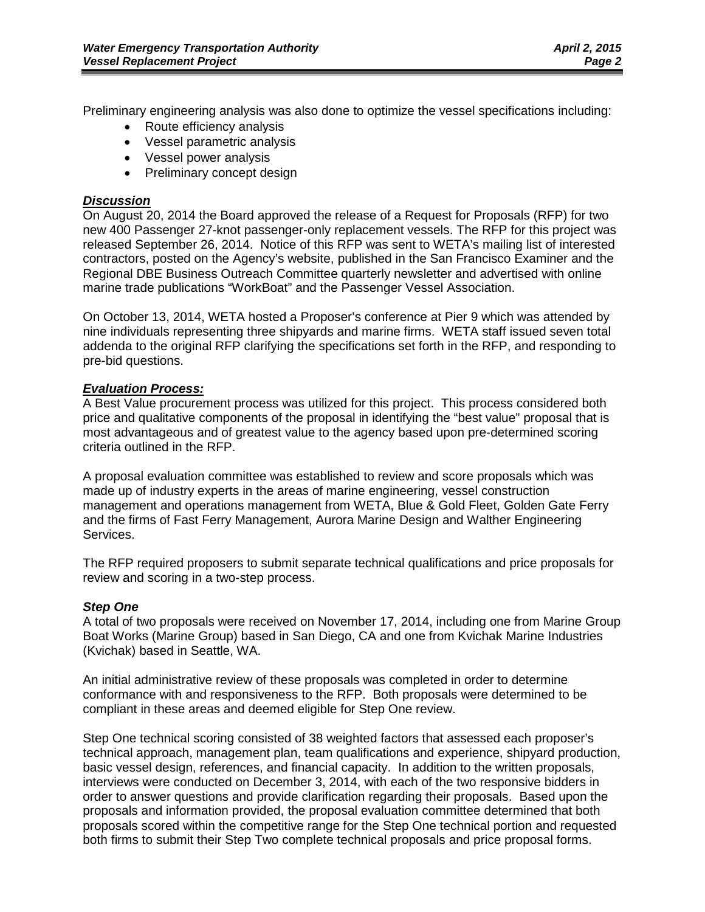Preliminary engineering analysis was also done to optimize the vessel specifications including:

- Route efficiency analysis
- Vessel parametric analysis
- Vessel power analysis
- Preliminary concept design

### *Discussion*

On August 20, 2014 the Board approved the release of a Request for Proposals (RFP) for two new 400 Passenger 27-knot passenger-only replacement vessels. The RFP for this project was released September 26, 2014. Notice of this RFP was sent to WETA's mailing list of interested contractors, posted on the Agency's website, published in the San Francisco Examiner and the Regional DBE Business Outreach Committee quarterly newsletter and advertised with online marine trade publications "WorkBoat" and the Passenger Vessel Association.

On October 13, 2014, WETA hosted a Proposer's conference at Pier 9 which was attended by nine individuals representing three shipyards and marine firms. WETA staff issued seven total addenda to the original RFP clarifying the specifications set forth in the RFP, and responding to pre-bid questions.

# *Evaluation Process:*

A Best Value procurement process was utilized for this project. This process considered both price and qualitative components of the proposal in identifying the "best value" proposal that is most advantageous and of greatest value to the agency based upon pre-determined scoring criteria outlined in the RFP.

A proposal evaluation committee was established to review and score proposals which was made up of industry experts in the areas of marine engineering, vessel construction management and operations management from WETA, Blue & Gold Fleet, Golden Gate Ferry and the firms of Fast Ferry Management, Aurora Marine Design and Walther Engineering Services.

The RFP required proposers to submit separate technical qualifications and price proposals for review and scoring in a two-step process.

#### *Step One*

A total of two proposals were received on November 17, 2014, including one from Marine Group Boat Works (Marine Group) based in San Diego, CA and one from Kvichak Marine Industries (Kvichak) based in Seattle, WA.

An initial administrative review of these proposals was completed in order to determine conformance with and responsiveness to the RFP. Both proposals were determined to be compliant in these areas and deemed eligible for Step One review.

Step One technical scoring consisted of 38 weighted factors that assessed each proposer's technical approach, management plan, team qualifications and experience, shipyard production, basic vessel design, references, and financial capacity. In addition to the written proposals, interviews were conducted on December 3, 2014, with each of the two responsive bidders in order to answer questions and provide clarification regarding their proposals. Based upon the proposals and information provided, the proposal evaluation committee determined that both proposals scored within the competitive range for the Step One technical portion and requested both firms to submit their Step Two complete technical proposals and price proposal forms.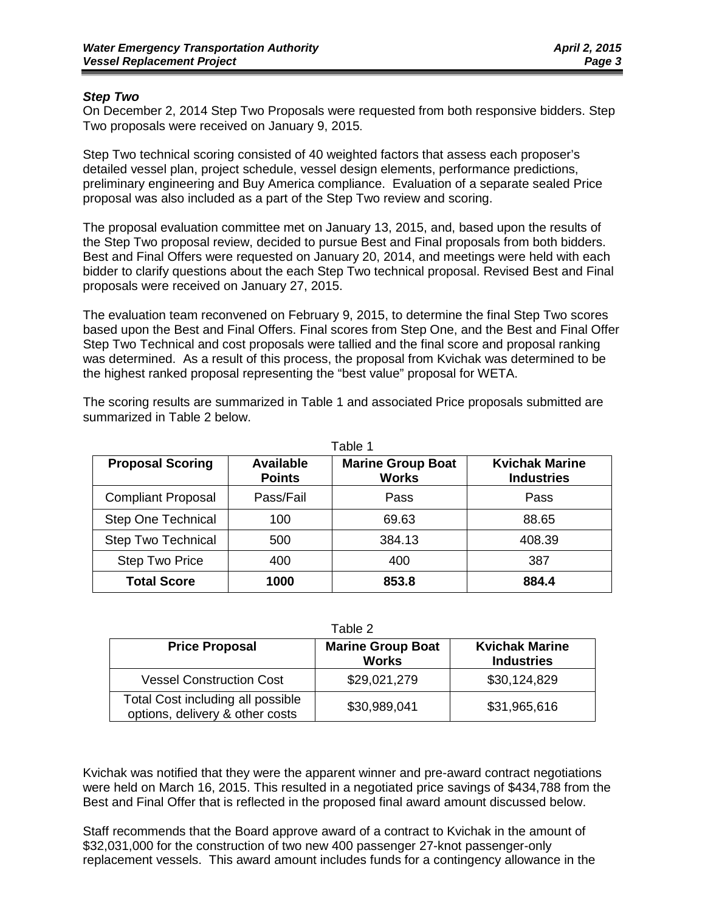#### *Step Two*

On December 2, 2014 Step Two Proposals were requested from both responsive bidders. Step Two proposals were received on January 9, 2015.

Step Two technical scoring consisted of 40 weighted factors that assess each proposer's detailed vessel plan, project schedule, vessel design elements, performance predictions, preliminary engineering and Buy America compliance. Evaluation of a separate sealed Price proposal was also included as a part of the Step Two review and scoring.

The proposal evaluation committee met on January 13, 2015, and, based upon the results of the Step Two proposal review, decided to pursue Best and Final proposals from both bidders. Best and Final Offers were requested on January 20, 2014, and meetings were held with each bidder to clarify questions about the each Step Two technical proposal. Revised Best and Final proposals were received on January 27, 2015.

The evaluation team reconvened on February 9, 2015, to determine the final Step Two scores based upon the Best and Final Offers. Final scores from Step One, and the Best and Final Offer Step Two Technical and cost proposals were tallied and the final score and proposal ranking was determined. As a result of this process, the proposal from Kvichak was determined to be the highest ranked proposal representing the "best value" proposal for WETA.

| Table 1                   |                            |                                          |                                            |  |  |  |  |
|---------------------------|----------------------------|------------------------------------------|--------------------------------------------|--|--|--|--|
| <b>Proposal Scoring</b>   | Available<br><b>Points</b> | <b>Marine Group Boat</b><br><b>Works</b> | <b>Kvichak Marine</b><br><b>Industries</b> |  |  |  |  |
| <b>Compliant Proposal</b> | Pass/Fail                  | Pass                                     | Pass                                       |  |  |  |  |
| <b>Step One Technical</b> | 100                        | 69.63                                    | 88.65                                      |  |  |  |  |
| <b>Step Two Technical</b> | 500                        | 384.13                                   | 408.39                                     |  |  |  |  |
| <b>Step Two Price</b>     | 400                        | 400                                      | 387                                        |  |  |  |  |
| <b>Total Score</b>        | 1000                       | 853.8                                    | 884.4                                      |  |  |  |  |

The scoring results are summarized in Table 1 and associated Price proposals submitted are summarized in Table 2 below.

Table 2

| <b>Price Proposal</b>                                                | <b>Marine Group Boat</b><br><b>Works</b> | <b>Kvichak Marine</b><br><b>Industries</b> |
|----------------------------------------------------------------------|------------------------------------------|--------------------------------------------|
| <b>Vessel Construction Cost</b>                                      | \$29,021,279                             | \$30,124,829                               |
| Total Cost including all possible<br>options, delivery & other costs | \$30,989,041                             | \$31,965,616                               |

Kvichak was notified that they were the apparent winner and pre-award contract negotiations were held on March 16, 2015. This resulted in a negotiated price savings of \$434,788 from the Best and Final Offer that is reflected in the proposed final award amount discussed below.

Staff recommends that the Board approve award of a contract to Kvichak in the amount of \$32,031,000 for the construction of two new 400 passenger 27-knot passenger-only replacement vessels. This award amount includes funds for a contingency allowance in the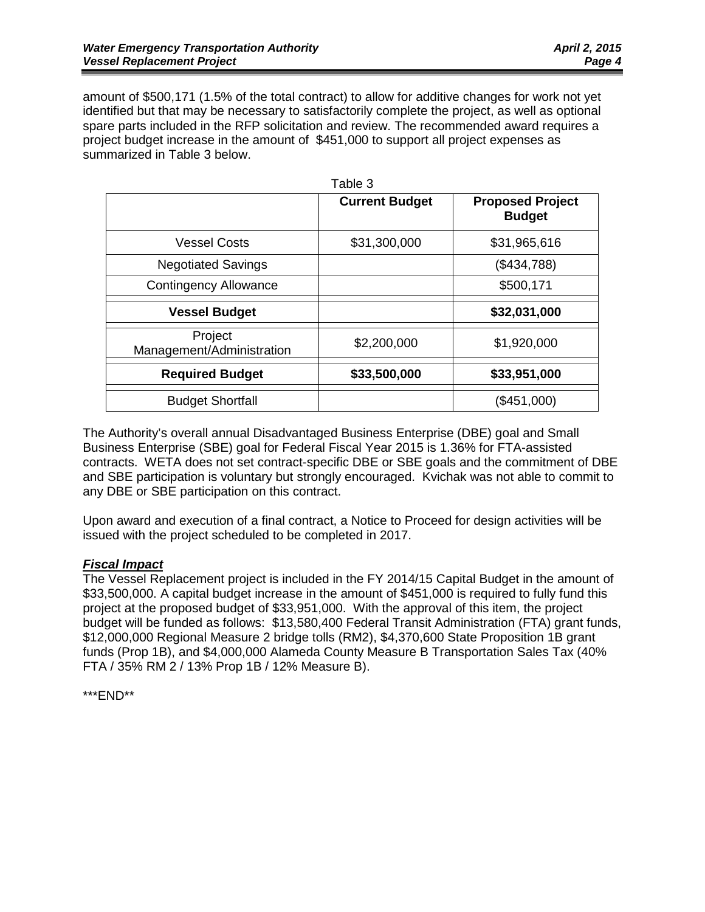amount of \$500,171 (1.5% of the total contract) to allow for additive changes for work not yet identified but that may be necessary to satisfactorily complete the project, as well as optional spare parts included in the RFP solicitation and review. The recommended award requires a project budget increase in the amount of \$451,000 to support all project expenses as summarized in Table 3 below.

|                                      | Table 3               |                                          |
|--------------------------------------|-----------------------|------------------------------------------|
|                                      | <b>Current Budget</b> | <b>Proposed Project</b><br><b>Budget</b> |
| <b>Vessel Costs</b>                  | \$31,300,000          | \$31,965,616                             |
| <b>Negotiated Savings</b>            |                       | (\$434,788)                              |
| <b>Contingency Allowance</b>         |                       | \$500,171                                |
| <b>Vessel Budget</b>                 |                       | \$32,031,000                             |
| Project<br>Management/Administration | \$2,200,000           | \$1,920,000                              |
| <b>Required Budget</b>               | \$33,500,000          | \$33,951,000                             |
| <b>Budget Shortfall</b>              |                       | (\$451,000)                              |

The Authority's overall annual Disadvantaged Business Enterprise (DBE) goal and Small Business Enterprise (SBE) goal for Federal Fiscal Year 2015 is 1.36% for FTA-assisted contracts. WETA does not set contract-specific DBE or SBE goals and the commitment of DBE and SBE participation is voluntary but strongly encouraged. Kvichak was not able to commit to any DBE or SBE participation on this contract.

Upon award and execution of a final contract, a Notice to Proceed for design activities will be issued with the project scheduled to be completed in 2017.

# *Fiscal Impact*

The Vessel Replacement project is included in the FY 2014/15 Capital Budget in the amount of \$33,500,000. A capital budget increase in the amount of \$451,000 is required to fully fund this project at the proposed budget of \$33,951,000. With the approval of this item, the project budget will be funded as follows: \$13,580,400 Federal Transit Administration (FTA) grant funds, \$12,000,000 Regional Measure 2 bridge tolls (RM2), \$4,370,600 State Proposition 1B grant funds (Prop 1B), and \$4,000,000 Alameda County Measure B Transportation Sales Tax (40% FTA / 35% RM 2 / 13% Prop 1B / 12% Measure B).

\*\*\*END\*\*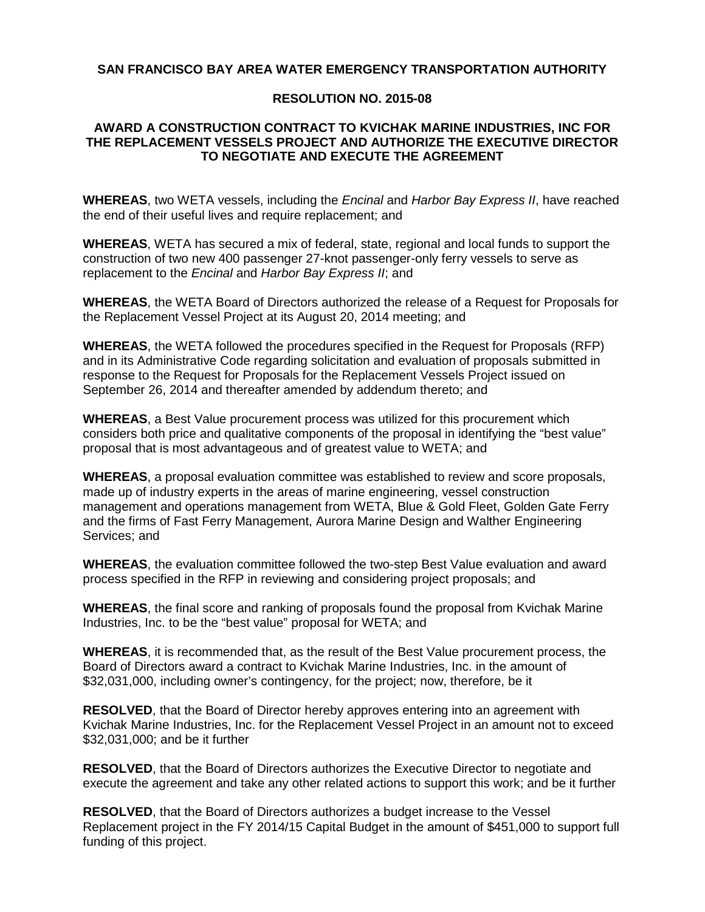#### **SAN FRANCISCO BAY AREA WATER EMERGENCY TRANSPORTATION AUTHORITY**

#### **RESOLUTION NO. 2015-08**

#### **AWARD A CONSTRUCTION CONTRACT TO KVICHAK MARINE INDUSTRIES, INC FOR THE REPLACEMENT VESSELS PROJECT AND AUTHORIZE THE EXECUTIVE DIRECTOR TO NEGOTIATE AND EXECUTE THE AGREEMENT**

**WHEREAS**, two WETA vessels, including the *Encinal* and *Harbor Bay Express II*, have reached the end of their useful lives and require replacement; and

**WHEREAS**, WETA has secured a mix of federal, state, regional and local funds to support the construction of two new 400 passenger 27-knot passenger-only ferry vessels to serve as replacement to the *Encinal* and *Harbor Bay Express II*; and

**WHEREAS**, the WETA Board of Directors authorized the release of a Request for Proposals for the Replacement Vessel Project at its August 20, 2014 meeting; and

**WHEREAS**, the WETA followed the procedures specified in the Request for Proposals (RFP) and in its Administrative Code regarding solicitation and evaluation of proposals submitted in response to the Request for Proposals for the Replacement Vessels Project issued on September 26, 2014 and thereafter amended by addendum thereto; and

**WHEREAS**, a Best Value procurement process was utilized for this procurement which considers both price and qualitative components of the proposal in identifying the "best value" proposal that is most advantageous and of greatest value to WETA; and

**WHEREAS**, a proposal evaluation committee was established to review and score proposals, made up of industry experts in the areas of marine engineering, vessel construction management and operations management from WETA, Blue & Gold Fleet, Golden Gate Ferry and the firms of Fast Ferry Management, Aurora Marine Design and Walther Engineering Services; and

**WHEREAS**, the evaluation committee followed the two-step Best Value evaluation and award process specified in the RFP in reviewing and considering project proposals; and

**WHEREAS**, the final score and ranking of proposals found the proposal from Kvichak Marine Industries, Inc. to be the "best value" proposal for WETA; and

**WHEREAS**, it is recommended that, as the result of the Best Value procurement process, the Board of Directors award a contract to Kvichak Marine Industries, Inc. in the amount of \$32,031,000, including owner's contingency, for the project; now, therefore, be it

**RESOLVED**, that the Board of Director hereby approves entering into an agreement with Kvichak Marine Industries, Inc. for the Replacement Vessel Project in an amount not to exceed \$32,031,000; and be it further

**RESOLVED**, that the Board of Directors authorizes the Executive Director to negotiate and execute the agreement and take any other related actions to support this work; and be it further

**RESOLVED**, that the Board of Directors authorizes a budget increase to the Vessel Replacement project in the FY 2014/15 Capital Budget in the amount of \$451,000 to support full funding of this project.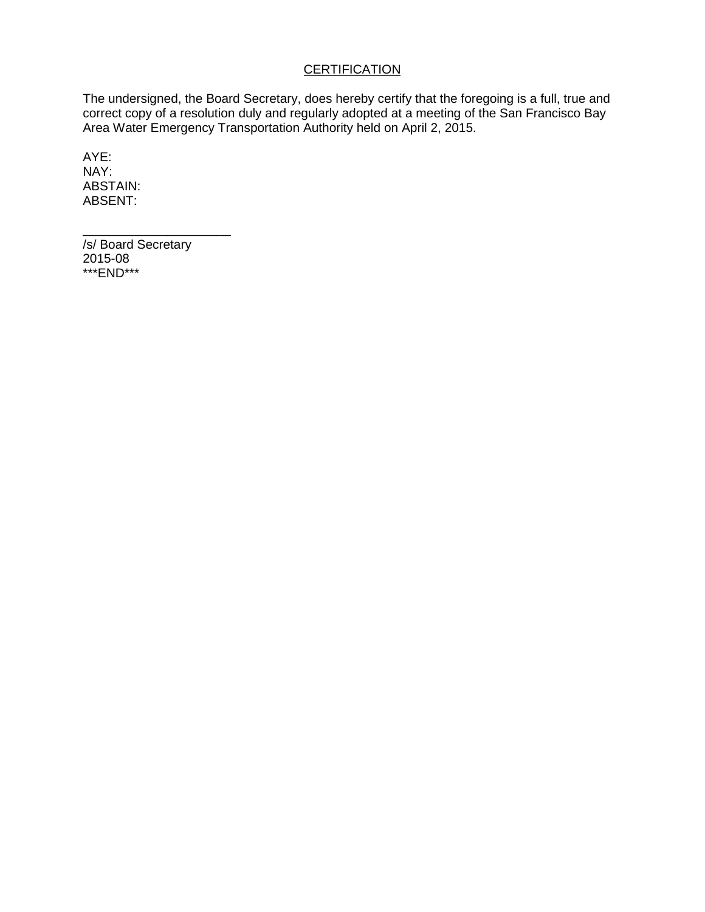# **CERTIFICATION**

The undersigned, the Board Secretary, does hereby certify that the foregoing is a full, true and correct copy of a resolution duly and regularly adopted at a meeting of the San Francisco Bay Area Water Emergency Transportation Authority held on April 2, 2015.

AYE: NAY: ABSTAIN: ABSENT:

\_\_\_\_\_\_\_\_\_\_\_\_\_\_\_\_\_\_\_\_\_ /s/ Board Secretary 2015-08 \*\*\*END\*\*\*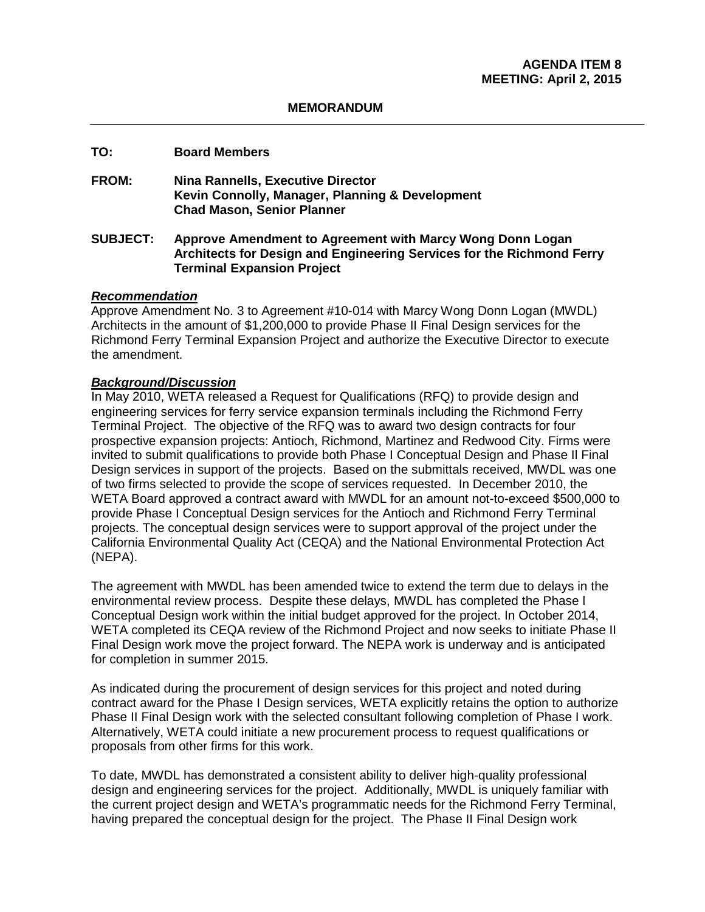#### **MEMORANDUM**

#### **TO: Board Members**

**FROM: Nina Rannells, Executive Director Kevin Connolly, Manager, Planning & Development Chad Mason, Senior Planner**

#### **SUBJECT: Approve Amendment to Agreement with Marcy Wong Donn Logan Architects for Design and Engineering Services for the Richmond Ferry Terminal Expansion Project**

#### *Recommendation*

Approve Amendment No. 3 to Agreement #10-014 with Marcy Wong Donn Logan (MWDL) Architects in the amount of \$1,200,000 to provide Phase II Final Design services for the Richmond Ferry Terminal Expansion Project and authorize the Executive Director to execute the amendment.

#### *Background/Discussion*

In May 2010, WETA released a Request for Qualifications (RFQ) to provide design and engineering services for ferry service expansion terminals including the Richmond Ferry Terminal Project. The objective of the RFQ was to award two design contracts for four prospective expansion projects: Antioch, Richmond, Martinez and Redwood City. Firms were invited to submit qualifications to provide both Phase I Conceptual Design and Phase Il Final Design services in support of the projects. Based on the submittals received, MWDL was one of two firms selected to provide the scope of services requested. In December 2010, the WETA Board approved a contract award with MWDL for an amount not-to-exceed \$500,000 to provide Phase I Conceptual Design services for the Antioch and Richmond Ferry Terminal projects. The conceptual design services were to support approval of the project under the California Environmental Quality Act (CEQA) and the National Environmental Protection Act (NEPA).

The agreement with MWDL has been amended twice to extend the term due to delays in the environmental review process. Despite these delays, MWDL has completed the Phase l Conceptual Design work within the initial budget approved for the project. In October 2014, WETA completed its CEQA review of the Richmond Project and now seeks to initiate Phase II Final Design work move the project forward. The NEPA work is underway and is anticipated for completion in summer 2015.

As indicated during the procurement of design services for this project and noted during contract award for the Phase I Design services, WETA explicitly retains the option to authorize Phase II Final Design work with the selected consultant following completion of Phase I work. Alternatively, WETA could initiate a new procurement process to request qualifications or proposals from other firms for this work.

To date, MWDL has demonstrated a consistent ability to deliver high-quality professional design and engineering services for the project. Additionally, MWDL is uniquely familiar with the current project design and WETA's programmatic needs for the Richmond Ferry Terminal, having prepared the conceptual design for the project. The Phase II Final Design work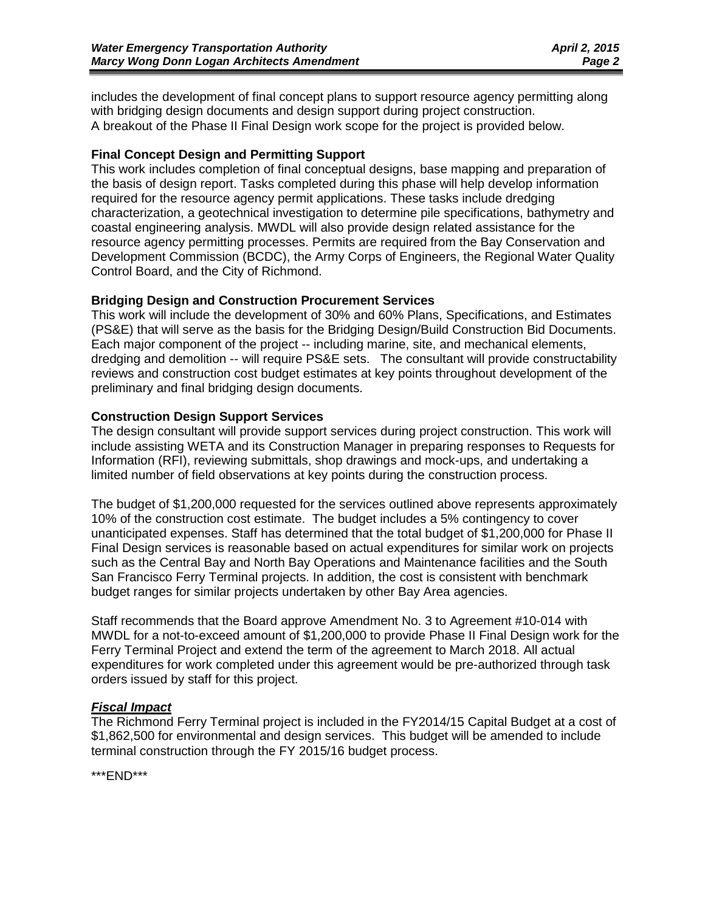includes the development of final concept plans to support resource agency permitting along with bridging design documents and design support during project construction. A breakout of the Phase II Final Design work scope for the project is provided below.

#### **Final Concept Design and Permitting Support**

This work includes completion of final conceptual designs, base mapping and preparation of the basis of design report. Tasks completed during this phase will help develop information required for the resource agency permit applications. These tasks include dredging characterization, a geotechnical investigation to determine pile specifications, bathymetry and coastal engineering analysis. MWDL will also provide design related assistance for the resource agency permitting processes. Permits are required from the Bay Conservation and Development Commission (BCDC), the Army Corps of Engineers, the Regional Water Quality Control Board, and the City of Richmond.

#### **Bridging Design and Construction Procurement Services**

This work will include the development of 30% and 60% Plans, Specifications, and Estimates (PS&E) that will serve as the basis for the Bridging Design/Build Construction Bid Documents. Each major component of the project -- including marine, site, and mechanical elements, dredging and demolition -- will require PS&E sets. The consultant will provide constructability reviews and construction cost budget estimates at key points throughout development of the preliminary and final bridging design documents.

#### **Construction Design Support Services**

The design consultant will provide support services during project construction. This work will include assisting WETA and its Construction Manager in preparing responses to Requests for Information (RFI), reviewing submittals, shop drawings and mock-ups, and undertaking a limited number of field observations at key points during the construction process.

The budget of \$1,200,000 requested for the services outlined above represents approximately 10% of the construction cost estimate. The budget includes a 5% contingency to cover unanticipated expenses. Staff has determined that the total budget of \$1,200,000 for Phase II Final Design services is reasonable based on actual expenditures for similar work on projects such as the Central Bay and North Bay Operations and Maintenance facilities and the South San Francisco Ferry Terminal projects. In addition, the cost is consistent with benchmark budget ranges for similar projects undertaken by other Bay Area agencies.

Staff recommends that the Board approve Amendment No. 3 to Agreement #10-014 with MWDL for a not-to-exceed amount of \$1,200,000 to provide Phase II Final Design work for the Ferry Terminal Project and extend the term of the agreement to March 2018. All actual expenditures for work completed under this agreement would be pre-authorized through task orders issued by staff for this project.

#### *Fiscal Impact*

The Richmond Ferry Terminal project is included in the FY2014/15 Capital Budget at a cost of \$1,862,500 for environmental and design services. This budget will be amended to include terminal construction through the FY 2015/16 budget process.

\*\*\*END\*\*\*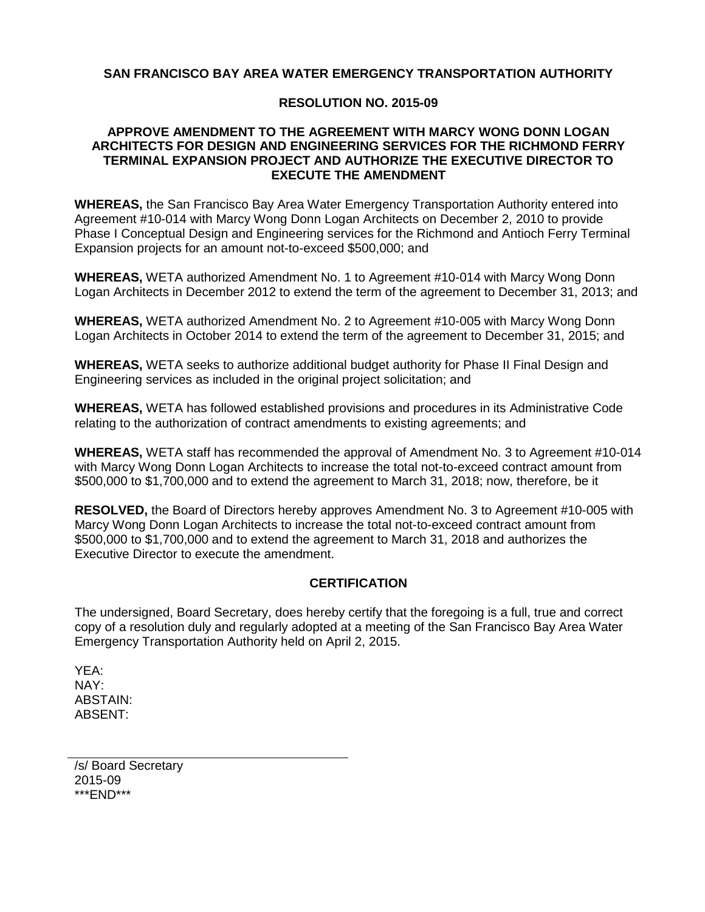#### **SAN FRANCISCO BAY AREA WATER EMERGENCY TRANSPORTATION AUTHORITY**

#### **RESOLUTION NO. 2015-09**

#### **APPROVE AMENDMENT TO THE AGREEMENT WITH MARCY WONG DONN LOGAN ARCHITECTS FOR DESIGN AND ENGINEERING SERVICES FOR THE RICHMOND FERRY TERMINAL EXPANSION PROJECT AND AUTHORIZE THE EXECUTIVE DIRECTOR TO EXECUTE THE AMENDMENT**

**WHEREAS,** the San Francisco Bay Area Water Emergency Transportation Authority entered into Agreement #10-014 with Marcy Wong Donn Logan Architects on December 2, 2010 to provide Phase I Conceptual Design and Engineering services for the Richmond and Antioch Ferry Terminal Expansion projects for an amount not-to-exceed \$500,000; and

**WHEREAS,** WETA authorized Amendment No. 1 to Agreement #10-014 with Marcy Wong Donn Logan Architects in December 2012 to extend the term of the agreement to December 31, 2013; and

**WHEREAS,** WETA authorized Amendment No. 2 to Agreement #10-005 with Marcy Wong Donn Logan Architects in October 2014 to extend the term of the agreement to December 31, 2015; and

**WHEREAS,** WETA seeks to authorize additional budget authority for Phase II Final Design and Engineering services as included in the original project solicitation; and

**WHEREAS,** WETA has followed established provisions and procedures in its Administrative Code relating to the authorization of contract amendments to existing agreements; and

**WHEREAS,** WETA staff has recommended the approval of Amendment No. 3 to Agreement #10-014 with Marcy Wong Donn Logan Architects to increase the total not-to-exceed contract amount from \$500,000 to \$1,700,000 and to extend the agreement to March 31, 2018; now, therefore, be it

**RESOLVED,** the Board of Directors hereby approves Amendment No. 3 to Agreement #10-005 with Marcy Wong Donn Logan Architects to increase the total not-to-exceed contract amount from \$500,000 to \$1,700,000 and to extend the agreement to March 31, 2018 and authorizes the Executive Director to execute the amendment.

#### **CERTIFICATION**

The undersigned, Board Secretary, does hereby certify that the foregoing is a full, true and correct copy of a resolution duly and regularly adopted at a meeting of the San Francisco Bay Area Water Emergency Transportation Authority held on April 2, 2015.

YEA: NAY: ABSTAIN: ABSENT:

/s/ Board Secretary 2015-09 \*\*\*END\*\*\*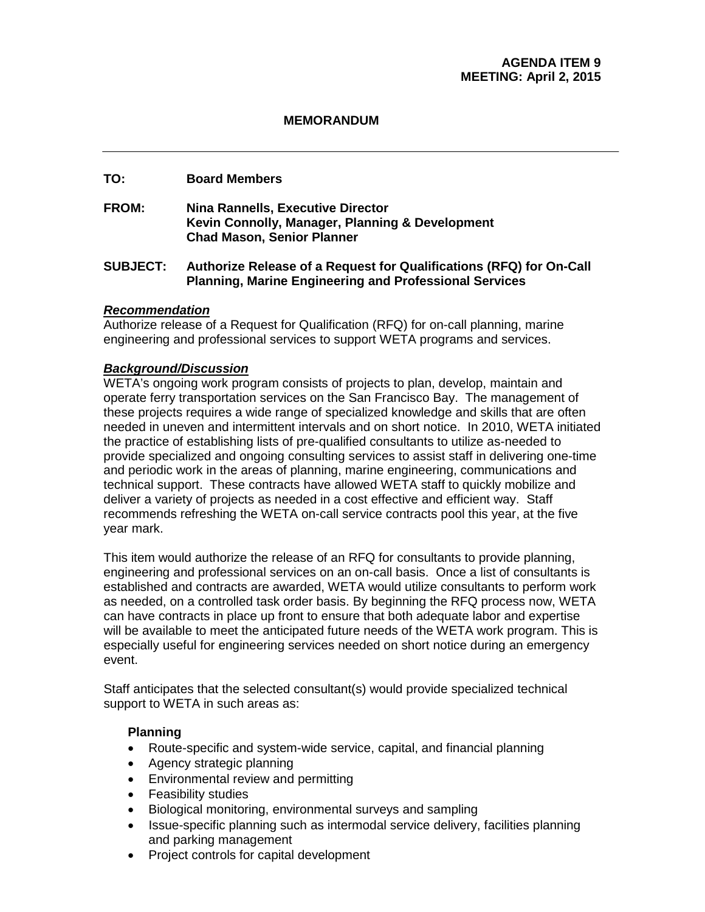#### **MEMORANDUM**

# **TO: Board Members**

**FROM: Nina Rannells, Executive Director Kevin Connolly, Manager, Planning & Development Chad Mason, Senior Planner**

#### **SUBJECT: Authorize Release of a Request for Qualifications (RFQ) for On-Call Planning, Marine Engineering and Professional Services**

#### *Recommendation*

Authorize release of a Request for Qualification (RFQ) for on-call planning, marine engineering and professional services to support WETA programs and services.

#### *Background/Discussion*

WETA's ongoing work program consists of projects to plan, develop, maintain and operate ferry transportation services on the San Francisco Bay. The management of these projects requires a wide range of specialized knowledge and skills that are often needed in uneven and intermittent intervals and on short notice. In 2010, WETA initiated the practice of establishing lists of pre-qualified consultants to utilize as-needed to provide specialized and ongoing consulting services to assist staff in delivering one-time and periodic work in the areas of planning, marine engineering, communications and technical support. These contracts have allowed WETA staff to quickly mobilize and deliver a variety of projects as needed in a cost effective and efficient way. Staff recommends refreshing the WETA on-call service contracts pool this year, at the five year mark.

This item would authorize the release of an RFQ for consultants to provide planning, engineering and professional services on an on-call basis. Once a list of consultants is established and contracts are awarded, WETA would utilize consultants to perform work as needed, on a controlled task order basis. By beginning the RFQ process now, WETA can have contracts in place up front to ensure that both adequate labor and expertise will be available to meet the anticipated future needs of the WETA work program. This is especially useful for engineering services needed on short notice during an emergency event.

Staff anticipates that the selected consultant(s) would provide specialized technical support to WETA in such areas as:

#### **Planning**

- Route-specific and system-wide service, capital, and financial planning
- Agency strategic planning
- Environmental review and permitting
- Feasibility studies
- Biological monitoring, environmental surveys and sampling
- Issue-specific planning such as intermodal service delivery, facilities planning and parking management
- Project controls for capital development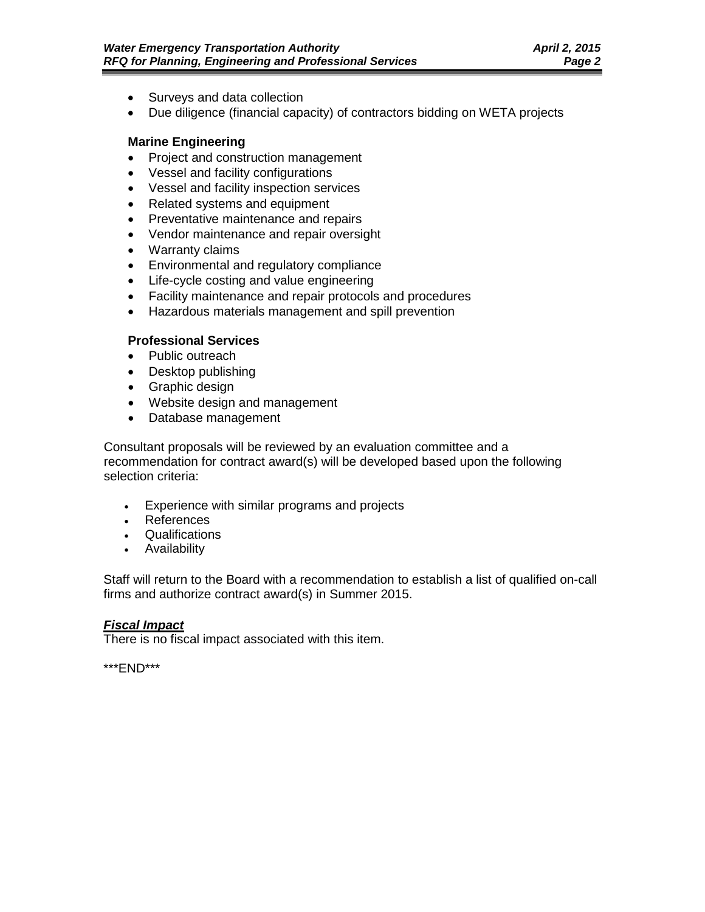- Surveys and data collection
- Due diligence (financial capacity) of contractors bidding on WETA projects

#### **Marine Engineering**

- Project and construction management
- Vessel and facility configurations
- Vessel and facility inspection services
- Related systems and equipment
- Preventative maintenance and repairs
- Vendor maintenance and repair oversight
- Warranty claims
- Environmental and regulatory compliance
- Life-cycle costing and value engineering
- Facility maintenance and repair protocols and procedures
- Hazardous materials management and spill prevention

#### **Professional Services**

- Public outreach
- Desktop publishing
- Graphic design
- Website design and management
- Database management

Consultant proposals will be reviewed by an evaluation committee and a recommendation for contract award(s) will be developed based upon the following selection criteria:

- Experience with similar programs and projects
- References
- Qualifications
- Availability

Staff will return to the Board with a recommendation to establish a list of qualified on-call firms and authorize contract award(s) in Summer 2015.

### *Fiscal Impact*

There is no fiscal impact associated with this item.

\*\*\*END\*\*\*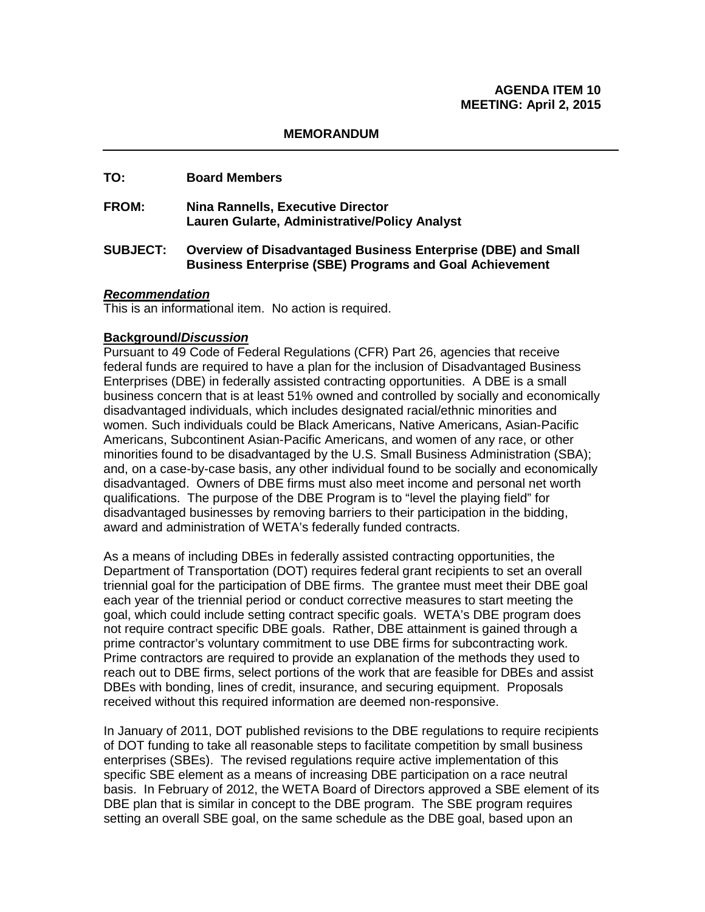#### **MEMORANDUM**

#### **TO: Board Members**

- **FROM: Nina Rannells, Executive Director Lauren Gularte, Administrative/Policy Analyst**
- **SUBJECT: Overview of Disadvantaged Business Enterprise (DBE) and Small Business Enterprise (SBE) Programs and Goal Achievement**

#### *Recommendation*

This is an informational item. No action is required.

#### **Background/***Discussion*

Pursuant to 49 Code of Federal Regulations (CFR) Part 26, agencies that receive federal funds are required to have a plan for the inclusion of Disadvantaged Business Enterprises (DBE) in federally assisted contracting opportunities. A DBE is a small business concern that is at least 51% owned and controlled by socially and economically disadvantaged individuals, which includes designated racial/ethnic minorities and women. Such individuals could be Black Americans, Native Americans, Asian-Pacific Americans, Subcontinent Asian-Pacific Americans, and women of any race, or other minorities found to be disadvantaged by the U.S. Small Business Administration (SBA); and, on a case-by-case basis, any other individual found to be socially and economically disadvantaged. Owners of DBE firms must also meet income and personal net worth qualifications. The purpose of the DBE Program is to "level the playing field" for disadvantaged businesses by removing barriers to their participation in the bidding, award and administration of WETA's federally funded contracts.

As a means of including DBEs in federally assisted contracting opportunities, the Department of Transportation (DOT) requires federal grant recipients to set an overall triennial goal for the participation of DBE firms. The grantee must meet their DBE goal each year of the triennial period or conduct corrective measures to start meeting the goal, which could include setting contract specific goals. WETA's DBE program does not require contract specific DBE goals. Rather, DBE attainment is gained through a prime contractor's voluntary commitment to use DBE firms for subcontracting work. Prime contractors are required to provide an explanation of the methods they used to reach out to DBE firms, select portions of the work that are feasible for DBEs and assist DBEs with bonding, lines of credit, insurance, and securing equipment. Proposals received without this required information are deemed non-responsive.

In January of 2011, DOT published revisions to the DBE regulations to require recipients of DOT funding to take all reasonable steps to facilitate competition by small business enterprises (SBEs). The revised regulations require active implementation of this specific SBE element as a means of increasing DBE participation on a race neutral basis. In February of 2012, the WETA Board of Directors approved a SBE element of its DBE plan that is similar in concept to the DBE program. The SBE program requires setting an overall SBE goal, on the same schedule as the DBE goal, based upon an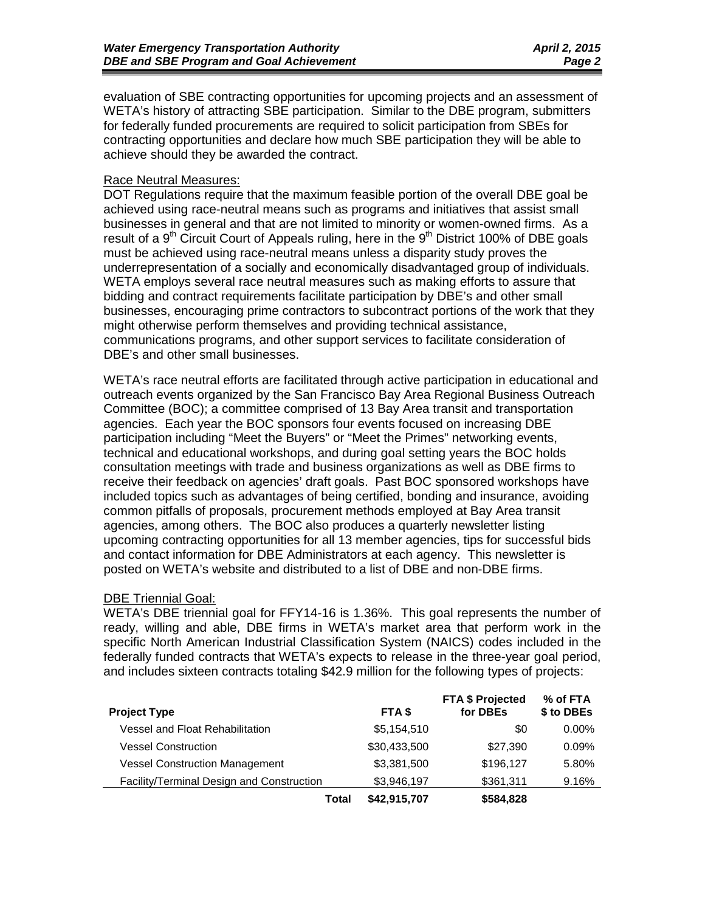evaluation of SBE contracting opportunities for upcoming projects and an assessment of WETA's history of attracting SBE participation. Similar to the DBE program, submitters for federally funded procurements are required to solicit participation from SBEs for contracting opportunities and declare how much SBE participation they will be able to achieve should they be awarded the contract.

#### Race Neutral Measures:

DOT Regulations require that the maximum feasible portion of the overall DBE goal be achieved using race-neutral means such as programs and initiatives that assist small businesses in general and that are not limited to minority or women-owned firms. As a result of a  $9<sup>th</sup>$  Circuit Court of Appeals ruling, here in the  $9<sup>th</sup>$  District 100% of DBE goals must be achieved using race-neutral means unless a disparity study proves the underrepresentation of a socially and economically disadvantaged group of individuals. WETA employs several race neutral measures such as making efforts to assure that bidding and contract requirements facilitate participation by DBE's and other small businesses, encouraging prime contractors to subcontract portions of the work that they might otherwise perform themselves and providing technical assistance, communications programs, and other support services to facilitate consideration of DBE's and other small businesses.

WETA's race neutral efforts are facilitated through active participation in educational and outreach events organized by the San Francisco Bay Area Regional Business Outreach Committee (BOC); a committee comprised of 13 Bay Area transit and transportation agencies. Each year the BOC sponsors four events focused on increasing DBE participation including "Meet the Buyers" or "Meet the Primes" networking events, technical and educational workshops, and during goal setting years the BOC holds consultation meetings with trade and business organizations as well as DBE firms to receive their feedback on agencies' draft goals. Past BOC sponsored workshops have included topics such as advantages of being certified, bonding and insurance, avoiding common pitfalls of proposals, procurement methods employed at Bay Area transit agencies, among others. The BOC also produces a quarterly newsletter listing upcoming contracting opportunities for all 13 member agencies, tips for successful bids and contact information for DBE Administrators at each agency. This newsletter is posted on WETA's website and distributed to a list of DBE and non-DBE firms.

#### DBE Triennial Goal:

WETA's DBE triennial goal for FFY14-16 is 1.36%. This goal represents the number of ready, willing and able, DBE firms in WETA's market area that perform work in the specific North American Industrial Classification System (NAICS) codes included in the federally funded contracts that WETA's expects to release in the three-year goal period, and includes sixteen contracts totaling \$42.9 million for the following types of projects:

| <b>Project Type</b>                       | FTA \$       | <b>FTA \$ Projected</b><br>for DBEs | % of FTA<br>\$ to DBEs |
|-------------------------------------------|--------------|-------------------------------------|------------------------|
| Vessel and Float Rehabilitation           | \$5,154,510  | \$0                                 | $0.00\%$               |
| <b>Vessel Construction</b>                | \$30,433,500 | \$27.390                            | 0.09%                  |
| <b>Vessel Construction Management</b>     | \$3,381,500  | \$196,127                           | 5.80%                  |
| Facility/Terminal Design and Construction | \$3,946,197  | \$361,311                           | 9.16%                  |
| Total                                     | \$42,915,707 | \$584,828                           |                        |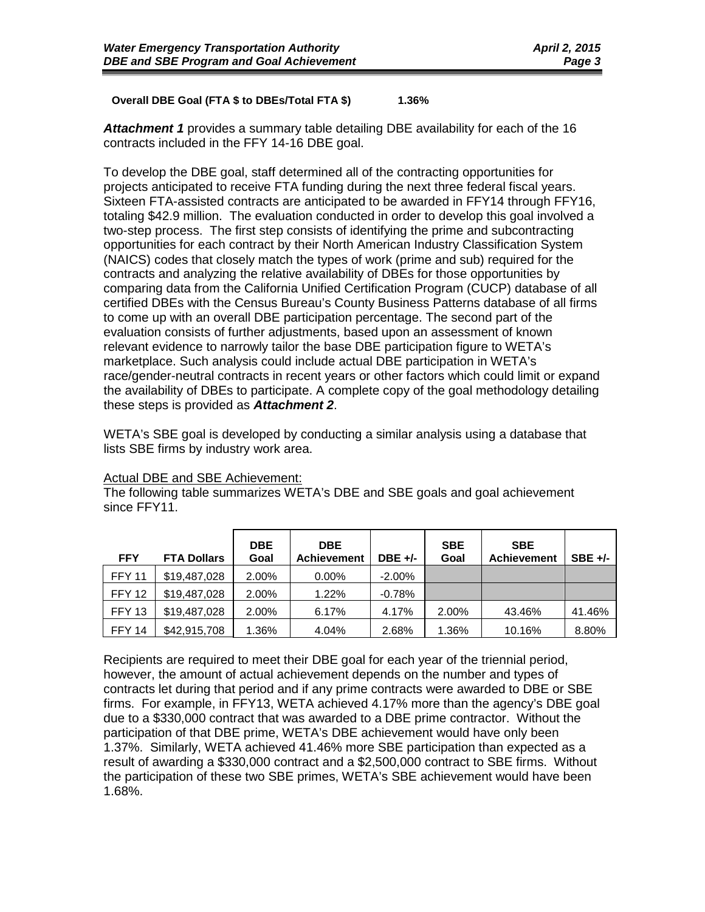#### **Overall DBE Goal (FTA \$ to DBEs/Total FTA \$) 1.36%**

*Attachment 1* provides a summary table detailing DBE availability for each of the 16 contracts included in the FFY 14-16 DBE goal.

To develop the DBE goal, staff determined all of the contracting opportunities for projects anticipated to receive FTA funding during the next three federal fiscal years. Sixteen FTA-assisted contracts are anticipated to be awarded in FFY14 through FFY16, totaling \$42.9 million. The evaluation conducted in order to develop this goal involved a two-step process. The first step consists of identifying the prime and subcontracting opportunities for each contract by their North American Industry Classification System (NAICS) codes that closely match the types of work (prime and sub) required for the contracts and analyzing the relative availability of DBEs for those opportunities by comparing data from the California Unified Certification Program (CUCP) database of all certified DBEs with the Census Bureau's County Business Patterns database of all firms to come up with an overall DBE participation percentage. The second part of the evaluation consists of further adjustments, based upon an assessment of known relevant evidence to narrowly tailor the base DBE participation figure to WETA's marketplace. Such analysis could include actual DBE participation in WETA's race/gender-neutral contracts in recent years or other factors which could limit or expand the availability of DBEs to participate. A complete copy of the goal methodology detailing these steps is provided as *Attachment 2*.

WETA's SBE goal is developed by conducting a similar analysis using a database that lists SBE firms by industry work area.

| <b>FFY</b>    | <b>FTA Dollars</b> | <b>DBE</b><br>Goal | <b>DBE</b><br><b>Achievement</b> | $DBE +/-$ | <b>SBE</b><br>Goal | <b>SBE</b><br><b>Achievement</b> | $SBE +/-$ |
|---------------|--------------------|--------------------|----------------------------------|-----------|--------------------|----------------------------------|-----------|
| <b>FFY 11</b> | \$19,487,028       | 2.00%              | $0.00\%$                         | $-2.00\%$ |                    |                                  |           |
| <b>FFY 12</b> | \$19,487,028       | 2.00%              | 1.22%                            | $-0.78%$  |                    |                                  |           |
| FFY 13        | \$19,487,028       | 2.00%              | 6.17%                            | 4.17%     | 2.00%              | 43.46%                           | 41.46%    |
| <b>FFY 14</b> | \$42,915,708       | 1.36%              | 4.04%                            | 2.68%     | 1.36%              | 10.16%                           | 8.80%     |

#### Actual DBE and SBE Achievement:

The following table summarizes WETA's DBE and SBE goals and goal achievement since FFY11.

Recipients are required to meet their DBE goal for each year of the triennial period, however, the amount of actual achievement depends on the number and types of contracts let during that period and if any prime contracts were awarded to DBE or SBE firms. For example, in FFY13, WETA achieved 4.17% more than the agency's DBE goal due to a \$330,000 contract that was awarded to a DBE prime contractor. Without the participation of that DBE prime, WETA's DBE achievement would have only been 1.37%. Similarly, WETA achieved 41.46% more SBE participation than expected as a result of awarding a \$330,000 contract and a \$2,500,000 contract to SBE firms. Without the participation of these two SBE primes, WETA's SBE achievement would have been 1.68%.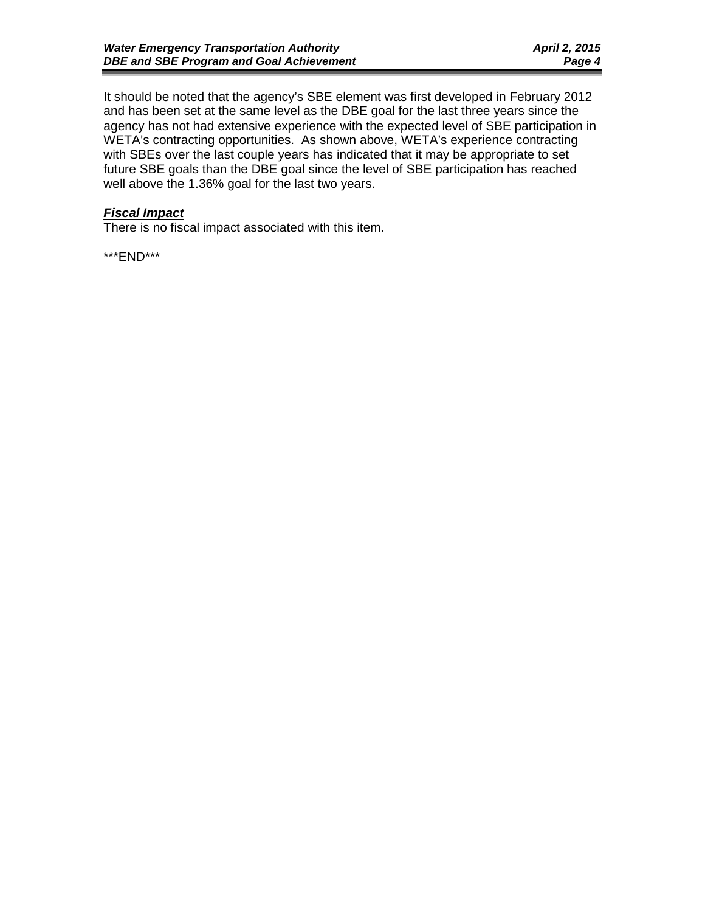It should be noted that the agency's SBE element was first developed in February 2012 and has been set at the same level as the DBE goal for the last three years since the agency has not had extensive experience with the expected level of SBE participation in WETA's contracting opportunities. As shown above, WETA's experience contracting with SBEs over the last couple years has indicated that it may be appropriate to set future SBE goals than the DBE goal since the level of SBE participation has reached well above the 1.36% goal for the last two years.

# *Fiscal Impact*

There is no fiscal impact associated with this item.

\*\*\*END\*\*\*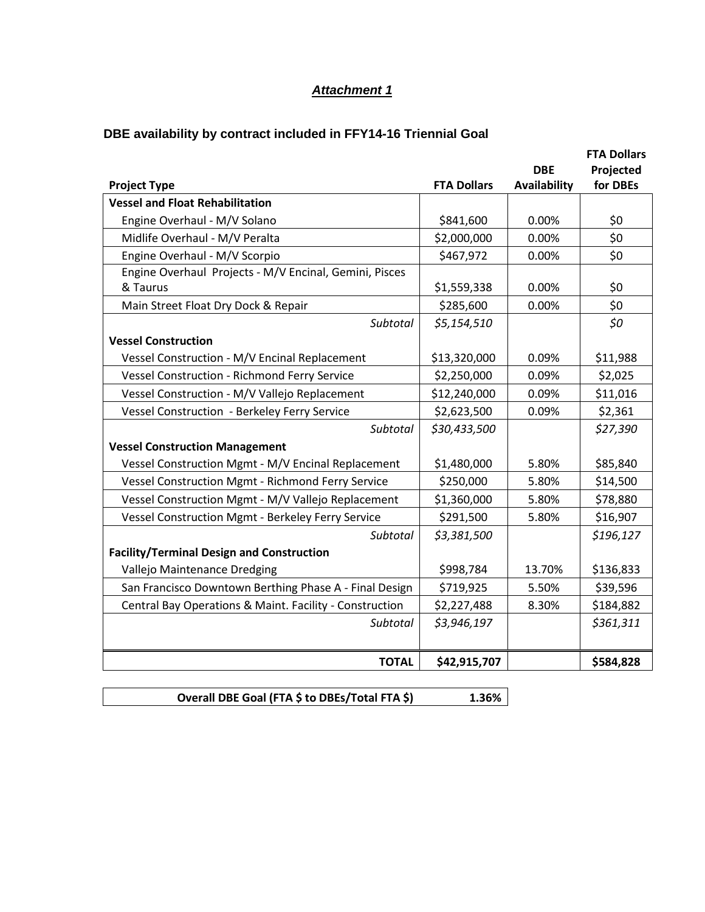# *Attachment 1*

# **DBE availability by contract included in FFY14-16 Triennial Goal**

|                                                         |                    |              | <b>FTA Dollars</b> |
|---------------------------------------------------------|--------------------|--------------|--------------------|
|                                                         |                    | <b>DBE</b>   | Projected          |
| <b>Project Type</b>                                     | <b>FTA Dollars</b> | Availability | for DBEs           |
| <b>Vessel and Float Rehabilitation</b>                  |                    |              |                    |
| Engine Overhaul - M/V Solano                            | \$841,600          | 0.00%        | \$0                |
| Midlife Overhaul - M/V Peralta                          | \$2,000,000        | 0.00%        | \$0                |
| Engine Overhaul - M/V Scorpio                           | \$467,972          | 0.00%        | \$0                |
| Engine Overhaul Projects - M/V Encinal, Gemini, Pisces  |                    |              |                    |
| & Taurus                                                | \$1,559,338        | 0.00%        | \$0                |
| Main Street Float Dry Dock & Repair                     | \$285,600          | 0.00%        | \$0                |
| Subtotal                                                | \$5,154,510        |              | \$0                |
| <b>Vessel Construction</b>                              |                    |              |                    |
| Vessel Construction - M/V Encinal Replacement           | \$13,320,000       | 0.09%        | \$11,988           |
| Vessel Construction - Richmond Ferry Service            | \$2,250,000        | 0.09%        | \$2,025            |
| Vessel Construction - M/V Vallejo Replacement           | \$12,240,000       | 0.09%        | \$11,016           |
| Vessel Construction - Berkeley Ferry Service            | \$2,623,500        | 0.09%        | \$2,361            |
| <b>Subtotal</b>                                         | \$30,433,500       |              | \$27,390           |
| <b>Vessel Construction Management</b>                   |                    |              |                    |
| Vessel Construction Mgmt - M/V Encinal Replacement      | \$1,480,000        | 5.80%        | \$85,840           |
| Vessel Construction Mgmt - Richmond Ferry Service       | \$250,000          | 5.80%        | \$14,500           |
| Vessel Construction Mgmt - M/V Vallejo Replacement      | \$1,360,000        | 5.80%        | \$78,880           |
| Vessel Construction Mgmt - Berkeley Ferry Service       | \$291,500          | 5.80%        | \$16,907           |
| Subtotal                                                | \$3,381,500        |              | \$196,127          |
| <b>Facility/Terminal Design and Construction</b>        |                    |              |                    |
| Vallejo Maintenance Dredging                            | \$998,784          | 13.70%       | \$136,833          |
| San Francisco Downtown Berthing Phase A - Final Design  | \$719,925          | 5.50%        | \$39,596           |
| Central Bay Operations & Maint. Facility - Construction | \$2,227,488        | 8.30%        | \$184,882          |
| <b>Subtotal</b>                                         | \$3,946,197        |              | \$361,311          |
|                                                         |                    |              |                    |
| <b>TOTAL</b>                                            | \$42,915,707       |              | \$584,828          |

**Overall DBE Goal (FTA \$ to DBEs/Total FTA \$) 1.36%**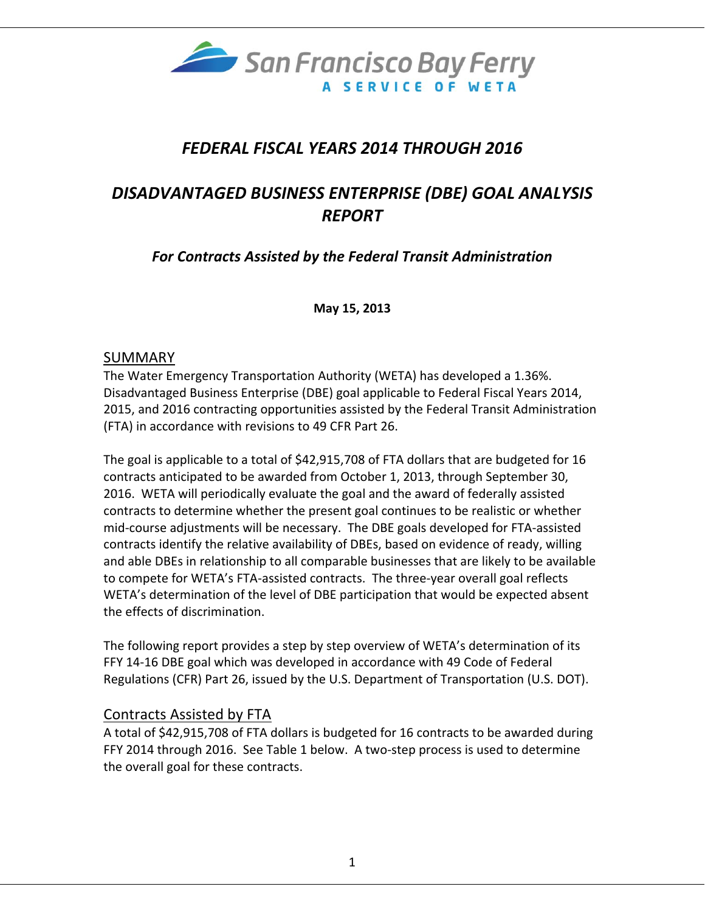

# *FEDERAL FISCAL YEARS 2014 THROUGH 2016*

# *DISADVANTAGED BUSINESS ENTERPRISE (DBE) GOAL ANALYSIS REPORT*

*For Contracts Assisted by the Federal Transit Administration*

**May 15, 2013**

# SUMMARY

The Water Emergency Transportation Authority (WETA) has developed a 1.36%. Disadvantaged Business Enterprise (DBE) goal applicable to Federal Fiscal Years 2014, 2015, and 2016 contracting opportunities assisted by the Federal Transit Administration (FTA) in accordance with revisions to 49 CFR Part 26.

The goal is applicable to a total of \$42,915,708 of FTA dollars that are budgeted for 16 contracts anticipated to be awarded from October 1, 2013, through September 30, 2016. WETA will periodically evaluate the goal and the award of federally assisted contracts to determine whether the present goal continues to be realistic or whether mid‐course adjustments will be necessary. The DBE goals developed for FTA‐assisted contracts identify the relative availability of DBEs, based on evidence of ready, willing and able DBEs in relationship to all comparable businesses that are likely to be available to compete for WETA's FTA‐assisted contracts. The three‐year overall goal reflects WETA's determination of the level of DBE participation that would be expected absent the effects of discrimination.

The following report provides a step by step overview of WETA's determination of its FFY 14‐16 DBE goal which was developed in accordance with 49 Code of Federal Regulations (CFR) Part 26, issued by the U.S. Department of Transportation (U.S. DOT).

# Contracts Assisted by FTA

A total of \$42,915,708 of FTA dollars is budgeted for 16 contracts to be awarded during FFY 2014 through 2016. See Table 1 below. A two‐step process is used to determine the overall goal for these contracts.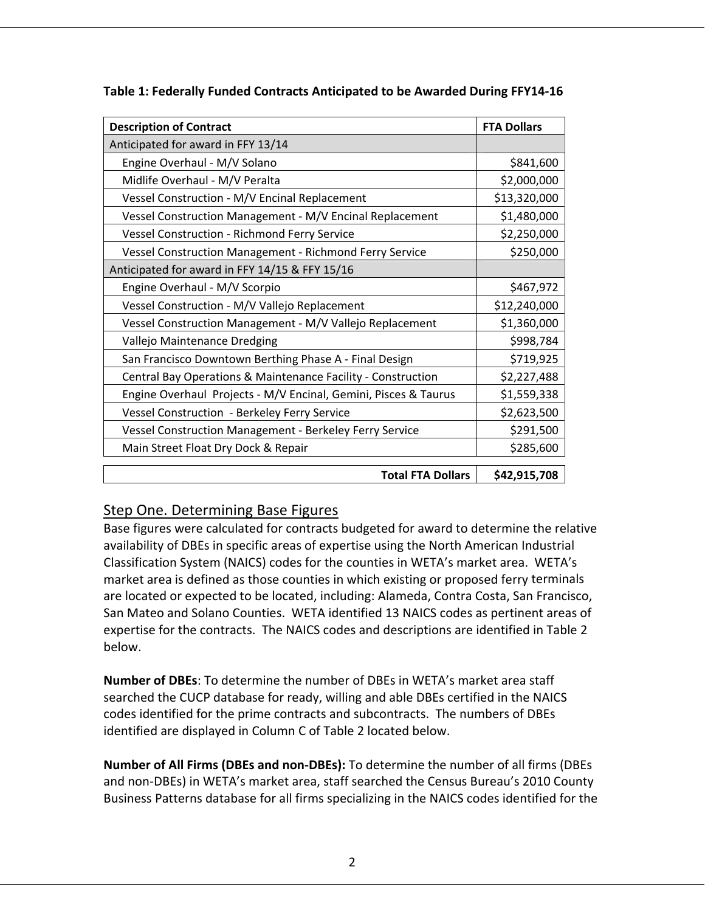| <b>Description of Contract</b>                                  | <b>FTA Dollars</b> |
|-----------------------------------------------------------------|--------------------|
| Anticipated for award in FFY 13/14                              |                    |
| Engine Overhaul - M/V Solano                                    | \$841,600          |
| Midlife Overhaul - M/V Peralta                                  | \$2,000,000        |
| Vessel Construction - M/V Encinal Replacement                   | \$13,320,000       |
| Vessel Construction Management - M/V Encinal Replacement        | \$1,480,000        |
| Vessel Construction - Richmond Ferry Service                    | \$2,250,000        |
| <b>Vessel Construction Management - Richmond Ferry Service</b>  | \$250,000          |
| Anticipated for award in FFY 14/15 & FFY 15/16                  |                    |
| Engine Overhaul - M/V Scorpio                                   | \$467,972          |
| Vessel Construction - M/V Vallejo Replacement                   | \$12,240,000       |
| Vessel Construction Management - M/V Vallejo Replacement        | \$1,360,000        |
| Vallejo Maintenance Dredging                                    | \$998,784          |
| San Francisco Downtown Berthing Phase A - Final Design          | \$719,925          |
| Central Bay Operations & Maintenance Facility - Construction    | \$2,227,488        |
| Engine Overhaul Projects - M/V Encinal, Gemini, Pisces & Taurus | \$1,559,338        |
| Vessel Construction - Berkeley Ferry Service                    | \$2,623,500        |
| Vessel Construction Management - Berkeley Ferry Service         | \$291,500          |
| Main Street Float Dry Dock & Repair                             | \$285,600          |
| <b>Total FTA Dollars</b>                                        | \$42,915,708       |

| Table 1: Federally Funded Contracts Anticipated to be Awarded During FFY14-16 |
|-------------------------------------------------------------------------------|
|-------------------------------------------------------------------------------|

# Step One. Determining Base Figures

Base figures were calculated for contracts budgeted for award to determine the relative availability of DBEs in specific areas of expertise using the North American Industrial Classification System (NAICS) codes for the counties in WETA's market area. WETA's market area is defined as those counties in which existing or proposed ferry terminals are located or expected to be located, including: Alameda, Contra Costa, San Francisco, San Mateo and Solano Counties. WETA identified 13 NAICS codes as pertinent areas of expertise for the contracts. The NAICS codes and descriptions are identified in Table 2 below.

**Number of DBEs**: To determine the number of DBEs in WETA's market area staff searched the CUCP database for ready, willing and able DBEs certified in the NAICS codes identified for the prime contracts and subcontracts. The numbers of DBEs identified are displayed in Column C of Table 2 located below.

**Number of All Firms (DBEs and non‐DBEs):** To determine the number of all firms (DBEs and non‐DBEs) in WETA's market area, staff searched the Census Bureau's 2010 County Business Patterns database for all firms specializing in the NAICS codes identified for the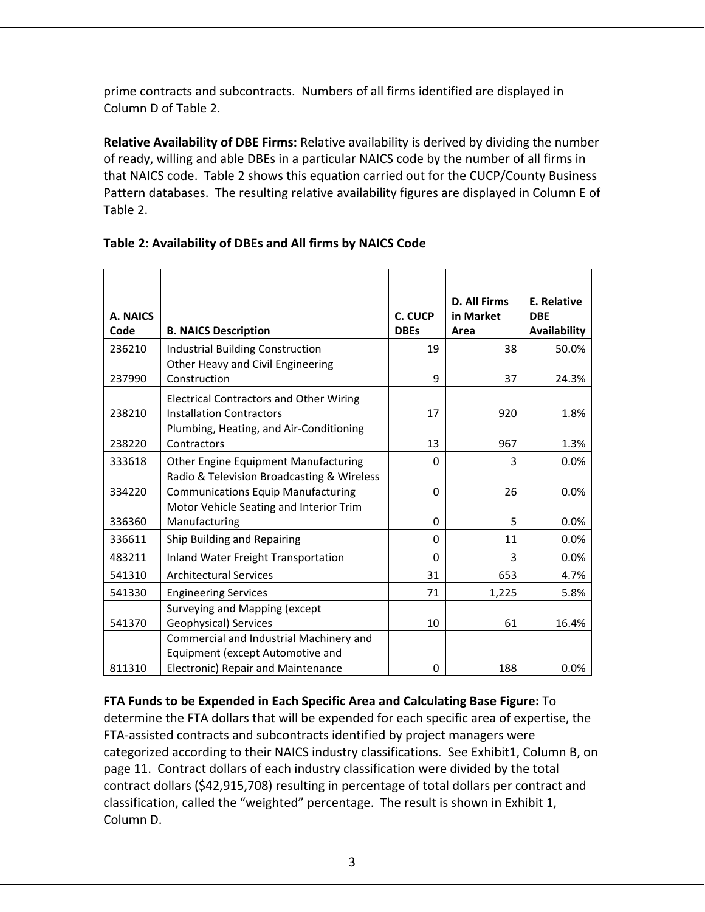prime contracts and subcontracts. Numbers of all firms identified are displayed in Column D of Table 2.

**Relative Availability of DBE Firms:** Relative availability is derived by dividing the number of ready, willing and able DBEs in a particular NAICS code by the number of all firms in that NAICS code. Table 2 shows this equation carried out for the CUCP/County Business Pattern databases. The resulting relative availability figures are displayed in Column E of Table 2.

| A. NAICS<br>Code | <b>B. NAICS Description</b>                                                                                       | C. CUCP<br><b>DBEs</b> | <b>D. All Firms</b><br>in Market<br>Area | E. Relative<br><b>DBE</b><br>Availability |
|------------------|-------------------------------------------------------------------------------------------------------------------|------------------------|------------------------------------------|-------------------------------------------|
| 236210           | <b>Industrial Building Construction</b>                                                                           | 19                     | 38                                       | 50.0%                                     |
| 237990           | Other Heavy and Civil Engineering<br>Construction                                                                 | 9                      | 37                                       | 24.3%                                     |
| 238210           | <b>Electrical Contractors and Other Wiring</b><br><b>Installation Contractors</b>                                 | 17                     | 920                                      | 1.8%                                      |
| 238220           | Plumbing, Heating, and Air-Conditioning<br>Contractors                                                            | 13                     | 967                                      | 1.3%                                      |
| 333618           | Other Engine Equipment Manufacturing                                                                              | 0                      | 3                                        | 0.0%                                      |
| 334220           | Radio & Television Broadcasting & Wireless<br><b>Communications Equip Manufacturing</b>                           | 0                      | 26                                       | 0.0%                                      |
| 336360           | Motor Vehicle Seating and Interior Trim<br>Manufacturing                                                          | 0                      | 5                                        | 0.0%                                      |
| 336611           | Ship Building and Repairing                                                                                       | 0                      | 11                                       | 0.0%                                      |
| 483211           | <b>Inland Water Freight Transportation</b>                                                                        | 0                      | 3                                        | 0.0%                                      |
| 541310           | <b>Architectural Services</b>                                                                                     | 31                     | 653                                      | 4.7%                                      |
| 541330           | <b>Engineering Services</b>                                                                                       | 71                     | 1,225                                    | 5.8%                                      |
| 541370           | Surveying and Mapping (except<br>Geophysical) Services                                                            | 10                     | 61                                       | 16.4%                                     |
| 811310           | Commercial and Industrial Machinery and<br>Equipment (except Automotive and<br>Electronic) Repair and Maintenance | 0                      | 188                                      | 0.0%                                      |

# **Table 2: Availability of DBEs and All firms by NAICS Code**

**FTA Funds to be Expended in Each Specific Area and Calculating Base Figure:** To determine the FTA dollars that will be expended for each specific area of expertise, the FTA-assisted contracts and subcontracts identified by project managers were categorized according to their NAICS industry classifications. See Exhibit1, Column B, on page 11. Contract dollars of each industry classification were divided by the total contract dollars (\$42,915,708) resulting in percentage of total dollars per contract and classification, called the "weighted" percentage. The result is shown in Exhibit 1, Column D.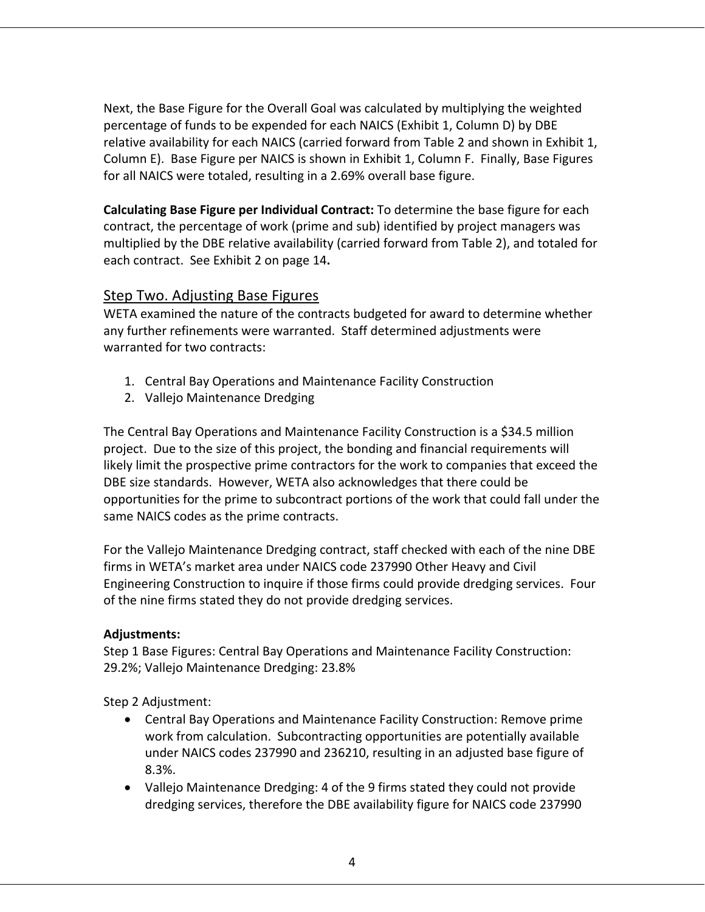Next, the Base Figure for the Overall Goal was calculated by multiplying the weighted percentage of funds to be expended for each NAICS (Exhibit 1, Column D) by DBE relative availability for each NAICS (carried forward from Table 2 and shown in Exhibit 1, Column E). Base Figure per NAICS is shown in Exhibit 1, Column F. Finally, Base Figures for all NAICS were totaled, resulting in a 2.69% overall base figure.

**Calculating Base Figure per Individual Contract:** To determine the base figure for each contract, the percentage of work (prime and sub) identified by project managers was multiplied by the DBE relative availability (carried forward from Table 2), and totaled for each contract. See Exhibit 2 on page 14**.**

# Step Two. Adjusting Base Figures

WETA examined the nature of the contracts budgeted for award to determine whether any further refinements were warranted. Staff determined adjustments were warranted for two contracts:

- 1. Central Bay Operations and Maintenance Facility Construction
- 2. Vallejo Maintenance Dredging

The Central Bay Operations and Maintenance Facility Construction is a \$34.5 million project. Due to the size of this project, the bonding and financial requirements will likely limit the prospective prime contractors for the work to companies that exceed the DBE size standards. However, WETA also acknowledges that there could be opportunities for the prime to subcontract portions of the work that could fall under the same NAICS codes as the prime contracts.

For the Vallejo Maintenance Dredging contract, staff checked with each of the nine DBE firms in WETA's market area under NAICS code 237990 Other Heavy and Civil Engineering Construction to inquire if those firms could provide dredging services. Four of the nine firms stated they do not provide dredging services.

# **Adjustments:**

Step 1 Base Figures: Central Bay Operations and Maintenance Facility Construction: 29.2%; Vallejo Maintenance Dredging: 23.8%

Step 2 Adjustment:

- Central Bay Operations and Maintenance Facility Construction: Remove prime work from calculation. Subcontracting opportunities are potentially available under NAICS codes 237990 and 236210, resulting in an adjusted base figure of 8.3%.
- Vallejo Maintenance Dredging: 4 of the 9 firms stated they could not provide dredging services, therefore the DBE availability figure for NAICS code 237990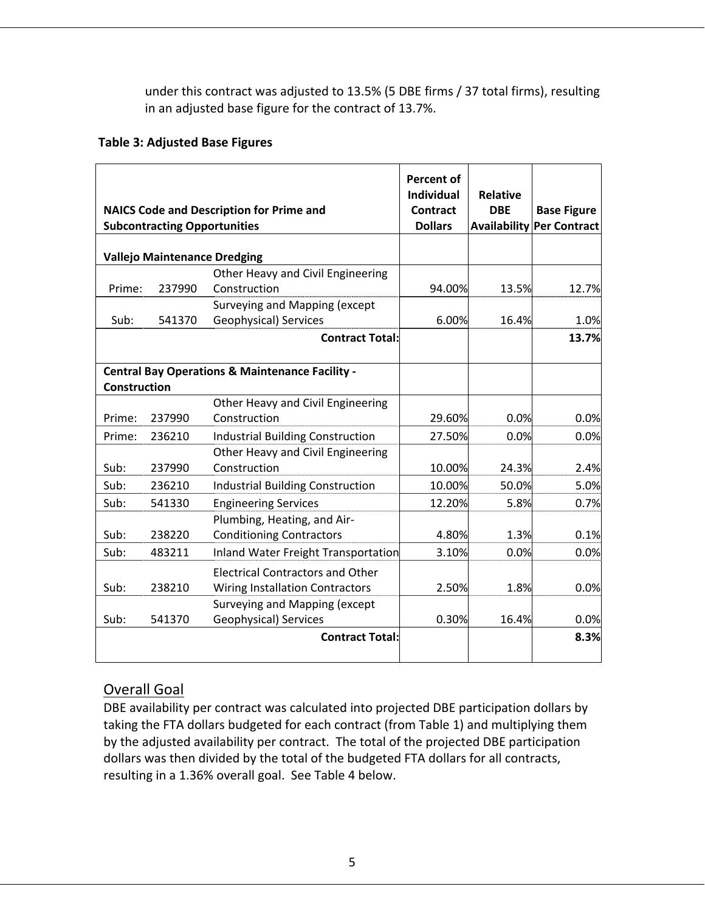under this contract was adjusted to 13.5% (5 DBE firms / 37 total firms), resulting in an adjusted base figure for the contract of 13.7%.

# **Table 3: Adjusted Base Figures**

|                     | <b>Subcontracting Opportunities</b> | <b>NAICS Code and Description for Prime and</b>            | <b>Percent of</b><br><b>Individual</b><br>Contract<br><b>Dollars</b> | <b>Relative</b><br><b>DBE</b> | <b>Base Figure</b><br><b>Availability Per Contract</b> |
|---------------------|-------------------------------------|------------------------------------------------------------|----------------------------------------------------------------------|-------------------------------|--------------------------------------------------------|
|                     | <b>Vallejo Maintenance Dredging</b> |                                                            |                                                                      |                               |                                                        |
|                     |                                     | Other Heavy and Civil Engineering                          |                                                                      |                               |                                                        |
| Prime:              | 237990                              | Construction                                               | 94.00%                                                               | 13.5%                         | 12.7%                                                  |
|                     |                                     | Surveying and Mapping (except                              |                                                                      |                               |                                                        |
| Sub:                | 541370                              | Geophysical) Services                                      | 6.00%                                                                | 16.4%                         | 1.0%                                                   |
|                     |                                     | <b>Contract Total:</b>                                     |                                                                      |                               | 13.7%                                                  |
| <b>Construction</b> |                                     | <b>Central Bay Operations &amp; Maintenance Facility -</b> |                                                                      |                               |                                                        |
|                     |                                     | Other Heavy and Civil Engineering                          |                                                                      |                               |                                                        |
| Prime:              | 237990                              | Construction                                               | 29.60%                                                               | 0.0%                          | 0.0%                                                   |
| Prime:              | 236210                              | <b>Industrial Building Construction</b>                    | 27.50%                                                               | 0.0%                          | 0.0%                                                   |
|                     |                                     | Other Heavy and Civil Engineering                          |                                                                      |                               |                                                        |
| Sub:                | 237990                              | Construction                                               | 10.00%                                                               | 24.3%                         | 2.4%                                                   |
| Sub:                | 236210                              | Industrial Building Construction                           | 10.00%                                                               | 50.0%                         | 5.0%                                                   |
| Sub:                | 541330                              | <b>Engineering Services</b>                                | 12.20%                                                               | 5.8%                          | 0.7%                                                   |
|                     |                                     | Plumbing, Heating, and Air-                                |                                                                      |                               |                                                        |
| Sub:                | 238220                              | <b>Conditioning Contractors</b>                            | 4.80%                                                                | 1.3%                          | 0.1%                                                   |
| Sub:                | 483211                              | Inland Water Freight Transportation                        | 3.10%                                                                | 0.0%                          | 0.0%                                                   |
|                     |                                     | <b>Electrical Contractors and Other</b>                    |                                                                      |                               |                                                        |
| Sub:                | 238210                              | <b>Wiring Installation Contractors</b>                     | 2.50%                                                                | 1.8%                          | 0.0%                                                   |
|                     |                                     | Surveying and Mapping (except                              |                                                                      |                               |                                                        |
| Sub:                | 541370                              | Geophysical) Services                                      | 0.30%                                                                | 16.4%                         | 0.0%                                                   |
|                     |                                     | <b>Contract Total:</b>                                     |                                                                      |                               | 8.3%                                                   |
|                     |                                     |                                                            |                                                                      |                               |                                                        |

# Overall Goal

DBE availability per contract was calculated into projected DBE participation dollars by taking the FTA dollars budgeted for each contract (from Table 1) and multiplying them by the adjusted availability per contract. The total of the projected DBE participation dollars was then divided by the total of the budgeted FTA dollars for all contracts, resulting in a 1.36% overall goal. See Table 4 below.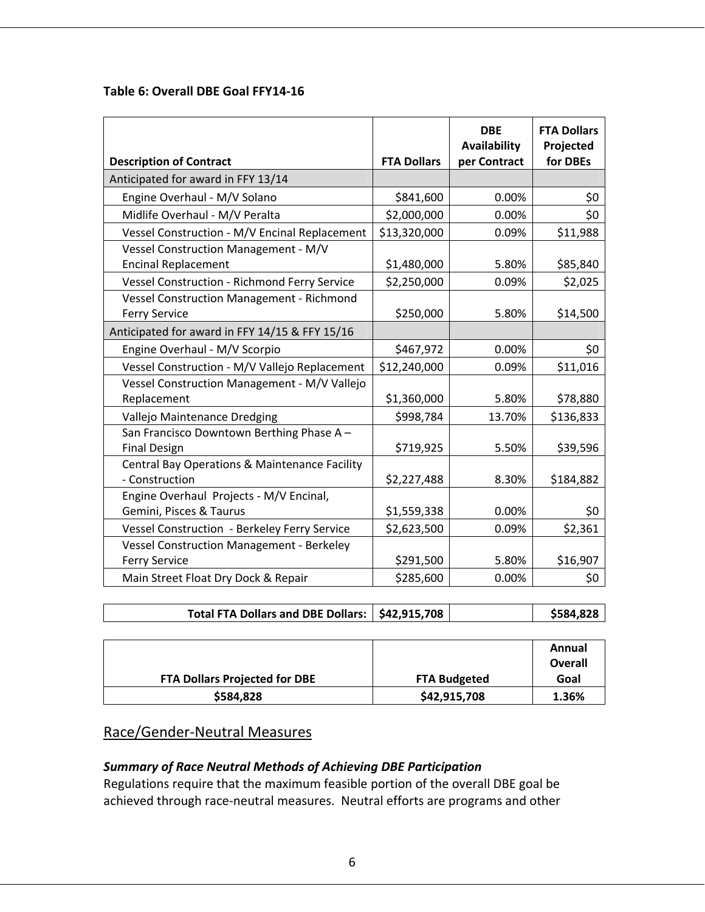# **Table 6: Overall DBE Goal FFY14‐16**

| <b>Description of Contract</b>                                           | <b>FTA Dollars</b> | <b>DBE</b><br>Availability<br>per Contract | <b>FTA Dollars</b><br>Projected<br>for DBEs |
|--------------------------------------------------------------------------|--------------------|--------------------------------------------|---------------------------------------------|
| Anticipated for award in FFY 13/14                                       |                    |                                            |                                             |
| Engine Overhaul - M/V Solano                                             | \$841,600          | 0.00%                                      | \$0                                         |
| Midlife Overhaul - M/V Peralta                                           | \$2,000,000        | 0.00%                                      | \$0                                         |
| Vessel Construction - M/V Encinal Replacement                            | \$13,320,000       | 0.09%                                      | \$11,988                                    |
| <b>Vessel Construction Management - M/V</b>                              |                    |                                            |                                             |
| <b>Encinal Replacement</b>                                               | \$1,480,000        | 5.80%                                      | \$85,840                                    |
| Vessel Construction - Richmond Ferry Service                             | \$2,250,000        | 0.09%                                      | \$2,025                                     |
| <b>Vessel Construction Management - Richmond</b><br><b>Ferry Service</b> | \$250,000          | 5.80%                                      | \$14,500                                    |
| Anticipated for award in FFY 14/15 & FFY 15/16                           |                    |                                            |                                             |
| Engine Overhaul - M/V Scorpio                                            | \$467,972          | 0.00%                                      | \$0                                         |
| Vessel Construction - M/V Vallejo Replacement                            | \$12,240,000       | 0.09%                                      | \$11,016                                    |
| Vessel Construction Management - M/V Vallejo                             |                    |                                            |                                             |
| Replacement                                                              | \$1,360,000        | 5.80%                                      | \$78,880                                    |
| Vallejo Maintenance Dredging                                             | \$998,784          | 13.70%                                     | \$136,833                                   |
| San Francisco Downtown Berthing Phase A-<br><b>Final Design</b>          | \$719,925          | 5.50%                                      | \$39,596                                    |
| Central Bay Operations & Maintenance Facility<br>- Construction          | \$2,227,488        | 8.30%                                      | \$184,882                                   |
| Engine Overhaul Projects - M/V Encinal,<br>Gemini, Pisces & Taurus       | \$1,559,338        | 0.00%                                      | \$0                                         |
| Vessel Construction - Berkeley Ferry Service                             | \$2,623,500        | 0.09%                                      | \$2,361                                     |
| <b>Vessel Construction Management - Berkeley</b>                         |                    |                                            |                                             |
| <b>Ferry Service</b>                                                     | \$291,500          | 5.80%                                      | \$16,907                                    |
| Main Street Float Dry Dock & Repair                                      | \$285,600          | 0.00%                                      | \$0                                         |

|  | Total FTA Dollars and DBE Dollars:   \$42,915,708 |  |  | \$584,828 |
|--|---------------------------------------------------|--|--|-----------|
|--|---------------------------------------------------|--|--|-----------|

|                                      |                     | Annual<br>Overall |
|--------------------------------------|---------------------|-------------------|
| <b>FTA Dollars Projected for DBE</b> | <b>FTA Budgeted</b> | Goal              |
| \$584,828                            | \$42,915,708        | 1.36%             |

# Race/Gender‐Neutral Measures

# *Summary of Race Neutral Methods of Achieving DBE Participation*

Regulations require that the maximum feasible portion of the overall DBE goal be achieved through race‐neutral measures. Neutral efforts are programs and other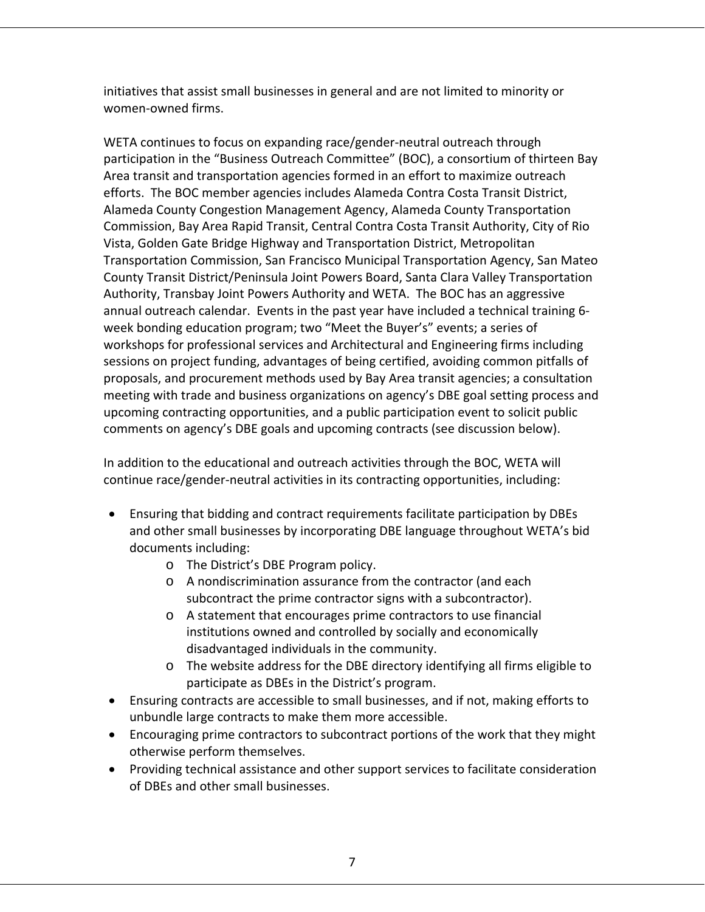initiatives that assist small businesses in general and are not limited to minority or women‐owned firms.

WETA continues to focus on expanding race/gender-neutral outreach through participation in the "Business Outreach Committee" (BOC), a consortium of thirteen Bay Area transit and transportation agencies formed in an effort to maximize outreach efforts. The BOC member agencies includes Alameda Contra Costa Transit District, Alameda County Congestion Management Agency, Alameda County Transportation Commission, Bay Area Rapid Transit, Central Contra Costa Transit Authority, City of Rio Vista, Golden Gate Bridge Highway and Transportation District, Metropolitan Transportation Commission, San Francisco Municipal Transportation Agency, San Mateo County Transit District/Peninsula Joint Powers Board, Santa Clara Valley Transportation Authority, Transbay Joint Powers Authority and WETA. The BOC has an aggressive annual outreach calendar. Events in the past year have included a technical training 6‐ week bonding education program; two "Meet the Buyer's" events; a series of workshops for professional services and Architectural and Engineering firms including sessions on project funding, advantages of being certified, avoiding common pitfalls of proposals, and procurement methods used by Bay Area transit agencies; a consultation meeting with trade and business organizations on agency's DBE goal setting process and upcoming contracting opportunities, and a public participation event to solicit public comments on agency's DBE goals and upcoming contracts (see discussion below).

In addition to the educational and outreach activities through the BOC, WETA will continue race/gender‐neutral activities in its contracting opportunities, including:

- Ensuring that bidding and contract requirements facilitate participation by DBEs and other small businesses by incorporating DBE language throughout WETA's bid documents including:
	- o The District's DBE Program policy.
	- o A nondiscrimination assurance from the contractor (and each subcontract the prime contractor signs with a subcontractor).
	- o A statement that encourages prime contractors to use financial institutions owned and controlled by socially and economically disadvantaged individuals in the community.
	- o The website address for the DBE directory identifying all firms eligible to participate as DBEs in the District's program.
- Ensuring contracts are accessible to small businesses, and if not, making efforts to unbundle large contracts to make them more accessible.
- Encouraging prime contractors to subcontract portions of the work that they might otherwise perform themselves.
- Providing technical assistance and other support services to facilitate consideration of DBEs and other small businesses.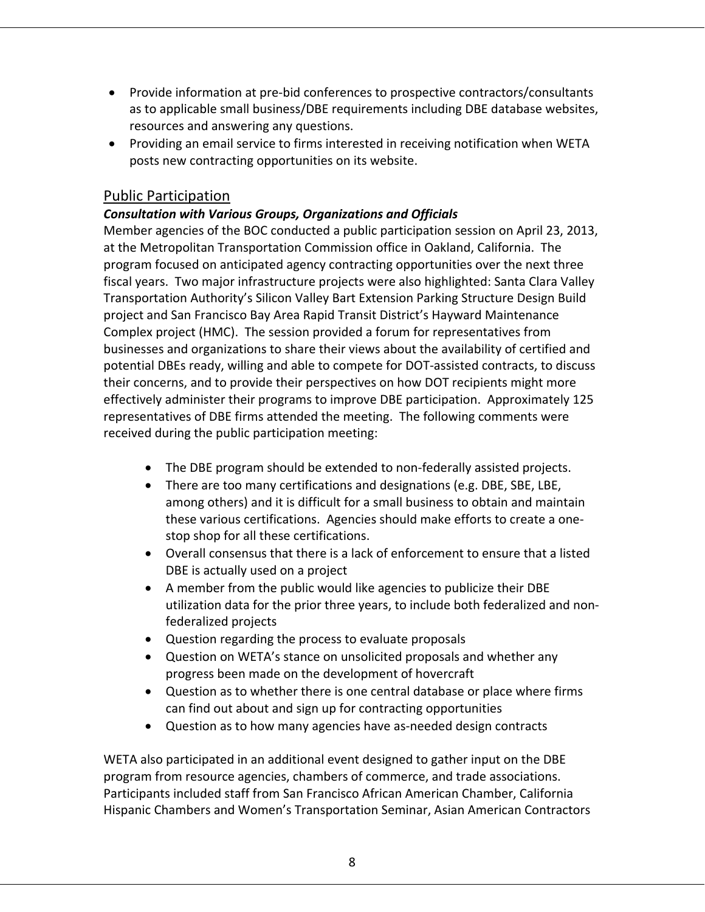- Provide information at pre-bid conferences to prospective contractors/consultants as to applicable small business/DBE requirements including DBE database websites, resources and answering any questions.
- Providing an email service to firms interested in receiving notification when WETA posts new contracting opportunities on its website.

# Public Participation

# *Consultation with Various Groups, Organizations and Officials*

Member agencies of the BOC conducted a public participation session on April 23, 2013, at the Metropolitan Transportation Commission office in Oakland, California. The program focused on anticipated agency contracting opportunities over the next three fiscal years. Two major infrastructure projects were also highlighted: Santa Clara Valley Transportation Authority's Silicon Valley Bart Extension Parking Structure Design Build project and San Francisco Bay Area Rapid Transit District's Hayward Maintenance Complex project (HMC). The session provided a forum for representatives from businesses and organizations to share their views about the availability of certified and potential DBEs ready, willing and able to compete for DOT‐assisted contracts, to discuss their concerns, and to provide their perspectives on how DOT recipients might more effectively administer their programs to improve DBE participation. Approximately 125 representatives of DBE firms attended the meeting. The following comments were received during the public participation meeting:

- The DBE program should be extended to non‐federally assisted projects.
- There are too many certifications and designations (e.g. DBE, SBE, LBE, among others) and it is difficult for a small business to obtain and maintain these various certifications. Agencies should make efforts to create a one‐ stop shop for all these certifications.
- Overall consensus that there is a lack of enforcement to ensure that a listed DBE is actually used on a project
- A member from the public would like agencies to publicize their DBE utilization data for the prior three years, to include both federalized and non‐ federalized projects
- Question regarding the process to evaluate proposals
- Question on WETA's stance on unsolicited proposals and whether any progress been made on the development of hovercraft
- Question as to whether there is one central database or place where firms can find out about and sign up for contracting opportunities
- Question as to how many agencies have as-needed design contracts

WETA also participated in an additional event designed to gather input on the DBE program from resource agencies, chambers of commerce, and trade associations. Participants included staff from San Francisco African American Chamber, California Hispanic Chambers and Women's Transportation Seminar, Asian American Contractors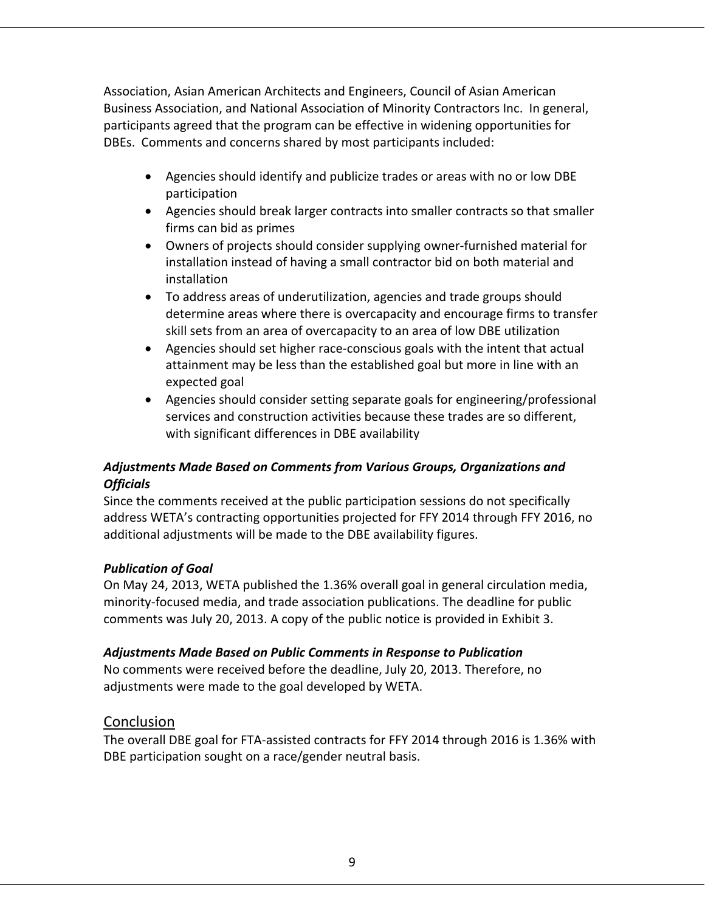Association, Asian American Architects and Engineers, Council of Asian American Business Association, and National Association of Minority Contractors Inc. In general, participants agreed that the program can be effective in widening opportunities for DBEs. Comments and concerns shared by most participants included:

- Agencies should identify and publicize trades or areas with no or low DBE participation
- Agencies should break larger contracts into smaller contracts so that smaller firms can bid as primes
- Owners of projects should consider supplying owner‐furnished material for installation instead of having a small contractor bid on both material and installation
- To address areas of underutilization, agencies and trade groups should determine areas where there is overcapacity and encourage firms to transfer skill sets from an area of overcapacity to an area of low DBE utilization
- Agencies should set higher race-conscious goals with the intent that actual attainment may be less than the established goal but more in line with an expected goal
- Agencies should consider setting separate goals for engineering/professional services and construction activities because these trades are so different, with significant differences in DBE availability

# *Adjustments Made Based on Comments from Various Groups, Organizations and Officials*

Since the comments received at the public participation sessions do not specifically address WETA's contracting opportunities projected for FFY 2014 through FFY 2016, no additional adjustments will be made to the DBE availability figures.

# *Publication of Goal*

On May 24, 2013, WETA published the 1.36% overall goal in general circulation media, minority‐focused media, and trade association publications. The deadline for public comments was July 20, 2013. A copy of the public notice is provided in Exhibit 3.

# *Adjustments Made Based on Public Comments in Response to Publication*

No comments were received before the deadline, July 20, 2013. Therefore, no adjustments were made to the goal developed by WETA.

# Conclusion

The overall DBE goal for FTA‐assisted contracts for FFY 2014 through 2016 is 1.36% with DBE participation sought on a race/gender neutral basis.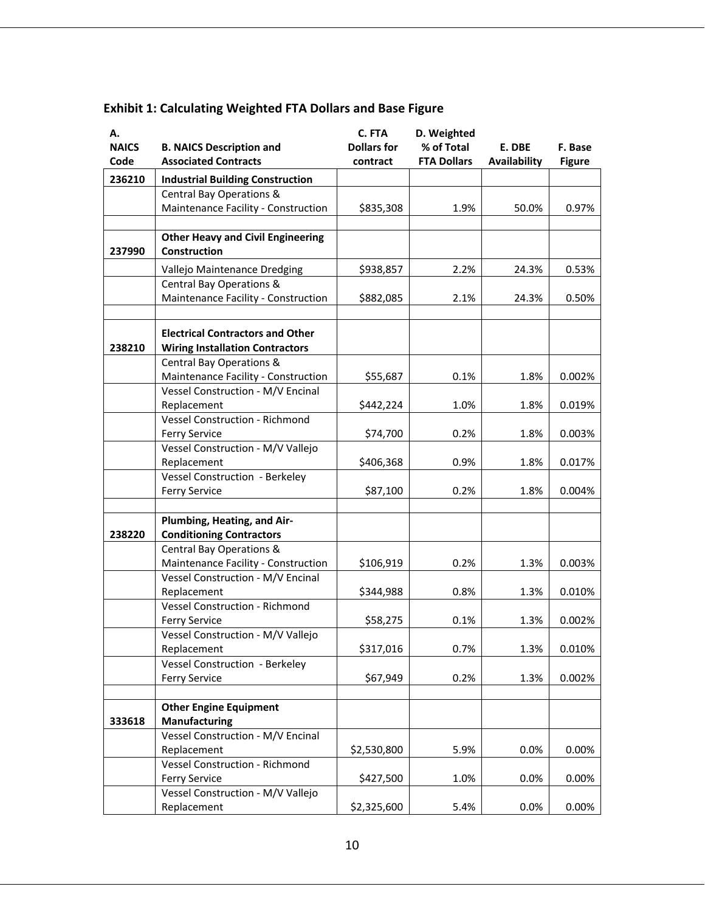| А.           |                                                      | C. FTA             | D. Weighted        |              |               |
|--------------|------------------------------------------------------|--------------------|--------------------|--------------|---------------|
| <b>NAICS</b> | <b>B. NAICS Description and</b>                      | <b>Dollars for</b> | % of Total         | E. DBE       | F. Base       |
| Code         | <b>Associated Contracts</b>                          | contract           | <b>FTA Dollars</b> | Availability | <b>Figure</b> |
| 236210       | <b>Industrial Building Construction</b>              |                    |                    |              |               |
|              | Central Bay Operations &                             |                    |                    |              |               |
|              | Maintenance Facility - Construction                  | \$835,308          | 1.9%               | 50.0%        | 0.97%         |
|              |                                                      |                    |                    |              |               |
|              | <b>Other Heavy and Civil Engineering</b>             |                    |                    |              |               |
| 237990       | Construction                                         |                    |                    |              |               |
|              | Vallejo Maintenance Dredging                         | \$938,857          | 2.2%               | 24.3%        | 0.53%         |
|              | Central Bay Operations &                             |                    |                    |              |               |
|              | Maintenance Facility - Construction                  | \$882,085          | 2.1%               | 24.3%        | 0.50%         |
|              |                                                      |                    |                    |              |               |
|              | <b>Electrical Contractors and Other</b>              |                    |                    |              |               |
| 238210       | <b>Wiring Installation Contractors</b>               |                    |                    |              |               |
|              | Central Bay Operations &                             |                    |                    |              |               |
|              | Maintenance Facility - Construction                  | \$55,687           | 0.1%               | 1.8%         | 0.002%        |
|              | Vessel Construction - M/V Encinal                    |                    |                    |              |               |
|              | Replacement                                          | \$442,224          | 1.0%               | 1.8%         | 0.019%        |
|              | <b>Vessel Construction - Richmond</b>                |                    |                    |              |               |
|              | <b>Ferry Service</b>                                 | \$74,700           | 0.2%               | 1.8%         | 0.003%        |
|              | Vessel Construction - M/V Vallejo                    |                    |                    |              |               |
|              | Replacement                                          | \$406,368          | 0.9%               | 1.8%         | 0.017%        |
|              | Vessel Construction - Berkeley                       |                    |                    |              |               |
|              | <b>Ferry Service</b>                                 | \$87,100           | 0.2%               | 1.8%         | 0.004%        |
|              |                                                      |                    |                    |              |               |
|              | Plumbing, Heating, and Air-                          |                    |                    |              |               |
| 238220       | <b>Conditioning Contractors</b>                      |                    |                    |              |               |
|              | Central Bay Operations &                             |                    |                    |              |               |
|              | Maintenance Facility - Construction                  | \$106,919          | 0.2%               | 1.3%         | 0.003%        |
|              | Vessel Construction - M/V Encinal                    |                    |                    |              |               |
|              | Replacement                                          | \$344,988          | 0.8%               | 1.3%         | 0.010%        |
|              | <b>Vessel Construction - Richmond</b>                |                    |                    |              |               |
|              | <b>Ferry Service</b>                                 | \$58,275           | 0.1%               | 1.3%         | 0.002%        |
|              | Vessel Construction - M/V Vallejo                    | \$317,016          |                    | 1.3%         |               |
|              | Replacement<br><b>Vessel Construction - Berkeley</b> |                    | 0.7%               |              | 0.010%        |
|              | <b>Ferry Service</b>                                 | \$67,949           | 0.2%               | 1.3%         | 0.002%        |
|              |                                                      |                    |                    |              |               |
|              | <b>Other Engine Equipment</b>                        |                    |                    |              |               |
| 333618       | Manufacturing                                        |                    |                    |              |               |
|              | Vessel Construction - M/V Encinal                    |                    |                    |              |               |
|              | Replacement                                          | \$2,530,800        | 5.9%               | 0.0%         | 0.00%         |
|              | Vessel Construction - Richmond                       |                    |                    |              |               |
|              | <b>Ferry Service</b>                                 | \$427,500          | 1.0%               | 0.0%         | 0.00%         |
|              | Vessel Construction - M/V Vallejo                    |                    |                    |              |               |
|              | Replacement                                          | \$2,325,600        | 5.4%               | 0.0%         | $0.00\%$      |

# **Exhibit 1: Calculating Weighted FTA Dollars and Base Figure**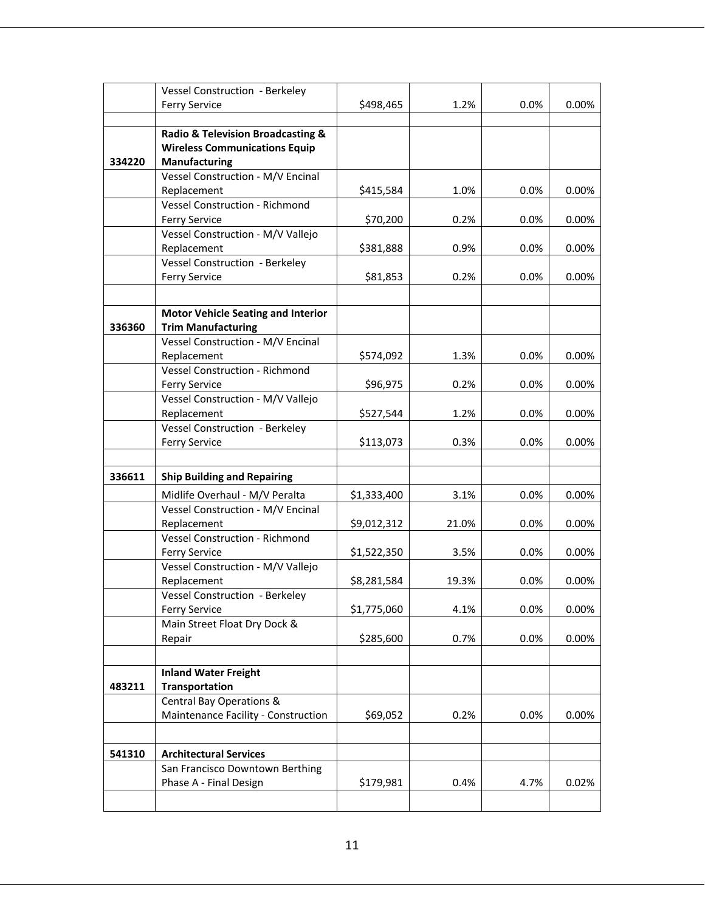|        | <b>Vessel Construction - Berkeley</b>                  |             |       |      |       |
|--------|--------------------------------------------------------|-------------|-------|------|-------|
|        | <b>Ferry Service</b>                                   | \$498,465   | 1.2%  | 0.0% | 0.00% |
|        |                                                        |             |       |      |       |
|        | Radio & Television Broadcasting &                      |             |       |      |       |
|        | <b>Wireless Communications Equip</b>                   |             |       |      |       |
| 334220 | Manufacturing                                          |             |       |      |       |
|        | Vessel Construction - M/V Encinal                      |             |       |      |       |
|        | Replacement                                            | \$415,584   | 1.0%  | 0.0% | 0.00% |
|        | <b>Vessel Construction - Richmond</b>                  |             |       |      |       |
|        | <b>Ferry Service</b>                                   | \$70,200    | 0.2%  | 0.0% | 0.00% |
|        | Vessel Construction - M/V Vallejo                      |             |       |      |       |
|        | Replacement                                            | \$381,888   | 0.9%  | 0.0% | 0.00% |
|        | Vessel Construction - Berkeley                         |             |       |      |       |
|        | <b>Ferry Service</b>                                   | \$81,853    | 0.2%  | 0.0% | 0.00% |
|        |                                                        |             |       |      |       |
|        | <b>Motor Vehicle Seating and Interior</b>              |             |       |      |       |
| 336360 | <b>Trim Manufacturing</b>                              |             |       |      |       |
|        | Vessel Construction - M/V Encinal                      |             |       |      |       |
|        | Replacement                                            | \$574,092   | 1.3%  | 0.0% | 0.00% |
|        | <b>Vessel Construction - Richmond</b>                  |             |       |      |       |
|        | <b>Ferry Service</b>                                   | \$96,975    | 0.2%  | 0.0% | 0.00% |
|        | Vessel Construction - M/V Vallejo                      |             |       |      |       |
|        | Replacement                                            | \$527,544   | 1.2%  | 0.0% | 0.00% |
|        | Vessel Construction - Berkeley                         |             | 0.3%  | 0.0% | 0.00% |
|        | <b>Ferry Service</b>                                   | \$113,073   |       |      |       |
|        |                                                        |             |       |      |       |
| 336611 | <b>Ship Building and Repairing</b>                     |             |       |      |       |
|        | Midlife Overhaul - M/V Peralta                         | \$1,333,400 | 3.1%  | 0.0% | 0.00% |
|        | Vessel Construction - M/V Encinal                      |             |       |      |       |
|        | Replacement                                            | \$9,012,312 | 21.0% | 0.0% | 0.00% |
|        | <b>Vessel Construction - Richmond</b>                  |             |       |      |       |
|        | <b>Ferry Service</b>                                   | \$1,522,350 | 3.5%  | 0.0% | 0.00% |
|        | Vessel Construction - M/V Vallejo                      |             |       |      |       |
|        | Replacement                                            | \$8,281,584 | 19.3% | 0.0% | 0.00% |
|        | Vessel Construction - Berkeley<br><b>Ferry Service</b> | \$1,775,060 | 4.1%  | 0.0% | 0.00% |
|        | Main Street Float Dry Dock &                           |             |       |      |       |
|        | Repair                                                 | \$285,600   | 0.7%  | 0.0% | 0.00% |
|        |                                                        |             |       |      |       |
|        |                                                        |             |       |      |       |
| 483211 | <b>Inland Water Freight</b>                            |             |       |      |       |
|        | Transportation<br>Central Bay Operations &             |             |       |      |       |
|        | Maintenance Facility - Construction                    | \$69,052    | 0.2%  | 0.0% | 0.00% |
|        |                                                        |             |       |      |       |
|        |                                                        |             |       |      |       |
| 541310 | <b>Architectural Services</b>                          |             |       |      |       |
|        | San Francisco Downtown Berthing                        |             |       |      |       |
|        | Phase A - Final Design                                 | \$179,981   | 0.4%  | 4.7% | 0.02% |
|        |                                                        |             |       |      |       |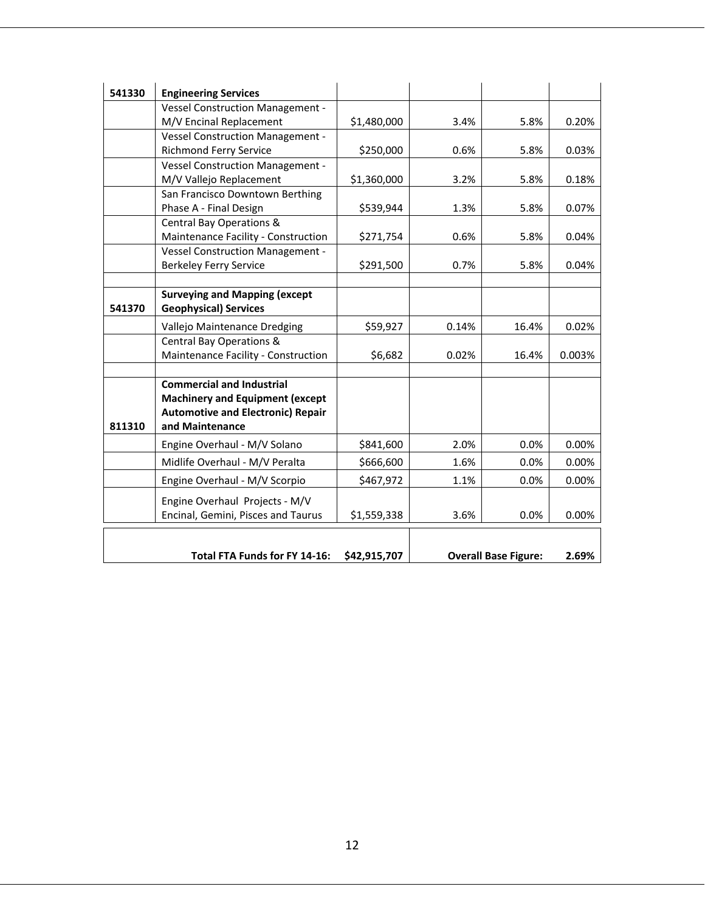| 541330 | <b>Engineering Services</b>              |              |       |                             |        |
|--------|------------------------------------------|--------------|-------|-----------------------------|--------|
|        | Vessel Construction Management -         |              |       |                             |        |
|        | M/V Encinal Replacement                  | \$1,480,000  | 3.4%  | 5.8%                        | 0.20%  |
|        | <b>Vessel Construction Management -</b>  |              |       |                             |        |
|        | Richmond Ferry Service                   | \$250,000    | 0.6%  | 5.8%                        | 0.03%  |
|        | <b>Vessel Construction Management -</b>  |              |       |                             |        |
|        | M/V Vallejo Replacement                  | \$1,360,000  | 3.2%  | 5.8%                        | 0.18%  |
|        | San Francisco Downtown Berthing          |              |       |                             |        |
|        | Phase A - Final Design                   | \$539,944    | 1.3%  | 5.8%                        | 0.07%  |
|        | Central Bay Operations &                 |              |       |                             |        |
|        | Maintenance Facility - Construction      | \$271,754    | 0.6%  | 5.8%                        | 0.04%  |
|        | <b>Vessel Construction Management -</b>  |              |       |                             |        |
|        | <b>Berkeley Ferry Service</b>            | \$291,500    | 0.7%  | 5.8%                        | 0.04%  |
|        |                                          |              |       |                             |        |
|        | <b>Surveying and Mapping (except</b>     |              |       |                             |        |
| 541370 | <b>Geophysical) Services</b>             |              |       |                             |        |
|        | Vallejo Maintenance Dredging             | \$59,927     | 0.14% | 16.4%                       | 0.02%  |
|        | Central Bay Operations &                 |              |       |                             |        |
|        | Maintenance Facility - Construction      | \$6,682      | 0.02% | 16.4%                       | 0.003% |
|        |                                          |              |       |                             |        |
|        | <b>Commercial and Industrial</b>         |              |       |                             |        |
|        | <b>Machinery and Equipment (except</b>   |              |       |                             |        |
|        | <b>Automotive and Electronic) Repair</b> |              |       |                             |        |
| 811310 | and Maintenance                          |              |       |                             |        |
|        | Engine Overhaul - M/V Solano             | \$841,600    | 2.0%  | 0.0%                        | 0.00%  |
|        | Midlife Overhaul - M/V Peralta           | \$666,600    | 1.6%  | 0.0%                        | 0.00%  |
|        | Engine Overhaul - M/V Scorpio            | \$467,972    | 1.1%  | 0.0%                        | 0.00%  |
|        | Engine Overhaul Projects - M/V           |              |       |                             |        |
|        | Encinal, Gemini, Pisces and Taurus       | \$1,559,338  | 3.6%  | 0.0%                        | 0.00%  |
|        |                                          |              |       |                             |        |
|        | <b>Total FTA Funds for FY 14-16:</b>     | \$42,915,707 |       |                             | 2.69%  |
|        |                                          |              |       | <b>Overall Base Figure:</b> |        |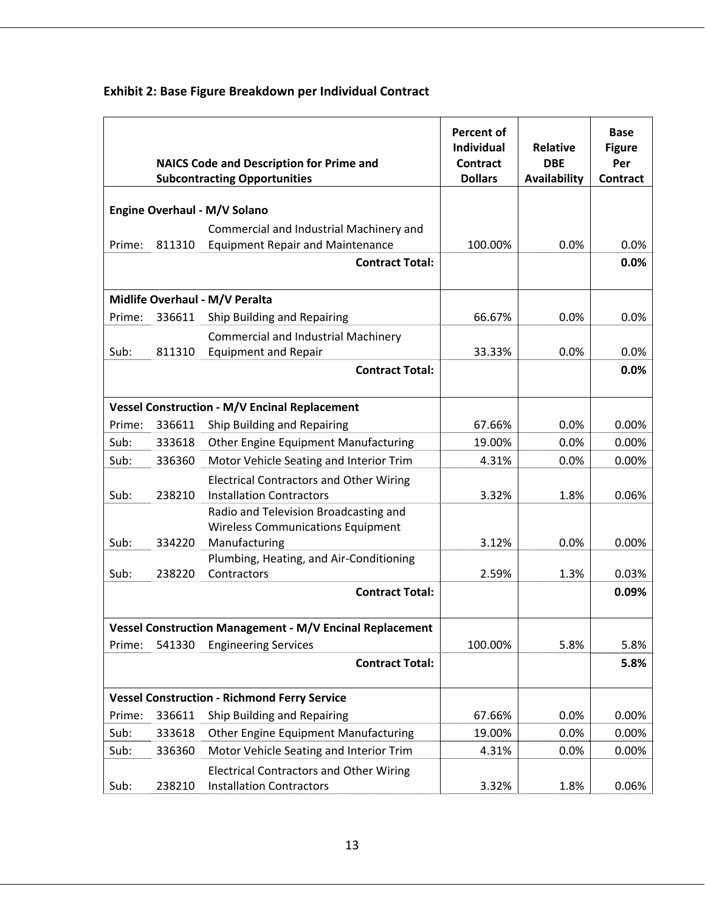|        |        | <b>NAICS Code and Description for Prime and</b><br><b>Subcontracting Opportunities</b> | <b>Percent of</b><br><b>Individual</b><br><b>Contract</b><br><b>Dollars</b> | <b>Relative</b><br><b>DBE</b><br>Availability | <b>Base</b><br><b>Figure</b><br>Per<br><b>Contract</b> |
|--------|--------|----------------------------------------------------------------------------------------|-----------------------------------------------------------------------------|-----------------------------------------------|--------------------------------------------------------|
|        |        | Engine Overhaul - M/V Solano                                                           |                                                                             |                                               |                                                        |
|        |        | Commercial and Industrial Machinery and                                                |                                                                             |                                               |                                                        |
| Prime: | 811310 | <b>Equipment Repair and Maintenance</b>                                                | 100.00%                                                                     | 0.0%                                          | 0.0%                                                   |
|        |        | <b>Contract Total:</b>                                                                 |                                                                             |                                               | 0.0%                                                   |
|        |        | Midlife Overhaul - M/V Peralta                                                         |                                                                             |                                               |                                                        |
| Prime: | 336611 | Ship Building and Repairing                                                            | 66.67%                                                                      | 0.0%                                          | 0.0%                                                   |
|        |        | <b>Commercial and Industrial Machinery</b>                                             |                                                                             |                                               |                                                        |
| Sub:   | 811310 | <b>Equipment and Repair</b>                                                            | 33.33%                                                                      | 0.0%                                          | 0.0%                                                   |
|        |        | <b>Contract Total:</b>                                                                 |                                                                             |                                               | 0.0%                                                   |
|        |        | <b>Vessel Construction - M/V Encinal Replacement</b>                                   |                                                                             |                                               |                                                        |
| Prime: | 336611 | Ship Building and Repairing                                                            | 67.66%                                                                      | 0.0%                                          | 0.00%                                                  |
| Sub:   | 333618 | Other Engine Equipment Manufacturing                                                   | 19.00%                                                                      | 0.0%                                          | 0.00%                                                  |
| Sub:   | 336360 | Motor Vehicle Seating and Interior Trim                                                | 4.31%                                                                       | 0.0%                                          | 0.00%                                                  |
| Sub:   | 238210 | <b>Electrical Contractors and Other Wiring</b><br><b>Installation Contractors</b>      | 3.32%                                                                       | 1.8%                                          | 0.06%                                                  |
|        |        | Radio and Television Broadcasting and                                                  |                                                                             |                                               |                                                        |
|        |        | <b>Wireless Communications Equipment</b>                                               |                                                                             |                                               |                                                        |
| Sub:   | 334220 | Manufacturing                                                                          | 3.12%                                                                       | 0.0%                                          | 0.00%                                                  |
| Sub:   | 238220 | Plumbing, Heating, and Air-Conditioning<br>Contractors                                 | 2.59%                                                                       | 1.3%                                          | 0.03%                                                  |
|        |        | <b>Contract Total:</b>                                                                 |                                                                             |                                               | 0.09%                                                  |
|        |        |                                                                                        |                                                                             |                                               |                                                        |
|        |        | <b>Vessel Construction Management - M/V Encinal Replacement</b>                        |                                                                             |                                               |                                                        |
| Prime: | 541330 | <b>Engineering Services</b>                                                            | 100.00%                                                                     | 5.8%                                          | 5.8%                                                   |
|        |        | <b>Contract Total:</b>                                                                 |                                                                             |                                               | 5.8%                                                   |
|        |        | <b>Vessel Construction - Richmond Ferry Service</b>                                    |                                                                             |                                               |                                                        |
| Prime: | 336611 | Ship Building and Repairing                                                            | 67.66%                                                                      | 0.0%                                          | 0.00%                                                  |
| Sub:   | 333618 | <b>Other Engine Equipment Manufacturing</b>                                            | 19.00%                                                                      | 0.0%                                          | 0.00%                                                  |
| Sub:   | 336360 | Motor Vehicle Seating and Interior Trim                                                | 4.31%                                                                       | 0.0%                                          | 0.00%                                                  |
| Sub:   | 238210 | <b>Electrical Contractors and Other Wiring</b><br><b>Installation Contractors</b>      | 3.32%                                                                       | 1.8%                                          | 0.06%                                                  |

# **Exhibit 2: Base Figure Breakdown per Individual Contract**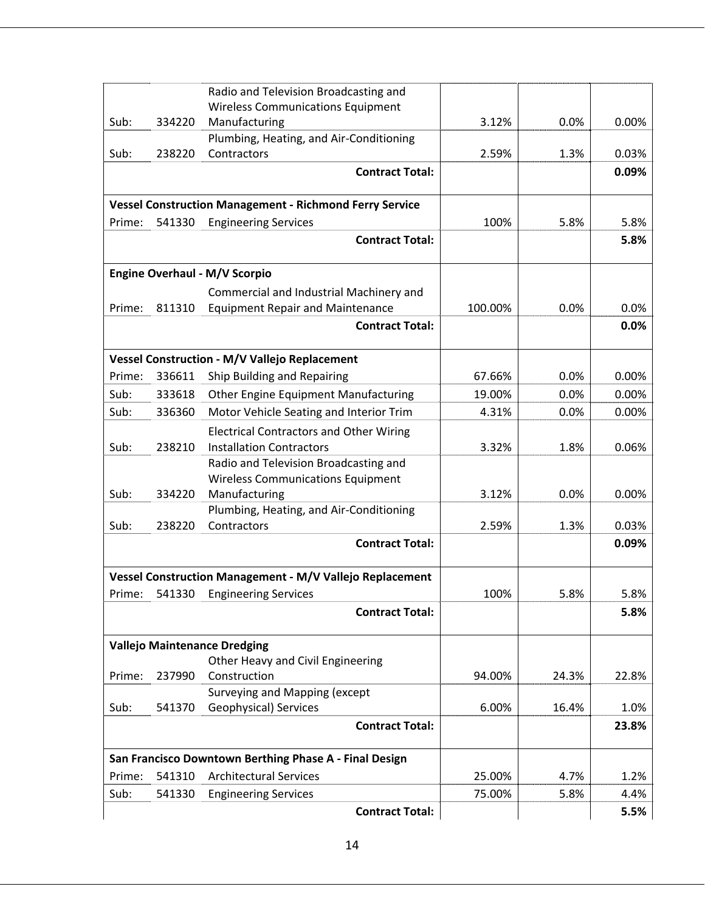|        |        | Radio and Television Broadcasting and                          |         |       |       |
|--------|--------|----------------------------------------------------------------|---------|-------|-------|
|        |        | <b>Wireless Communications Equipment</b>                       |         |       |       |
| Sub:   | 334220 | Manufacturing                                                  | 3.12%   | 0.0%  | 0.00% |
|        |        | Plumbing, Heating, and Air-Conditioning                        |         |       |       |
| Sub:   | 238220 | Contractors                                                    | 2.59%   | 1.3%  | 0.03% |
|        |        | <b>Contract Total:</b>                                         |         |       | 0.09% |
|        |        | <b>Vessel Construction Management - Richmond Ferry Service</b> |         |       |       |
| Prime: | 541330 | <b>Engineering Services</b>                                    | 100%    | 5.8%  | 5.8%  |
|        |        | <b>Contract Total:</b>                                         |         |       | 5.8%  |
|        |        | <b>Engine Overhaul - M/V Scorpio</b>                           |         |       |       |
|        |        | Commercial and Industrial Machinery and                        |         |       |       |
| Prime: | 811310 | <b>Equipment Repair and Maintenance</b>                        | 100.00% | 0.0%  | 0.0%  |
|        |        | <b>Contract Total:</b>                                         |         |       | 0.0%  |
|        |        | Vessel Construction - M/V Vallejo Replacement                  |         |       |       |
| Prime: | 336611 | Ship Building and Repairing                                    | 67.66%  | 0.0%  | 0.00% |
| Sub:   | 333618 | <b>Other Engine Equipment Manufacturing</b>                    | 19.00%  | 0.0%  | 0.00% |
| Sub:   | 336360 | Motor Vehicle Seating and Interior Trim                        | 4.31%   | 0.0%  | 0.00% |
|        |        | <b>Electrical Contractors and Other Wiring</b>                 |         |       |       |
| Sub:   | 238210 | <b>Installation Contractors</b>                                | 3.32%   | 1.8%  | 0.06% |
|        |        | Radio and Television Broadcasting and                          |         |       |       |
|        |        | <b>Wireless Communications Equipment</b>                       |         |       |       |
| Sub:   | 334220 | Manufacturing<br>Plumbing, Heating, and Air-Conditioning       | 3.12%   | 0.0%  | 0.00% |
| Sub:   | 238220 | Contractors                                                    | 2.59%   | 1.3%  | 0.03% |
|        |        | <b>Contract Total:</b>                                         |         |       | 0.09% |
|        |        |                                                                |         |       |       |
|        |        | Vessel Construction Management - M/V Vallejo Replacement       |         |       |       |
| Prime: | 541330 | <b>Engineering Services</b>                                    | 100%    | 5.8%  | 5.8%  |
|        |        | <b>Contract Total:</b>                                         |         |       | 5.8%  |
|        |        | <b>Vallejo Maintenance Dredging</b>                            |         |       |       |
|        |        | Other Heavy and Civil Engineering                              |         |       |       |
| Prime: | 237990 | Construction                                                   | 94.00%  | 24.3% | 22.8% |
| Sub:   | 541370 | Surveying and Mapping (except<br>Geophysical) Services         | 6.00%   | 16.4% | 1.0%  |
|        |        | <b>Contract Total:</b>                                         |         |       | 23.8% |
|        |        | San Francisco Downtown Berthing Phase A - Final Design         |         |       |       |
| Prime: | 541310 | <b>Architectural Services</b>                                  | 25.00%  | 4.7%  | 1.2%  |
| Sub:   | 541330 | <b>Engineering Services</b>                                    | 75.00%  | 5.8%  | 4.4%  |
|        |        | <b>Contract Total:</b>                                         |         |       | 5.5%  |
|        |        |                                                                |         |       |       |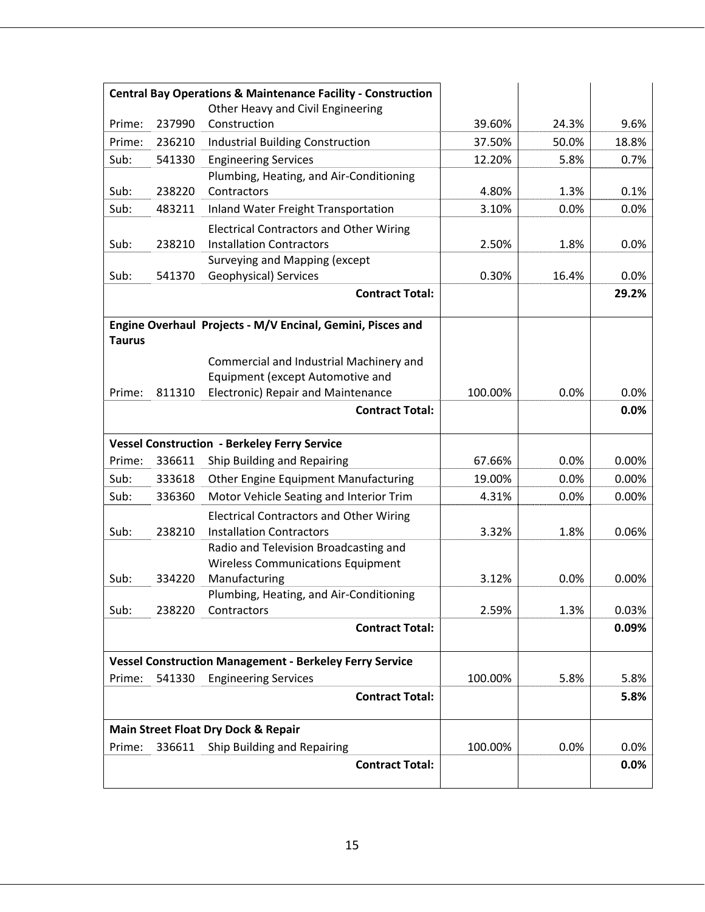| <b>Central Bay Operations &amp; Maintenance Facility - Construction</b> |        |                                                                                   |         |       |              |
|-------------------------------------------------------------------------|--------|-----------------------------------------------------------------------------------|---------|-------|--------------|
|                                                                         |        | Other Heavy and Civil Engineering                                                 |         |       |              |
| Prime:                                                                  | 237990 | Construction                                                                      | 39.60%  | 24.3% | 9.6%         |
| Prime:                                                                  | 236210 | <b>Industrial Building Construction</b>                                           | 37.50%  | 50.0% | 18.8%        |
| Sub:                                                                    | 541330 | <b>Engineering Services</b>                                                       | 12.20%  | 5.8%  | 0.7%         |
|                                                                         |        | Plumbing, Heating, and Air-Conditioning                                           |         |       |              |
| Sub:                                                                    | 238220 | Contractors                                                                       | 4.80%   | 1.3%  | 0.1%         |
| Sub:                                                                    | 483211 | Inland Water Freight Transportation                                               | 3.10%   | 0.0%  | 0.0%         |
| Sub:                                                                    | 238210 | <b>Electrical Contractors and Other Wiring</b><br><b>Installation Contractors</b> | 2.50%   | 1.8%  | 0.0%         |
|                                                                         |        | Surveying and Mapping (except                                                     |         |       |              |
| Sub:                                                                    | 541370 | Geophysical) Services                                                             | 0.30%   | 16.4% | 0.0%         |
|                                                                         |        | <b>Contract Total:</b>                                                            |         |       | 29.2%        |
| <b>Taurus</b>                                                           |        | Engine Overhaul Projects - M/V Encinal, Gemini, Pisces and                        |         |       |              |
|                                                                         |        | Commercial and Industrial Machinery and                                           |         |       |              |
|                                                                         |        | Equipment (except Automotive and                                                  |         |       |              |
| Prime:                                                                  | 811310 | Electronic) Repair and Maintenance                                                | 100.00% | 0.0%  | 0.0%         |
|                                                                         |        | <b>Contract Total:</b>                                                            |         |       | 0.0%         |
|                                                                         |        | <b>Vessel Construction - Berkeley Ferry Service</b>                               |         |       |              |
| Prime:                                                                  | 336611 | Ship Building and Repairing                                                       | 67.66%  | 0.0%  | 0.00%        |
| Sub:                                                                    | 333618 | Other Engine Equipment Manufacturing                                              | 19.00%  | 0.0%  | 0.00%        |
| Sub:                                                                    | 336360 | Motor Vehicle Seating and Interior Trim                                           | 4.31%   | 0.0%  | 0.00%        |
|                                                                         |        | <b>Electrical Contractors and Other Wiring</b>                                    |         |       |              |
| Sub:                                                                    | 238210 | <b>Installation Contractors</b>                                                   | 3.32%   | 1.8%  | 0.06%        |
|                                                                         |        | Radio and Television Broadcasting and                                             |         |       |              |
|                                                                         |        | <b>Wireless Communications Equipment</b>                                          |         |       |              |
| Sub:                                                                    | 334220 | Manufacturing                                                                     | 3.12%   | 0.0%  | 0.00%        |
| Sub:                                                                    | 238220 | Plumbing, Heating, and Air-Conditioning<br>Contractors                            | 2.59%   | 1.3%  | 0.03%        |
|                                                                         |        | <b>Contract Total:</b>                                                            |         |       | 0.09%        |
|                                                                         |        |                                                                                   |         |       |              |
|                                                                         |        | <b>Vessel Construction Management - Berkeley Ferry Service</b>                    |         |       |              |
| Prime:                                                                  | 541330 | <b>Engineering Services</b>                                                       | 100.00% | 5.8%  | 5.8%         |
|                                                                         |        | <b>Contract Total:</b>                                                            |         |       | 5.8%         |
|                                                                         |        |                                                                                   |         |       |              |
|                                                                         |        | Main Street Float Dry Dock & Repair                                               |         |       |              |
| Prime:                                                                  | 336611 | Ship Building and Repairing<br><b>Contract Total:</b>                             | 100.00% | 0.0%  | 0.0%<br>0.0% |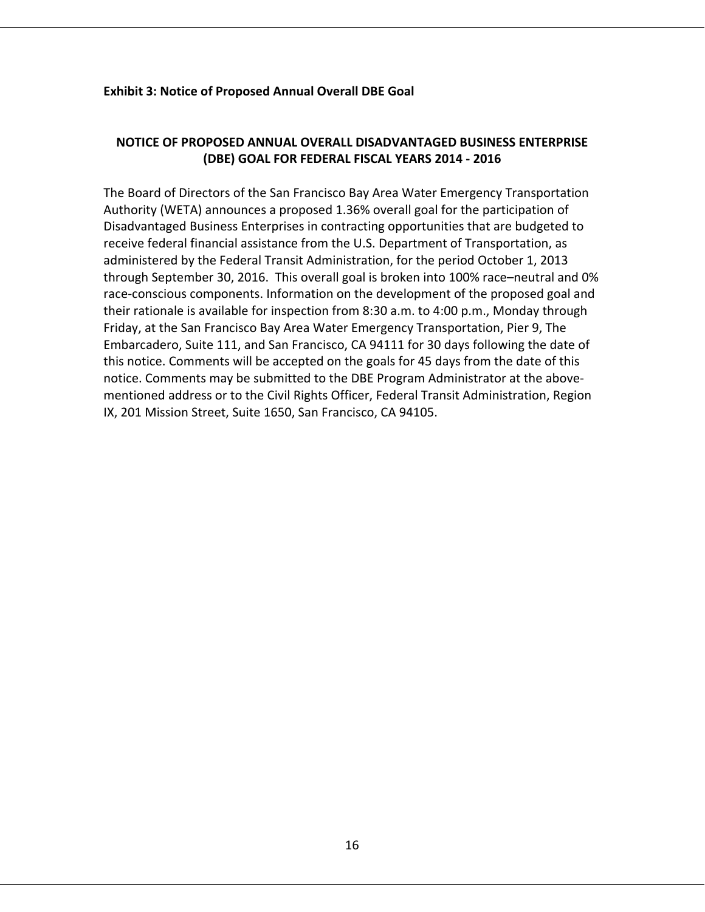#### **Exhibit 3: Notice of Proposed Annual Overall DBE Goal**

# **NOTICE OF PROPOSED ANNUAL OVERALL DISADVANTAGED BUSINESS ENTERPRISE (DBE) GOAL FOR FEDERAL FISCAL YEARS 2014 ‐ 2016**

The Board of Directors of the San Francisco Bay Area Water Emergency Transportation Authority (WETA) announces a proposed 1.36% overall goal for the participation of Disadvantaged Business Enterprises in contracting opportunities that are budgeted to receive federal financial assistance from the U.S. Department of Transportation, as administered by the Federal Transit Administration, for the period October 1, 2013 through September 30, 2016. This overall goal is broken into 100% race–neutral and 0% race-conscious components. Information on the development of the proposed goal and their rationale is available for inspection from 8:30 a.m. to 4:00 p.m., Monday through Friday, at the San Francisco Bay Area Water Emergency Transportation, Pier 9, The Embarcadero, Suite 111, and San Francisco, CA 94111 for 30 days following the date of this notice. Comments will be accepted on the goals for 45 days from the date of this notice. Comments may be submitted to the DBE Program Administrator at the above‐ mentioned address or to the Civil Rights Officer, Federal Transit Administration, Region IX, 201 Mission Street, Suite 1650, San Francisco, CA 94105.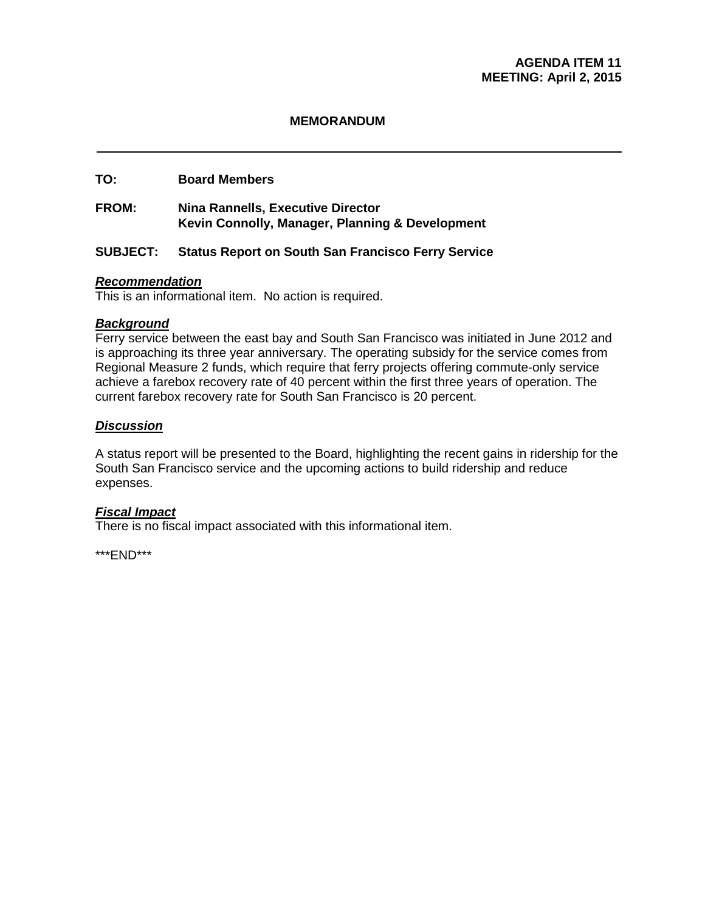#### **MEMORANDUM**

#### **TO: Board Members**

#### **FROM: Nina Rannells, Executive Director Kevin Connolly, Manager, Planning & Development**

#### **SUBJECT: Status Report on South San Francisco Ferry Service**

#### *Recommendation*

This is an informational item. No action is required.

#### *Background*

Ferry service between the east bay and South San Francisco was initiated in June 2012 and is approaching its three year anniversary. The operating subsidy for the service comes from Regional Measure 2 funds, which require that ferry projects offering commute-only service achieve a farebox recovery rate of 40 percent within the first three years of operation. The current farebox recovery rate for South San Francisco is 20 percent.

#### *Discussion*

A status report will be presented to the Board, highlighting the recent gains in ridership for the South San Francisco service and the upcoming actions to build ridership and reduce expenses.

#### *Fiscal Impact*

There is no fiscal impact associated with this informational item.

\*\*\*END\*\*\*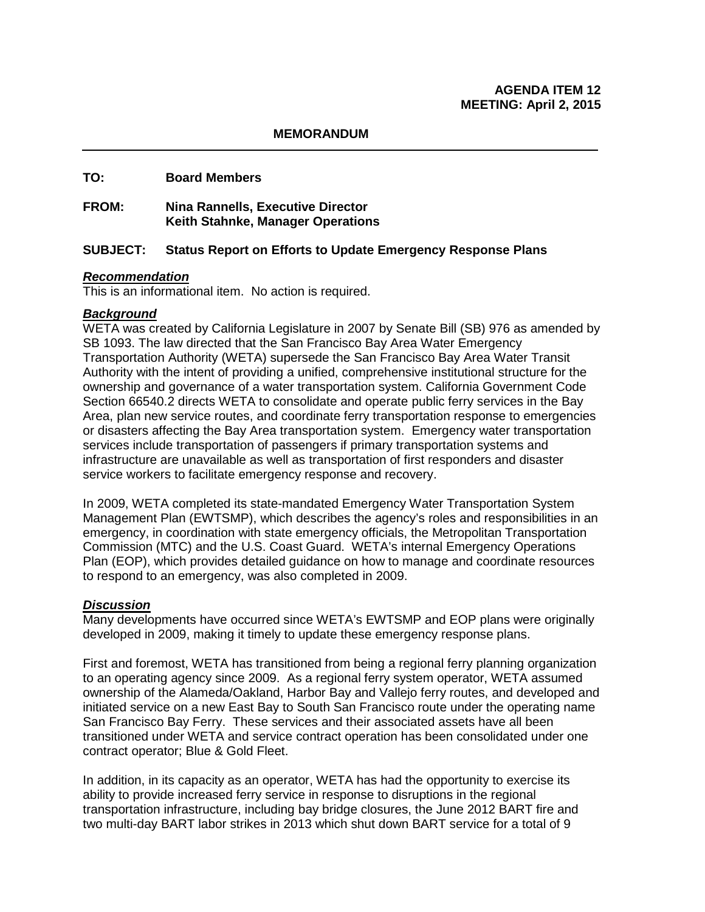#### **MEMORANDUM**

#### **TO: Board Members**

#### **FROM: Nina Rannells, Executive Director Keith Stahnke, Manager Operations**

#### **SUBJECT: Status Report on Efforts to Update Emergency Response Plans**

#### *Recommendation*

This is an informational item. No action is required.

#### *Background*

WETA was created by California Legislature in 2007 by Senate Bill (SB) 976 as amended by SB 1093. The law directed that the San Francisco Bay Area Water Emergency Transportation Authority (WETA) supersede the San Francisco Bay Area Water Transit Authority with the intent of providing a unified, comprehensive institutional structure for the ownership and governance of a water transportation system. California Government Code Section 66540.2 directs WETA to consolidate and operate public ferry services in the Bay Area, plan new service routes, and coordinate ferry transportation response to emergencies or disasters affecting the Bay Area transportation system. Emergency water transportation services include transportation of passengers if primary transportation systems and infrastructure are unavailable as well as transportation of first responders and disaster service workers to facilitate emergency response and recovery.

In 2009, WETA completed its state-mandated Emergency Water Transportation System Management Plan (EWTSMP), which describes the agency's roles and responsibilities in an emergency, in coordination with state emergency officials, the Metropolitan Transportation Commission (MTC) and the U.S. Coast Guard. WETA's internal Emergency Operations Plan (EOP), which provides detailed guidance on how to manage and coordinate resources to respond to an emergency, was also completed in 2009.

#### *Discussion*

Many developments have occurred since WETA's EWTSMP and EOP plans were originally developed in 2009, making it timely to update these emergency response plans.

First and foremost, WETA has transitioned from being a regional ferry planning organization to an operating agency since 2009. As a regional ferry system operator, WETA assumed ownership of the Alameda/Oakland, Harbor Bay and Vallejo ferry routes, and developed and initiated service on a new East Bay to South San Francisco route under the operating name San Francisco Bay Ferry. These services and their associated assets have all been transitioned under WETA and service contract operation has been consolidated under one contract operator; Blue & Gold Fleet.

In addition, in its capacity as an operator, WETA has had the opportunity to exercise its ability to provide increased ferry service in response to disruptions in the regional transportation infrastructure, including bay bridge closures, the June 2012 BART fire and two multi-day BART labor strikes in 2013 which shut down BART service for a total of 9